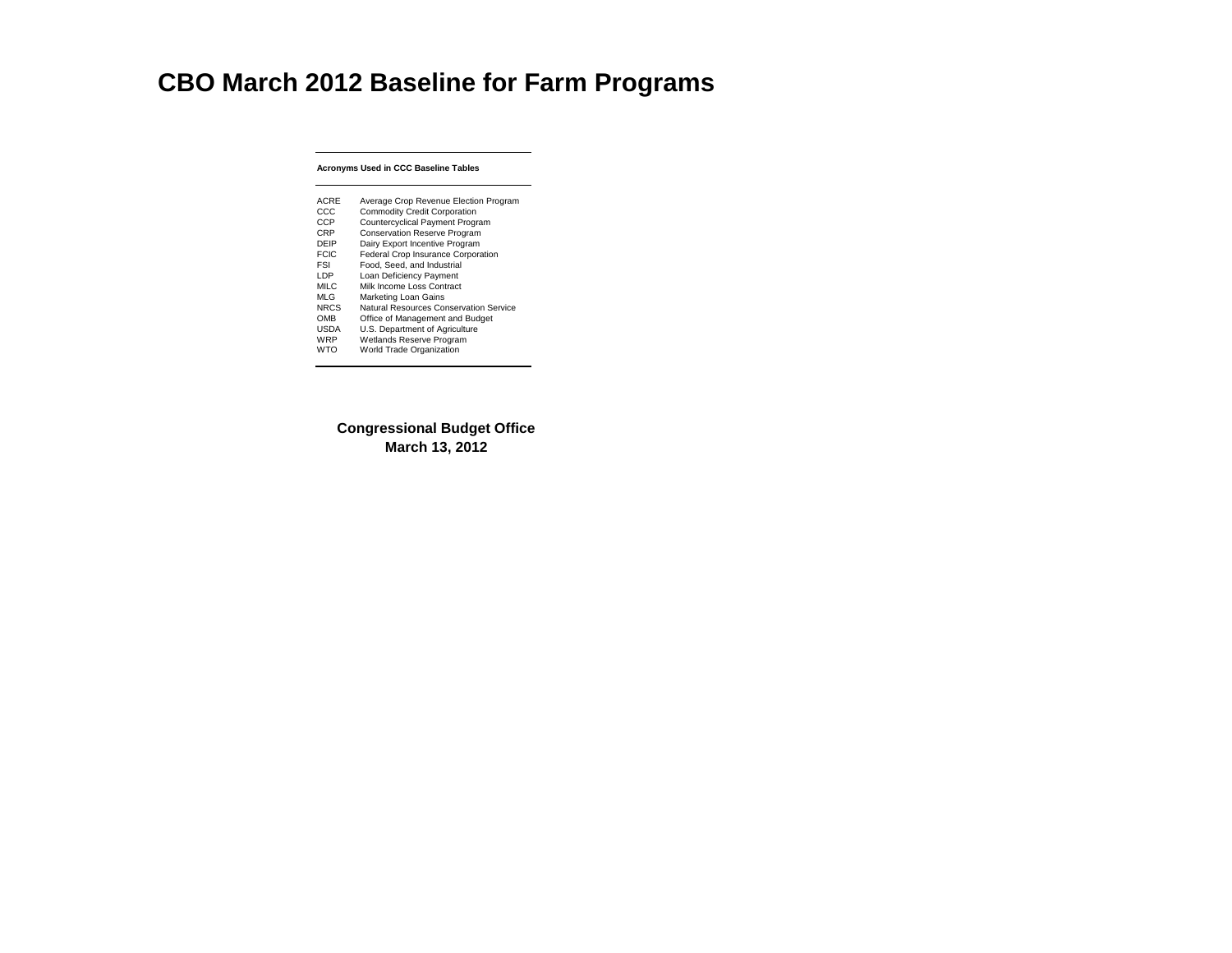### **Acronyms Used in CCC Baseline Tables**

| <b>Natural Resources Conservation Service</b><br>Office of Management and Budget<br>U.S. Department of Agriculture<br><b>Wetlands Reserve Program</b><br><b>World Trade Organization</b> | ACRE<br>CCC<br><b>CCP</b><br><b>CRP</b><br>DEIP<br><b>FCIC</b><br>FSI<br>I DP<br><b>MILC</b><br><b>MLG</b><br><b>NRCS</b><br><b>OMB</b><br><b>USDA</b><br>WRP<br>WTO | Average Crop Revenue Election Program<br><b>Commodity Credit Corporation</b><br><b>Countercyclical Payment Program</b><br><b>Conservation Reserve Program</b><br>Dairy Export Incentive Program<br><b>Federal Crop Insurance Corporation</b><br>Food, Seed, and Industrial<br><b>Loan Deficiency Payment</b><br>Milk Income Loss Contract<br><b>Marketing Loan Gains</b> |
|------------------------------------------------------------------------------------------------------------------------------------------------------------------------------------------|----------------------------------------------------------------------------------------------------------------------------------------------------------------------|--------------------------------------------------------------------------------------------------------------------------------------------------------------------------------------------------------------------------------------------------------------------------------------------------------------------------------------------------------------------------|
|------------------------------------------------------------------------------------------------------------------------------------------------------------------------------------------|----------------------------------------------------------------------------------------------------------------------------------------------------------------------|--------------------------------------------------------------------------------------------------------------------------------------------------------------------------------------------------------------------------------------------------------------------------------------------------------------------------------------------------------------------------|

# **CBO March 2012 Baseline for Farm Programs**

## **Congressional Budget Office March 13, 2012**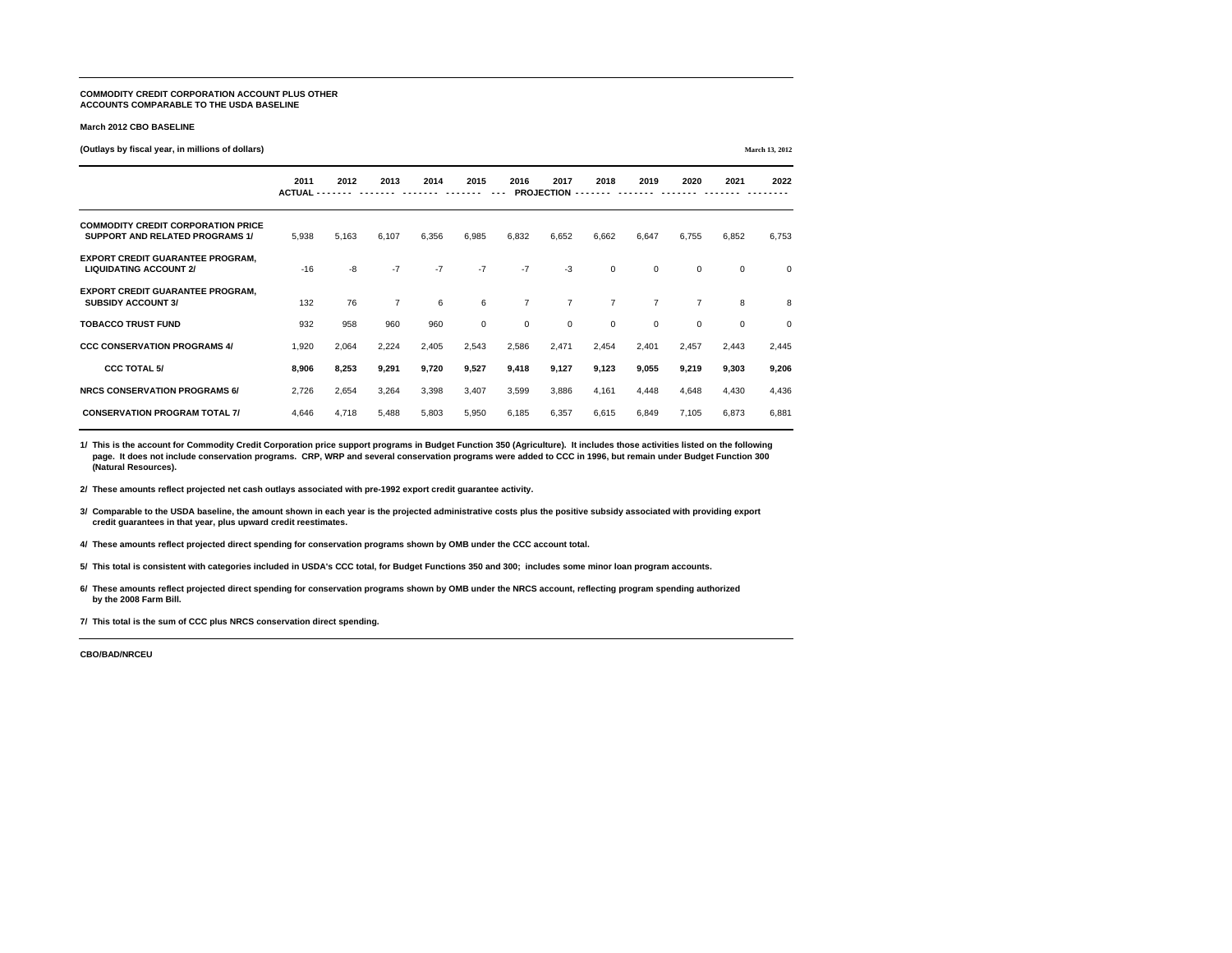#### **COMMODITY CREDIT CORPORATION ACCOUNT PLUS OTHER ACCOUNTS COMPARABLE TO THE USDA BASELINE**

#### **March 2012 CBO BASELINE**

**(Outlays by fiscal year, in millions of dollars) March 13, 2012**

| $(0.0000, 0.0000, 0.0000, 0.0000, 0.0000, 0.0000, 0.0000, 0.0000, 0.0000, 0.0000, 0.0000, 0.0000, 0.0000, 0.0000, 0.0000, 0.0000, 0.0000, 0.0000, 0.0000, 0.0000, 0.0000, 0.0000, 0.0000, 0.0000, 0.0000, 0.0000, 0.0000, 0.0$ |                       |       |                |       |                 |                |                           |                |                |                |                | 11101 CH 104 2012 |
|--------------------------------------------------------------------------------------------------------------------------------------------------------------------------------------------------------------------------------|-----------------------|-------|----------------|-------|-----------------|----------------|---------------------------|----------------|----------------|----------------|----------------|-------------------|
|                                                                                                                                                                                                                                | 2011<br><b>ACTUAL</b> | 2012  | 2013           | 2014  | 2015            | 2016           | 2017<br><b>PROJECTION</b> | 2018           | 2019           | 2020           | 2021           | 2022              |
| <b>COMMODITY CREDIT CORPORATION PRICE</b><br><b>SUPPORT AND RELATED PROGRAMS 1/</b>                                                                                                                                            | 5,938                 | 5,163 | 6,107          | 6,356 | 6,985           | 6,832          | 6,652                     | 6,662          | 6,647          | 6,755          | 6,852          | 6,753             |
| <b>EXPORT CREDIT GUARANTEE PROGRAM,</b><br><b>LIQUIDATING ACCOUNT 2/</b>                                                                                                                                                       | $-16$                 | $-8$  | $-7$           | $-7$  | $-7$            | $-7$           | $-3$                      | $\overline{0}$ | $\overline{0}$ | $\overline{0}$ | $\overline{0}$ | $\overline{0}$    |
| <b>EXPORT CREDIT GUARANTEE PROGRAM,</b><br><b>SUBSIDY ACCOUNT 3/</b>                                                                                                                                                           | 132                   | 76    | $\overline{7}$ | 6     | $6\phantom{1}6$ | $\overline{7}$ | $\overline{7}$            | $\overline{7}$ | $\overline{7}$ | $\overline{7}$ | 8              | 8                 |
| <b>TOBACCO TRUST FUND</b>                                                                                                                                                                                                      | 932                   | 958   | 960            | 960   | $\mathbf 0$     | $\overline{0}$ | $\overline{0}$            | $\overline{0}$ | $\overline{0}$ | $\overline{0}$ | $\mathbf 0$    | $\overline{0}$    |
| <b>CCC CONSERVATION PROGRAMS 4/</b>                                                                                                                                                                                            | 1,920                 | 2,064 | 2,224          | 2,405 | 2,543           | 2,586          | 2,471                     | 2,454          | 2,401          | 2,457          | 2,443          | 2,445             |
| <b>CCC TOTAL 5/</b>                                                                                                                                                                                                            | 8,906                 | 8,253 | 9,291          | 9,720 | 9,527           | 9,418          | 9,127                     | 9,123          | 9,055          | 9,219          | 9,303          | 9,206             |
| <b>NRCS CONSERVATION PROGRAMS 6/</b>                                                                                                                                                                                           | 2,726                 | 2,654 | 3,264          | 3,398 | 3,407           | 3,599          | 3,886                     | 4,161          | 4,448          | 4,648          | 4,430          | 4,436             |
| <b>CONSERVATION PROGRAM TOTAL 7/</b>                                                                                                                                                                                           | 4,646                 | 4,718 | 5,488          | 5,803 | 5,950           | 6,185          | 6,357                     | 6,615          | 6,849          | 7,105          | 6,873          | 6,881             |

**1/ This is the account for Commodity Credit Corporation price support programs in Budget Function 350 (Agriculture). It includes those activities listed on the following page. It does not include conservation programs. CRP, WRP and several conservation programs were added to CCC in 1996, but remain under Budget Function 300 (Natural Resources).** 

**2/ These amounts reflect projected net cash outlays associated with pre-1992 export credit guarantee activity.**

**3/ Comparable to the USDA baseline, the amount shown in each year is the projected administrative costs plus the positive subsidy associated with providing export credit guarantees in that year, plus upward credit reestimates.**

**4/ These amounts reflect projected direct spending for conservation programs shown by OMB under the CCC account total.**

**5/ This total is consistent with categories included in USDA's CCC total, for Budget Functions 350 and 300; includes some minor loan program accounts.**

**6/ These amounts reflect projected direct spending for conservation programs shown by OMB under the NRCS account, reflecting program spending authorized by the 2008 Farm Bill.**

**7/ This total is the sum of CCC plus NRCS conservation direct spending.**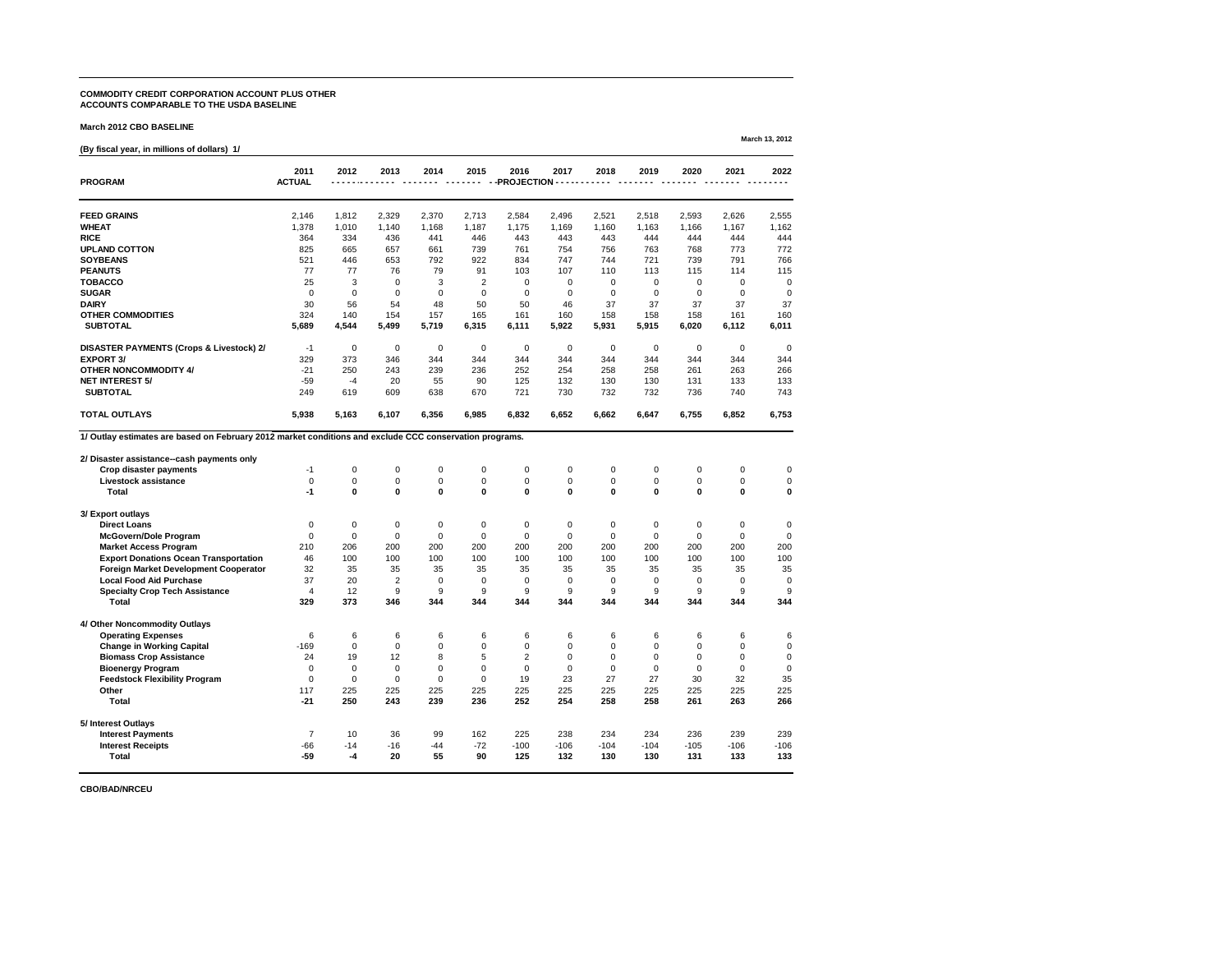### **COMMODITY CREDIT CORPORATION ACCOUNT PLUS OTHER ACCOUNTS COMPARABLE TO THE USDA BASELINE**

#### **March 2012 CBO BASELINE**

### **(By fiscal year, in millions of dollars) 1/**

| <b>PROGRAM</b>                                                                                          | 2011<br><b>ACTUAL</b> | 2012           | 2013             | 2014           | 2015             | 2016<br>-PROJECTION | 2017             | 2018           | 2019           | 2020           | 2021           | 2022             |
|---------------------------------------------------------------------------------------------------------|-----------------------|----------------|------------------|----------------|------------------|---------------------|------------------|----------------|----------------|----------------|----------------|------------------|
|                                                                                                         |                       |                |                  |                |                  |                     |                  |                |                |                |                |                  |
| <b>FEED GRAINS</b>                                                                                      | 2,146                 | 1,812          | 2,329            | 2,370          | 2,713            | 2,584               | 2,496            | 2,521          | 2,518          | 2,593          | 2,626          | 2,555            |
| <b>WHEAT</b>                                                                                            | 1,378                 | 1,010          | 1,140            | 1,168          | 1,187            | 1,175               | 1,169            | 1,160          | 1,163          | 1,166          | 1,167          | 1,162            |
| <b>RICE</b>                                                                                             | 364                   | 334            | 436              | 441            | 446              | 443                 | 443              | 443            | 444            | 444            | 444            | 444              |
| <b>UPLAND COTTON</b>                                                                                    | 825                   | 665            | 657              | 661            | 739              | 761                 | 754              | 756            | 763            | 768            | 773            | 772              |
| <b>SOYBEANS</b>                                                                                         | 521                   | 446            | 653              | 792            | 922              | 834                 | 747              | 744            | 721            | 739            | 791            | 766              |
| <b>PEANUTS</b>                                                                                          | 77                    | 77             | 76               | 79             | 91               | 103                 | 107              | 110            | 113            | 115            | 114            | 115              |
| <b>TOBACCO</b>                                                                                          | 25                    | $\mathfrak{B}$ | $\mathbf 0$      | 3              | $\overline{2}$   | 0                   | 0                | $\mathbf 0$    | $\mathbf 0$    | $\mathbf 0$    | $\mathbf 0$    | $\mathbf 0$      |
| <b>SUGAR</b>                                                                                            | $\mathbf 0$           | $\mathbf 0$    | $\mathbf 0$      | $\overline{0}$ | $\mathbf 0$      | $\mathbf 0$         | 0                | $\mathbf 0$    | $\mathbf 0$    | $\mathbf 0$    | $\mathbf 0$    | $\overline{0}$   |
| <b>DAIRY</b>                                                                                            | 30                    | 56             | 54               | 48             | 50               | 50                  | 46               | 37             | 37             | 37             | 37             | 37               |
| <b>OTHER COMMODITIES</b>                                                                                | 324                   | 140            | 154              | 157            | 165              | 161                 | 160              | 158            | 158            | 158            | 161            | 160              |
| <b>SUBTOTAL</b>                                                                                         | 5,689                 | 4,544          | 5,499            | 5,719          | 6,315            | 6,111               | 5,922            | 5,931          | 5,915          | 6,020          | 6,112          | 6,011            |
| <b>DISASTER PAYMENTS (Crops &amp; Livestock) 2/</b>                                                     | $-1$                  | $\mathbf 0$    | $\mathbf 0$      | $\overline{0}$ | $\overline{0}$   | $\mathbf 0$         | $\boldsymbol{0}$ | $\mathbf 0$    | $\mathbf 0$    | $\overline{0}$ | $\overline{0}$ | $\mathbf 0$      |
| <b>EXPORT 3/</b>                                                                                        | 329                   | 373            | 346              | 344            | 344              | 344                 | 344              | 344            | 344            | 344            | 344            | 344              |
| <b>OTHER NONCOMMODITY 4/</b>                                                                            | $-21$                 | 250            | 243              | 239            | 236              | 252                 | 254              | 258            | 258            | 261            | 263            | 266              |
| <b>NET INTEREST 5/</b>                                                                                  | $-59$                 | -4             | 20               | 55             | 90               | 125                 | 132              | 130            | 130            | 131            | 133            | 133              |
| <b>SUBTOTAL</b>                                                                                         | 249                   | 619            | 609              | 638            | 670              | 721                 | 730              | 732            | 732            | 736            | 740            | 743              |
| <b>TOTAL OUTLAYS</b>                                                                                    | 5,938                 | 5,163          | 6,107            | 6,356          | 6,985            | 6,832               | 6,652            | 6,662          | 6,647          | 6,755          | 6,852          | 6,753            |
| 1/ Outlay estimates are based on February 2012 market conditions and exclude CCC conservation programs. |                       |                |                  |                |                  |                     |                  |                |                |                |                |                  |
|                                                                                                         |                       |                |                  |                |                  |                     |                  |                |                |                |                |                  |
| 2/ Disaster assistance--cash payments only                                                              |                       |                |                  |                |                  |                     |                  |                |                |                |                |                  |
| <b>Crop disaster payments</b>                                                                           | $-1$                  | $\mathbf 0$    | $\mathbf 0$      | $\mathbf 0$    | $\mathbf 0$      | $\mathbf 0$         | $\mathbf 0$      | $\overline{0}$ | $\mathbf 0$    | $\mathbf 0$    | $\mathbf 0$    | $\boldsymbol{0}$ |
| <b>Livestock assistance</b>                                                                             | 0                     | $\Omega$       | $\mathbf 0$      | $\mathbf 0$    | $\mathbf 0$      | 0                   | 0                | $\overline{0}$ | $\mathbf 0$    | $\overline{0}$ | $\mathbf 0$    | $\Omega$         |
| <b>Total</b>                                                                                            | $-1$                  | $\mathbf 0$    | $\boldsymbol{0}$ | $\mathbf 0$    | $\boldsymbol{0}$ | $\bf{0}$            | $\boldsymbol{0}$ | $\mathbf 0$    | $\mathbf 0$    | $\mathbf 0$    | $\mathbf 0$    | $\bf{0}$         |
| 3/ Export outlays                                                                                       |                       |                |                  |                |                  |                     |                  |                |                |                |                |                  |
| <b>Direct Loans</b>                                                                                     | $\mathbf 0$           | $\overline{0}$ | $\mathbf 0$      | $\mathbf 0$    | $\overline{0}$   | $\overline{0}$      | $\mathbf 0$      | 0              | $\mathbf 0$    | $\overline{0}$ | $\mathbf 0$    | 0                |
| <b>McGovern/Dole Program</b>                                                                            | $\mathbf 0$           | $\mathbf 0$    | 0                | $\overline{0}$ | $\mathbf 0$      | $\overline{0}$      | $\mathbf 0$      | $\mathbf 0$    | $\overline{0}$ | $\overline{0}$ | $\overline{0}$ | $\overline{0}$   |
| <b>Market Access Program</b>                                                                            | 210                   | 206            | 200              | 200            | 200              | 200                 | 200              | 200            | 200            | 200            | 200            | 200              |
| <b>Export Donations Ocean Transportation</b>                                                            | 46                    | 100            | 100              | 100            | 100              | 100                 | 100              | 100            | 100            | 100            | 100            | 100              |
| <b>Foreign Market Development Cooperator</b>                                                            | 32                    | 35             | 35               | 35             | 35               | 35                  | 35               | 35             | 35             | 35             | 35             | 35               |
| <b>Local Food Aid Purchase</b>                                                                          | 37                    | 20             | $\overline{2}$   | $\overline{0}$ | $\overline{0}$   | $\Omega$            | 0                | 0              | $\overline{0}$ | $\Omega$       | $\Omega$       | $\mathbf 0$      |
| <b>Specialty Crop Tech Assistance</b>                                                                   | 4                     | 12             | 9                | 9              | 9                | 9                   | 9                | 9              | 9              | 9              | 9              | 9                |
| <b>Total</b>                                                                                            | 329                   | 373            | 346              | 344            | 344              | 344                 | 344              | 344            | 344            | 344            | 344            | 344              |
| 4/ Other Noncommodity Outlays                                                                           |                       |                |                  |                |                  |                     |                  |                |                |                |                |                  |
| <b>Operating Expenses</b>                                                                               | 6                     | 6              | 6                | 6              | 6                | 6                   | 6                | 6              | 6              | 6              | 6              | 6                |
| <b>Change in Working Capital</b>                                                                        | $-169$                | $\mathbf 0$    | $\overline{0}$   | $\mathbf 0$    | $\mathbf 0$      | 0                   | $\mathbf 0$      | $\mathbf 0$    | 0              | $\overline{0}$ | 0              | $\overline{0}$   |
| <b>Biomass Crop Assistance</b>                                                                          | 24                    | 19             | 12               | 8              | 5                | $\overline{2}$      | $\Omega$         | $\overline{0}$ | $\mathbf 0$    | $\Omega$       | $\Omega$       | 0                |
| <b>Bioenergy Program</b>                                                                                | 0                     | $\mathbf 0$    | 0                | $\overline{0}$ | $\mathbf 0$      | $\overline{0}$      | $\mathbf 0$      |                | $\overline{0}$ | 0              | $\mathbf 0$    | $\Omega$         |
| <b>Feedstock Flexibility Program</b>                                                                    | $\overline{0}$        | $\Omega$       | $\overline{0}$   | $\Omega$       | $\overline{0}$   | 19                  | 23               | 27             | 27             | 30             | 32             | 35               |
| <b>Other</b>                                                                                            | 117                   | 225            | 225              | 225            | 225              | 225                 | 225              | 225            | 225            | 225            | 225            | 225              |
| <b>Total</b>                                                                                            | $-21$                 | 250            | 243              | 239            | 236              | 252                 | 254              | 258            | 258            | 261            | 263            | 266              |
|                                                                                                         |                       |                |                  |                |                  |                     |                  |                |                |                |                |                  |
| 5/ Interest Outlays                                                                                     | $\overline{7}$        |                |                  |                |                  |                     |                  |                |                |                |                |                  |
| <b>Interest Payments</b>                                                                                |                       | 10             | 36               | 99             | 162              | 225                 | 238              | 234            | 234            | 236            | 239            | 239              |
| <b>Interest Receipts</b><br><b>Total</b>                                                                | $-66$<br>$-59$        | $-14$<br>-4    | $-16$<br>20      | $-44$<br>55    | $-72$<br>90      | $-100$<br>125       | $-106$<br>132    | $-104$<br>130  | $-104$<br>130  | $-105$<br>131  | $-106$<br>133  | $-106$<br>133    |
|                                                                                                         |                       |                |                  |                |                  |                     |                  |                |                |                |                |                  |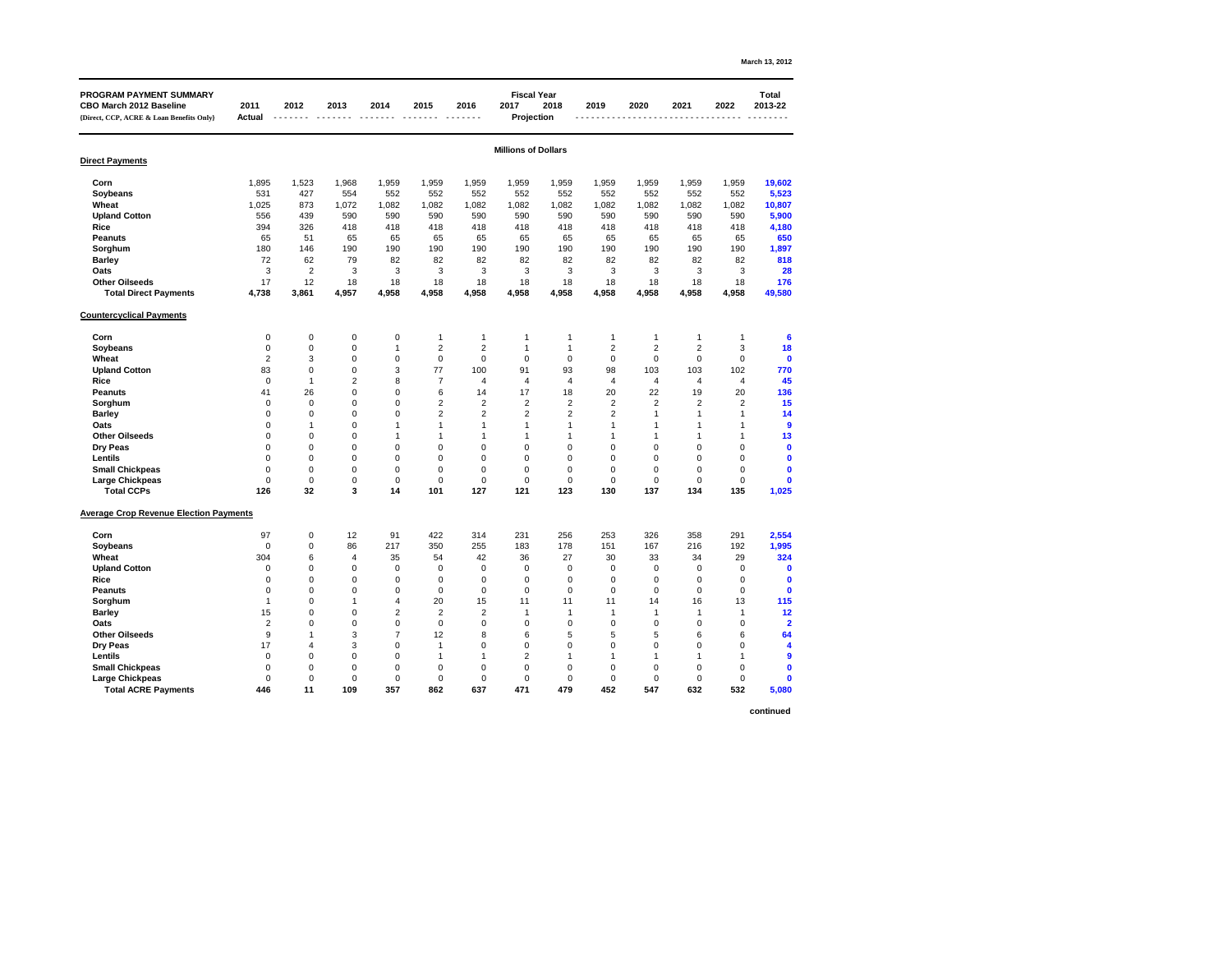|                                                                                                              |                       |                  |                |       |                |                |                                                 |                         |                |                |                |                | March 13, 2012          |
|--------------------------------------------------------------------------------------------------------------|-----------------------|------------------|----------------|-------|----------------|----------------|-------------------------------------------------|-------------------------|----------------|----------------|----------------|----------------|-------------------------|
| <b>PROGRAM PAYMENT SUMMARY</b><br><b>CBO March 2012 Baseline</b><br>{Direct, CCP, ACRE & Loan Benefits Only} | 2011<br><b>Actual</b> | 2012             | 2013           | 2014  | 2015           | 2016           | <b>Fiscal Year</b><br>2017<br><b>Projection</b> | 2018                    | 2019           | 2020           | 2021           | 2022           | <b>Total</b><br>2013-22 |
| <b>Direct Payments</b>                                                                                       |                       |                  |                |       |                |                | <b>Millions of Dollars</b>                      |                         |                |                |                |                |                         |
|                                                                                                              |                       |                  |                |       |                |                |                                                 |                         |                |                |                |                |                         |
| Corn                                                                                                         | 1,895                 | 1,523            | 1,968          | 1,959 | 1,959          | 1,959          | 1,959                                           | 1,959                   | 1,959          | 1,959          | 1,959          | 1,959          | 19,602                  |
| <b>Soybeans</b>                                                                                              | 531                   | 427              | 554            | 552   | 552            | 552            | 552                                             | 552                     | 552            | 552            | 552            | 552            | 5,523                   |
| Wheat                                                                                                        | 1,025                 | 873              | 1,072          | 1,082 | 1,082          | 1,082          | 1,082                                           | 1,082                   | 1,082          | 1,082          | 1,082          | 1,082          | 10,807                  |
| <b>Upland Cotton</b>                                                                                         | 556                   | 439              | 590            | 590   | 590            | 590            | 590                                             | 590                     | 590            | 590            | 590            | 590            | 5,900                   |
| <b>Rice</b>                                                                                                  | 394                   | 326              | 418            | 418   | 418            | 418            | 418                                             | 418                     | 418            | 418            | 418            | 418            | 4,180                   |
| <b>Peanuts</b>                                                                                               | 65                    | 51               | 65             | 65    | 65             | 65             | 65                                              | 65                      | 65             | 65             | 65             | 65             | 650                     |
| Sorghum                                                                                                      | 180                   | 146              | 190            | 190   | 190            | 190            | 190                                             | 190                     | 190            | 190            | 190            | 190            | 1,897                   |
| <b>Barley</b>                                                                                                | 72                    | 62               | 79             | 82    | 82             | 82             | 82                                              | 82                      | 82             | 82             | 82             | 82             | 818                     |
| <b>Oats</b>                                                                                                  | 3                     | $\overline{2}$   | $\mathfrak{S}$ | 3     | 3              | 3              | $\mathfrak{S}$                                  | $\mathbf{3}$            | 3              | $\mathbf{3}$   | 3              | 3              | 28                      |
| <b>Other Oilseeds</b>                                                                                        | 17                    | 12               | 18             | 18    | 18             | 18             | 18                                              | 18                      | 18             | 18             | 18             | 18             | 176                     |
| <b>Total Direct Payments</b>                                                                                 | 4,738                 | 3,861            | 4,957          | 4,958 | 4,958          | 4,958          | 4,958                                           | 4,958                   | 4,958          | 4,958          | 4,958          | 4,958          | 49,580                  |
| <b>Countercyclical Payments</b>                                                                              |                       |                  |                |       |                |                |                                                 |                         |                |                |                |                |                         |
| Corn                                                                                                         | $\mathbf 0$           | $\boldsymbol{0}$ | 0              | 0     |                |                |                                                 | -1                      |                |                |                |                | 6                       |
| <b>Soybeans</b>                                                                                              | $\mathbf 0$           | $\pmb{0}$        | $\pmb{0}$      |       | $\overline{2}$ | $\overline{2}$ | 1                                               | $\overline{\mathbf{1}}$ | $\overline{2}$ | $\overline{2}$ | $\overline{2}$ | $\mathfrak{S}$ | 18                      |
| Wheat                                                                                                        | $\overline{2}$        | 3                | $\pmb{0}$      | 0     | $\mathbf 0$    | $\mathbf 0$    | $\mathbf 0$                                     | $\mathbf 0$             | $\overline{0}$ | $\overline{0}$ | $\mathbf 0$    | $\mathbf 0$    | $\mathbf 0$             |
| <b>Upland Cotton</b>                                                                                         | 83                    | $\Omega$         | $\mathbf 0$    | 3     | 77             | 100            | 91                                              | 93                      | 98             | 103            | 103            | 102            | 770                     |
| <b>Rice</b>                                                                                                  |                       |                  | 2              | 8     |                |                |                                                 |                         |                |                |                |                | 45                      |
| <b>Peanuts</b>                                                                                               | 41                    | 26               | 0              | 0     | 6              | 14             | 17                                              | 18                      | 20             | 22             | 19             | 20             | 136                     |
| Sorghum                                                                                                      |                       | $\Omega$         | $\mathbf 0$    | 0     | $\overline{2}$ | $\overline{2}$ | $\overline{2}$                                  | $\overline{2}$          | $\overline{2}$ | $\overline{2}$ | $\overline{2}$ | $\overline{2}$ | 15                      |
|                                                                                                              |                       |                  | 0              | ი     |                | $\overline{2}$ |                                                 | $\overline{2}$          | $\overline{2}$ |                |                |                | 14                      |
| <b>Barley</b><br><b>Oats</b>                                                                                 |                       |                  |                |       |                |                |                                                 |                         |                |                |                |                |                         |
| <b>Other Oilseeds</b>                                                                                        |                       |                  | 0              |       |                |                |                                                 |                         |                |                |                |                | 13                      |
|                                                                                                              |                       |                  |                |       |                |                |                                                 |                         |                |                |                |                |                         |
| <b>Dry Peas</b>                                                                                              |                       |                  | 0              | 0     |                |                |                                                 |                         |                |                |                |                |                         |
| <b>Lentils</b>                                                                                               |                       |                  | 0              | 0     |                |                |                                                 | 0                       | ∩              |                |                |                |                         |
| <b>Small Chickpeas</b>                                                                                       |                       | 0                | 0              | 0     |                |                |                                                 | 0                       | 0              |                | 0              |                |                         |
| <b>Large Chickpeas</b>                                                                                       |                       | $\Omega$         | 0              | 0     |                |                |                                                 | 0                       | ∩              |                | 0              | 0              |                         |
| <b>Total CCPs</b>                                                                                            | 126                   | 32               | $\mathbf{3}$   | 14    | 101            | 127            | 121                                             | 123                     | 130            | 137            | 134            | 135            | 1,025                   |
| <b>Average Crop Revenue Election Payments</b>                                                                |                       |                  |                |       |                |                |                                                 |                         |                |                |                |                |                         |
| Corn                                                                                                         | 97                    | 0                | 12             | 91    | 422            | 314            | 231                                             | 256                     | 253            | 326            | 358            | 291            | 2,554                   |
| <b>Soybeans</b>                                                                                              | ∩                     | 0                | 86             | 217   | 350            | 255            | 183                                             | 178                     | 151            | 167            | 216            | 192            | 1,995                   |
| <b>Wheat</b>                                                                                                 | 304                   |                  | 4              | 35    | 54             | 42             | 36                                              | 27                      | 30             | 33             | 34             | 29             | 324                     |
| <b>Upland Cotton</b>                                                                                         |                       | 0                | $\mathbf 0$    | 0     | O              | 0              | 0                                               | $\overline{0}$          | 0              | ∩              | 0              | 0              |                         |
| <b>Rice</b>                                                                                                  |                       |                  | 0              | 0     |                |                |                                                 | 0                       |                |                |                |                |                         |
| <b>Peanuts</b>                                                                                               |                       |                  | 0              | 0     | $\Omega$       | 0              |                                                 | $\Omega$                |                |                | $\Omega$       | 0              |                         |
| Sorghum                                                                                                      |                       |                  |                |       | 20             | 15             | 11                                              | 11                      | 11             | 14             | 16             | 13             | 115                     |
| <b>Barley</b>                                                                                                | 15                    |                  | 0              | 2     |                | 2              |                                                 |                         |                |                |                |                | 12                      |
| <b>Oats</b>                                                                                                  |                       |                  | 0              | 0     | $\Omega$       | 0              |                                                 |                         |                |                |                |                |                         |
| <b>Other Oilseeds</b>                                                                                        |                       |                  | 3              |       | 12             | 8              |                                                 |                         |                |                |                |                | 64                      |
| <b>Dry Peas</b>                                                                                              | 17                    |                  | 3              | 0     |                |                |                                                 |                         |                |                |                |                |                         |
| <b>Lentils</b>                                                                                               |                       |                  | 0              | 0     |                |                |                                                 |                         |                |                |                |                |                         |
| <b>Small Chickpeas</b>                                                                                       |                       | 0                | $\mathbf 0$    | 0     |                |                |                                                 | 0                       | O              |                |                |                |                         |
| <b>Large Chickpeas</b>                                                                                       |                       |                  | $\mathbf 0$    | 0     |                |                |                                                 | 0                       |                |                |                |                |                         |
| <b>Total ACRE Payments</b>                                                                                   | 446                   | 11               | 109            | 357   | 862            | 637            | 471                                             | 479                     | 452            | 547            | 632            | 532            | 5,080                   |

**continued**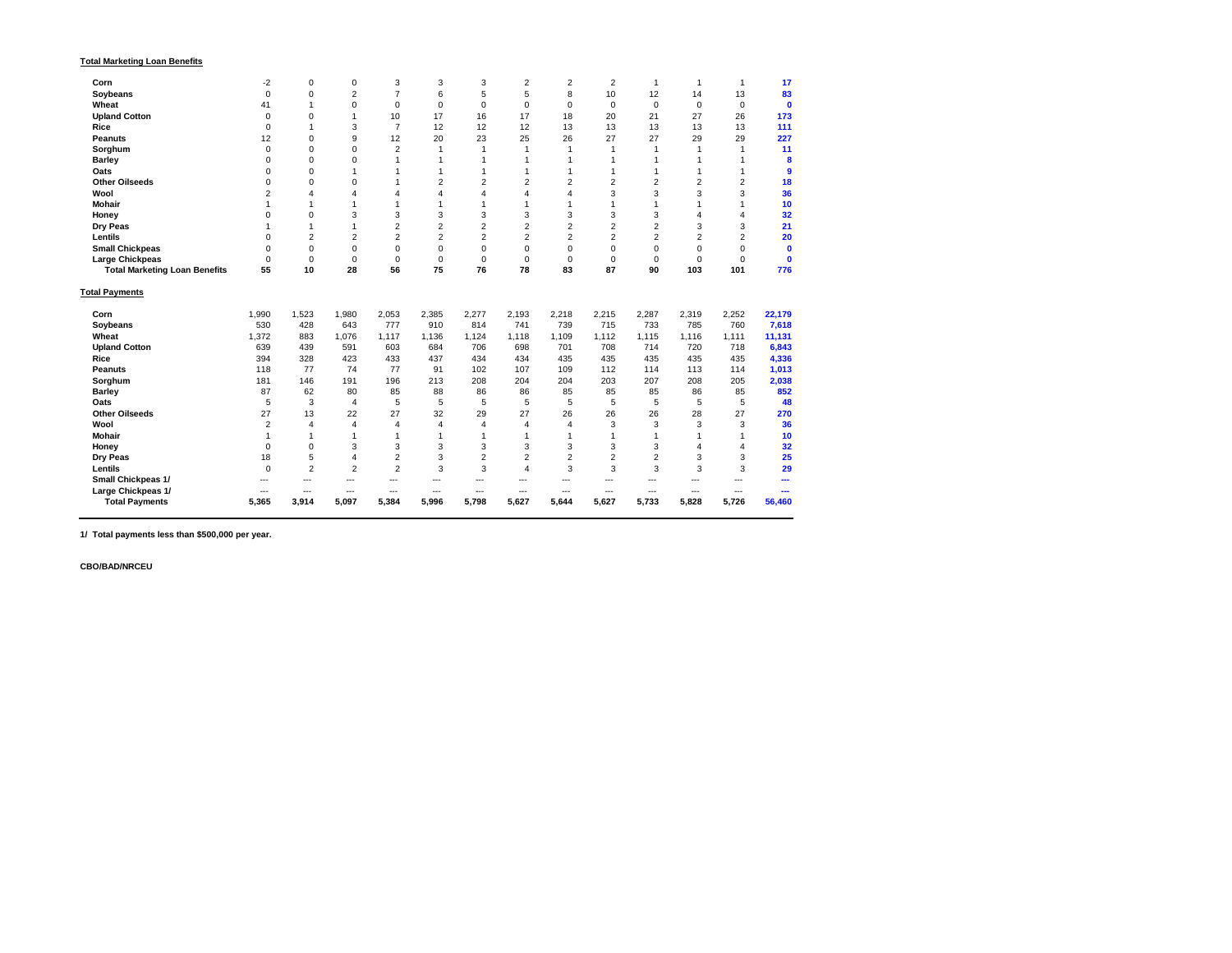| <b>Total Marketing Loan Benefits</b> |
|--------------------------------------|
|--------------------------------------|

| Corn                                 | $-2$           | $\mathbf 0$    | 0                | 3              | 3              | 3              | $\overline{2}$ | $\overline{2}$ | $\overline{2}$ |                  |             |                | 17          |
|--------------------------------------|----------------|----------------|------------------|----------------|----------------|----------------|----------------|----------------|----------------|------------------|-------------|----------------|-------------|
| <b>Soybeans</b>                      | $\overline{0}$ | 0              | $\overline{2}$   | $\overline{7}$ | 6              | 5              | 5              | 8              | 10             | 12               | 14          | 13             | 83          |
| <b>Wheat</b>                         | 41             |                | $\mathbf 0$      | $\Omega$       | $\overline{0}$ | $\overline{0}$ | $\mathbf 0$    | $\Omega$       | $\overline{0}$ | 0                | $\mathbf 0$ | $\overline{0}$ | $\mathbf 0$ |
| <b>Upland Cotton</b>                 | $\Omega$       | $\Omega$       |                  | 10             | 17             | 16             | 17             | 18             | 20             | 21               | 27          | 26             | 173         |
| <b>Rice</b>                          |                |                | 3                |                | 12             | 12             | 12             | 13             | 13             | 13               | 13          | 13             | 111         |
| <b>Peanuts</b>                       | 12             | 0              | 9                | 12             | 20             | 23             | 25             | 26             | 27             | 27               | 29          | 29             | 227         |
| Sorghum                              | $\overline{0}$ | $\overline{0}$ | $\mathbf 0$      | $\overline{2}$ |                |                |                |                |                |                  |             |                | 11          |
| <b>Barley</b>                        | 0              | 0              | $\mathbf 0$      |                |                |                |                |                |                |                  |             |                | 8           |
| <b>Oats</b>                          |                |                |                  |                |                |                |                |                |                |                  |             |                | 9           |
| <b>Other Oilseeds</b>                |                |                | 0                |                |                |                |                | $\overline{2}$ |                | 2                |             |                | <b>18</b>   |
| <b>Wool</b>                          |                |                | 4                |                |                |                |                |                | 3              | 3                | 3           | 3              | 36          |
| <b>Mohair</b>                        |                |                |                  |                |                |                |                |                |                |                  |             |                | 10          |
| <b>Honey</b>                         |                | ∩              | 3                | 3              | 3              | 3              | 3              | 3              | 3              | 3                |             |                | 32          |
| <b>Dry Peas</b>                      |                |                |                  | $\overline{2}$ | $\overline{2}$ | $\overline{2}$ | $\overline{2}$ | $\overline{2}$ | $\overline{2}$ | $\overline{2}$   | 3           | 3              | 21          |
| <b>Lentils</b>                       |                | 2              | $\overline{2}$   | $\overline{2}$ | $\overline{2}$ | $\overline{2}$ | $\overline{2}$ | $\overline{2}$ | $\overline{2}$ | $\overline{2}$   | 2           | $\overline{2}$ | 20          |
| <b>Small Chickpeas</b>               |                | $\mathbf 0$    | $\boldsymbol{0}$ | 0              | $\mathbf 0$    | $\mathbf 0$    | $\mathbf 0$    | $\Omega$       | $\overline{0}$ | $\boldsymbol{0}$ | 0           | 0              | $\mathbf 0$ |
| <b>Large Chickpeas</b>               | $\overline{0}$ | $\mathbf 0$    | $\mathbf 0$      | $\overline{0}$ | $\mathbf 0$    | $\mathbf 0$    | $\mathbf 0$    | 0              | $\overline{0}$ | 0                | $\mathbf 0$ | 0              | $\mathbf 0$ |
| <b>Total Marketing Loan Benefits</b> | 55             | 10             | 28               | 56             | 75             | 76             | 78             | 83             | 87             | 90               | 103         | 101            | 776         |
| <b>Total Payments</b>                |                |                |                  |                |                |                |                |                |                |                  |             |                |             |
| Corn                                 | 1,990          | 1,523          | 1,980            | 2,053          | 2,385          | 2,277          | 2,193          | 2,218          | 2,215          | 2,287            | 2,319       | 2,252          | 22,179      |
| <b>Soybeans</b>                      | 530            | 428            | 643              | 777            | 910            | 814            | 741            | 739            | 715            | 733              | 785         | 760            | 7,618       |
| <b>Wheat</b>                         | 1,372          | 883            | 1,076            | 1,117          | 1,136          | 1,124          | 1,118          | 1,109          | 1,112          | 1,115            | 1,116       | 1,111          | 11,131      |
| <b>Upland Cotton</b>                 | 639            | 439            | 591              | 603            | 684            | 706            | 698            | 701            | 708            | 714              | 720         | 718            | 6,843       |
| <b>Rice</b>                          | 394            | 328            | 423              | 433            | 437            | 434            | 434            | 435            | 435            | 435              | 435         | 435            | 4,336       |
| <b>Peanuts</b>                       | 118            | 77             | 74               | 77             | 91             | 102            | 107            | 109            | 112            | 114              | 113         | 114            | 1,013       |
| Sorghum                              | 181            | 146            | 191              | 196            | 213            | 208            | 204            | 204            | 203            | 207              | 208         | 205            | 2,038       |
| <b>Barley</b>                        | 87             | 62             | 80               | 85             | 88             | 86             | 86             | 85             | 85             | 85               | 86          | 85             | 852         |
| Oats                                 | 5              | 3              | 4                | 5              | $\overline{5}$ | $\overline{5}$ | 5              | 5              | 5              | 5                | 5           | 5              | 48          |
| <b>Other Oilseeds</b>                | 27             | 13             | 22               | 27             | 32             | 29             | 27             | 26             | 26             | 26               | 28          | 27             | 270         |
| <b>Wool</b>                          |                |                | 4                |                |                |                |                |                | 3              | 3                | 3           | 3              | 36          |
| <b>Mohair</b>                        |                |                |                  |                |                |                |                |                |                |                  |             |                | 10          |
| <b>Honey</b>                         |                | $\Omega$       | 3                | 3              | 3              | 3              | 3              | 3              | 3              | 3                |             |                | 32          |
| <b>Dry Peas</b>                      | 18             | 5              | 4                | $\overline{2}$ | $\mathfrak{S}$ | $\overline{2}$ | $\overline{2}$ | $\overline{2}$ | $\overline{2}$ | $\overline{2}$   | 3           |                | 25          |
| <b>Lentils</b>                       |                | $\overline{2}$ | $\overline{2}$   | $\overline{2}$ | 3              | 3              |                | 3              | 3              | 3                | 3           | 3              | 29          |
| <b>Small Chickpeas 1/</b>            |                |                |                  |                |                |                |                |                |                |                  |             |                |             |
| Large Chickpeas 1/                   | ---            | ---            |                  |                | $---$          | ---            | ---            |                | ---            | ---              |             |                |             |
| <b>Total Payments</b>                | 5,365          | 3,914          | 5,097            | 5,384          | 5,996          | 5,798          | 5,627          | 5,644          | 5,627          | 5,733            | 5,828       | 5,726          | 56,460      |

**1/ Total payments less than \$500,000 per year.**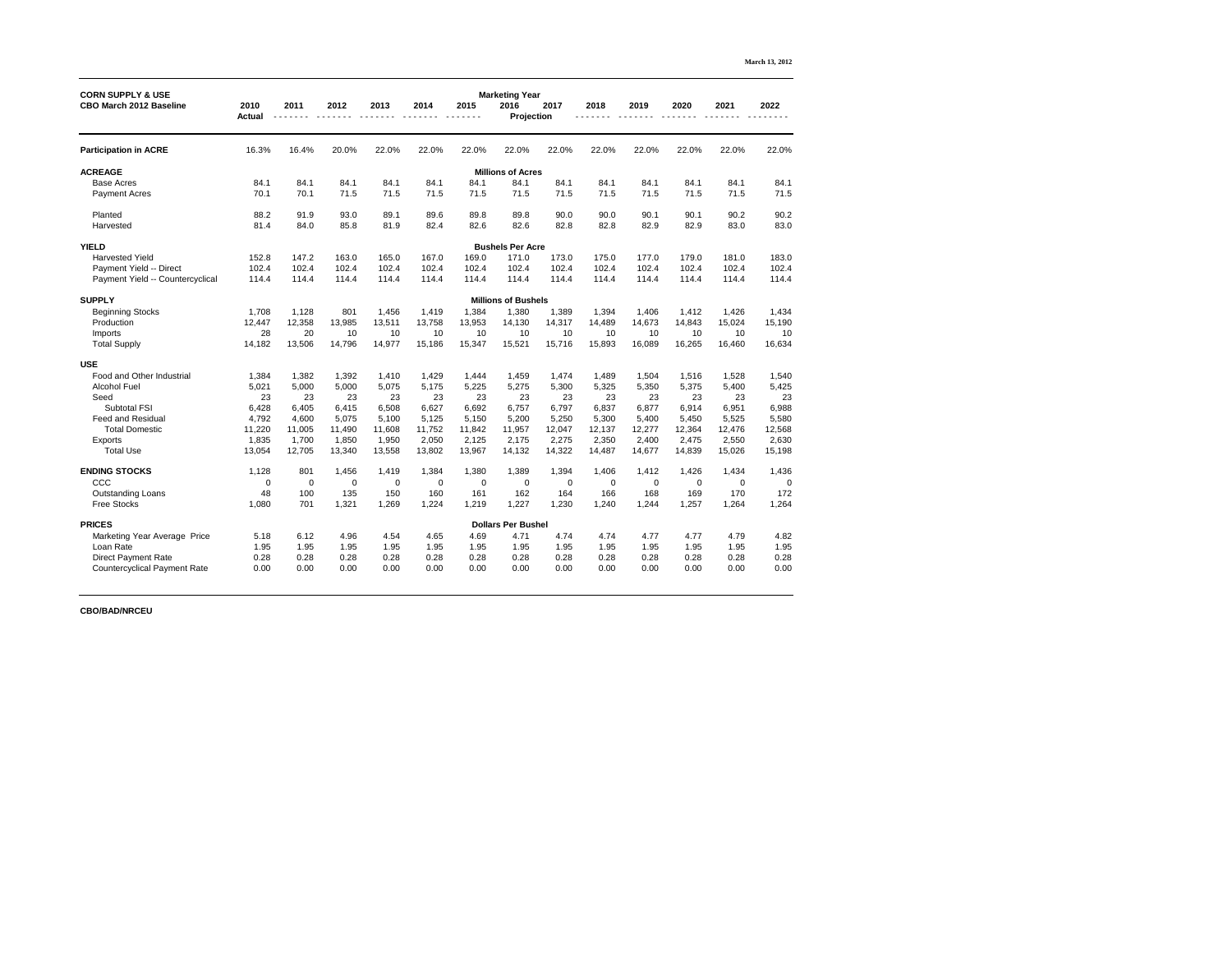|                                                                |                       |                |        |             |                |                  |                                                    |        |        |        |        |        | March 13, 2012 |
|----------------------------------------------------------------|-----------------------|----------------|--------|-------------|----------------|------------------|----------------------------------------------------|--------|--------|--------|--------|--------|----------------|
| <b>CORN SUPPLY &amp; USE</b><br><b>CBO March 2012 Baseline</b> | 2010<br><b>Actual</b> | 2011           | 2012   | 2013        | 2014           | 2015             | <b>Marketing Year</b><br>2016<br><b>Projection</b> | 2017   | 2018   | 2019   | 2020   | 2021   | 2022           |
| <b>Participation in ACRE</b>                                   | 16.3%                 | 16.4%          | 20.0%  | 22.0%       | 22.0%          | 22.0%            | 22.0%                                              | 22.0%  | 22.0%  | 22.0%  | 22.0%  | 22.0%  | 22.0%          |
| <b>ACREAGE</b>                                                 |                       |                |        |             |                |                  | <b>Millions of Acres</b>                           |        |        |        |        |        |                |
| <b>Base Acres</b>                                              | 84.1                  | 84.1           | 84.1   | 84.1        | 84.1           | 84.1             | 84.1                                               | 84.1   | 84.1   | 84.1   | 84.1   | 84.1   | 84.1           |
| <b>Payment Acres</b>                                           | 70.1                  | 70.1           | 71.5   | 71.5        | 71.5           | 71.5             | 71.5                                               | 71.5   | 71.5   | 71.5   | 71.5   | 71.5   | 71.5           |
| Planted                                                        | 88.2                  | 91.9           | 93.0   | 89.1        | 89.6           | 89.8             | 89.8                                               | 90.0   | 90.0   | 90.1   | 90.1   | 90.2   | 90.2           |
| Harvested                                                      | 81.4                  | 84.0           | 85.8   | 81.9        | 82.4           | 82.6             | 82.6                                               | 82.8   | 82.8   | 82.9   | 82.9   | 83.0   | 83.0           |
| <b>YIELD</b>                                                   |                       |                |        |             |                |                  | <b>Bushels Per Acre</b>                            |        |        |        |        |        |                |
| <b>Harvested Yield</b>                                         | 152.8                 | 147.2          | 163.0  | 165.0       | 167.0          | 169.0            | 171.0                                              | 173.0  | 175.0  | 177.0  | 179.0  | 181.0  | 183.0          |
| Payment Yield -- Direct                                        | 102.4                 | 102.4          | 102.4  | 102.4       | 102.4          | 102.4            | 102.4                                              | 102.4  | 102.4  | 102.4  | 102.4  | 102.4  | 102.4          |
| Payment Yield -- Countercyclical                               | 114.4                 | 114.4          | 114.4  | 114.4       | 114.4          | 114.4            | 114.4                                              | 114.4  | 114.4  | 114.4  | 114.4  | 114.4  | 114.4          |
| <b>SUPPLY</b>                                                  |                       |                |        |             |                |                  | <b>Millions of Bushels</b>                         |        |        |        |        |        |                |
| <b>Beginning Stocks</b>                                        | 1,708                 | 1,128          | 801    | 1,456       | 1,419          | 1,384            | 1,380                                              | 1,389  | 1,394  | 1,406  | 1,412  | 1,426  | 1,434          |
| Production                                                     | 12,447                | 12,358         | 13,985 | 13,511      | 13,758         | 13,953           | 14,130                                             | 14,317 | 14,489 | 14,673 | 14,843 | 15,024 | 15,190         |
| Imports                                                        | 28                    | 20             | 10     | 10          | 10             | 10               | 10                                                 | 10     | 10     | 10     | 10     | 10     | 10             |
| <b>Total Supply</b>                                            | 14,182                | 13,506         | 14,796 | 14,977      | 15,186         | 15,347           | 15,521                                             | 15,716 | 15,893 | 16,089 | 16,265 | 16,460 | 16,634         |
| <b>USE</b>                                                     |                       |                |        |             |                |                  |                                                    |        |        |        |        |        |                |
| Food and Other Industrial                                      | ,384                  | ,382           | 1,392  | 1,410       | ,429           | 1,444            | ,459                                               | ,474   | ,489   | ,504   | 1,516  | 1,528  | 1,540          |
| <b>Alcohol Fuel</b>                                            | 5,021                 | 5,000          | 5,000  | 5,075       | 5,175          | 5,225            | 5,275                                              | 5,300  | 5,325  | 5,350  | 5,375  | 5,400  | 5,425          |
| Seed                                                           | 23                    | 23             | 23     | 23          | 23             | 23               | 23                                                 | 23     | 23     | 23     | 23     | 23     | 23             |
| <b>Subtotal FSI</b>                                            | 6,428                 | 6,405          | 6,415  | 6,508       | 6,627          | 6,692            | 6,757                                              | 6,797  | 6,837  | 6,877  | 6,914  | 6,951  | 6,988          |
| <b>Feed and Residual</b>                                       | 4,792                 | 4,600          | 5,075  | 5,100       | 5,125          | 5,150            | 5,200                                              | 5,250  | 5,300  | 5,400  | 5,450  | 5,525  | 5,580          |
| <b>Total Domestic</b>                                          | 11,220                | 11,005         | 11,490 | 11,608      | 11,752         | 11,842           | 11,957                                             | 12,047 | 12,137 | 12,277 | 12,364 | 12,476 | 12,568         |
| <b>Exports</b>                                                 | 1,835                 | 1,700          | 1,850  | 1,950       | 2,050          | 2,125            | 2,175                                              | 2,275  | 2,350  | 2,400  | 2,475  | 2,550  | 2,630          |
| <b>Total Use</b>                                               | 13,054                | 12,705         | 13,340 | 13,558      | 13,802         | 13,967           | 14,132                                             | 14,322 | 14,487 | 14,677 | 14,839 | 15,026 | 15,198         |
| <b>ENDING STOCKS</b>                                           | 1,128                 | 801            | 1,456  | 1,419       | 1,384          | 1,380            | 1,389                                              | 1,394  | 1,406  | 1,412  | 1,426  | 1,434  | 1,436          |
| CCC                                                            | $\mathbf 0$           | $\overline{0}$ | 0      | $\mathbf 0$ | $\overline{0}$ | $\boldsymbol{0}$ | $\boldsymbol{0}$                                   | 0      | 0      | 0      | 0      | 0      | $\overline{0}$ |
| <b>Outstanding Loans</b>                                       | 48                    | 100            | 135    | 150         | 160            | 161              | 162                                                | 164    | 166    | 168    | 169    | 170    | 172            |
| <b>Free Stocks</b>                                             | 1,080                 | 701            | 1,321  | 1,269       | 1,224          | 1,219            | 1,227                                              | 1,230  | 1,240  | 1,244  | 1,257  | 1,264  | 1,264          |
| <b>PRICES</b>                                                  |                       |                |        |             |                |                  | <b>Dollars Per Bushel</b>                          |        |        |        |        |        |                |
| Marketing Year Average Price                                   | 5.18                  | 6.12           | 4.96   | 4.54        | 4.65           | 4.69             | 4.71                                               | 4.74   | 4.74   | 4.77   | 4.77   | 4.79   | 4.82           |
| Loan Rate                                                      | 1.95                  | 1.95           | 1.95   | 1.95        | 1.95           | 1.95             | 1.95                                               | 1.95   | 1.95   | 1.95   | 1.95   | 1.95   | 1.95           |
| <b>Direct Payment Rate</b>                                     | 0.28                  | 0.28           | 0.28   | 0.28        | 0.28           | 0.28             | 0.28                                               | 0.28   | 0.28   | 0.28   | 0.28   | 0.28   | 0.28           |
| <b>Countercyclical Payment Rate</b>                            | 0.00                  | 0.00           | 0.00   | 0.00        | 0.00           | 0.00             | 0.00                                               | 0.00   | 0.00   | 0.00   | 0.00   | 0.00   | 0.00           |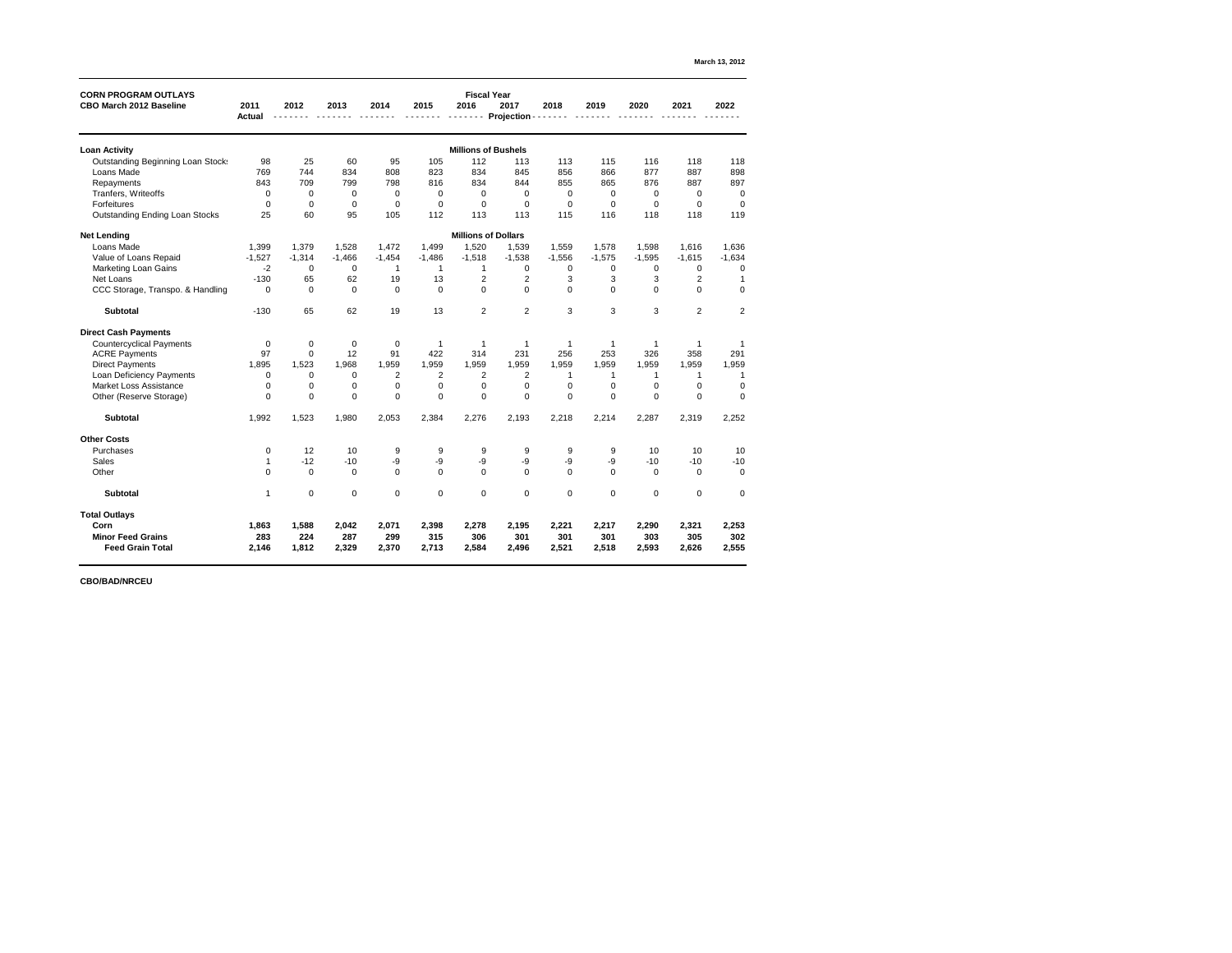| <b>CORN PROGRAM OUTLAYS</b>              |                |                |                |                |             | <b>Fiscal Year</b>         |                   |                |                |                |                  |                |
|------------------------------------------|----------------|----------------|----------------|----------------|-------------|----------------------------|-------------------|----------------|----------------|----------------|------------------|----------------|
| <b>CBO March 2012 Baseline</b>           | 2011           | 2012           | 2013           | 2014           | 2015        | 2016                       | 2017              | 2018           | 2019           | 2020           | 2021             | 2022           |
|                                          | <b>Actual</b>  |                |                |                |             |                            | <b>Projection</b> |                |                |                |                  |                |
| <b>Loan Activity</b>                     |                |                |                |                |             | <b>Millions of Bushels</b> |                   |                |                |                |                  |                |
| <b>Outstanding Beginning Loan Stock:</b> | 98             | 25             | 60             | 95             | 105         | 112                        | 113               | 113            | 115            | 116            | 118              | 118            |
| Loans Made                               | 769            | 744            | 834            | 808            | 823         | 834                        | 845               | 856            | 866            | 877            | 887              | 898            |
| Repayments                               | 843            | 709            | 799            | 798            | 816         | 834                        | 844               | 855            | 865            | 876            | 887              | 897            |
| Tranfers, Writeoffs                      | 0              | $\mathbf 0$    | $\overline{0}$ | 0              | $\mathbf 0$ | $\mathbf 0$                | $\mathbf 0$       | $\mathbf 0$    | 0              | $\mathbf 0$    | $\boldsymbol{0}$ | $\mathbf 0$    |
| <b>Forfeitures</b>                       | $\overline{0}$ | $\overline{0}$ | $\overline{0}$ | $\overline{0}$ | $\mathbf 0$ | $\mathbf 0$                | $\overline{0}$    | $\overline{0}$ | $\Omega$       | $\overline{0}$ | $\overline{0}$   | $\mathbf 0$    |
| <b>Outstanding Ending Loan Stocks</b>    | 25             | 60             | 95             | 105            | 112         | 113                        | 113               | 115            | 116            | 118            | 118              | 119            |
| <b>Net Lending</b>                       |                |                |                |                |             | <b>Millions of Dollars</b> |                   |                |                |                |                  |                |
| Loans Made                               | 1,399          | 1,379          | 1,528          | 1,472          | 1,499       | 1,520                      | 1,539             | 1,559          | 1,578          | 1,598          | 1,616            | 1,636          |
| Value of Loans Repaid                    | $-1,527$       | $-1,314$       | $-1,466$       | $-1,454$       | $-1,486$    | $-1,518$                   | $-1,538$          | $-1,556$       | $-1,575$       | $-1,595$       | $-1,615$         | $-1,634$       |
| <b>Marketing Loan Gains</b>              | $-2$           | 0              | $\overline{0}$ |                |             |                            | $\mathbf 0$       | $\mathbf 0$    | $\Omega$       | 0              | 0                | $\mathbf 0$    |
| Net Loans                                | $-130$         | 65             | 62             | 19             | 13          | $\overline{2}$             | $\overline{2}$    | 3              | 3              | 3              | $\overline{2}$   |                |
| CCC Storage, Transpo. & Handling         | $\mathbf 0$    | $\Omega$       | $\overline{0}$ | $\mathbf 0$    | $\mathbf 0$ | $\overline{0}$             | $\overline{0}$    | $\overline{0}$ | $\overline{0}$ | $\mathbf 0$    | $\mathbf{0}$     | $\mathbf 0$    |
| <b>Subtotal</b>                          | $-130$         | 65             | 62             | 19             | 13          | $\overline{2}$             | $\overline{2}$    | 3              | 3              | 3              | $\overline{2}$   | $\overline{2}$ |
| <b>Direct Cash Payments</b>              |                |                |                |                |             |                            |                   |                |                |                |                  |                |
| <b>Countercyclical Payments</b>          | $\mathbf 0$    | 0              | $\overline{0}$ | $\mathbf 0$    |             |                            |                   |                |                |                |                  |                |
| <b>ACRE Payments</b>                     | 97             | $\mathbf 0$    | 12             | 91             | 422         | 314                        | 231               | 256            | 253            | 326            | 358              | 291            |
| <b>Direct Payments</b>                   | 1,895          | 1,523          | 1,968          | 1,959          | 1,959       | 1,959                      | 1,959             | 1,959          | 1,959          | 1,959          | 1,959            | 1,959          |
| Loan Deficiency Payments                 | $\overline{0}$ | 0              | 0              | 2              | 2           | 2                          | $\overline{2}$    |                |                |                |                  |                |
| <b>Market Loss Assistance</b>            | 0              | 0              | 0              | 0              |             | $\Omega$                   | $\Omega$          | $\Omega$       |                |                |                  | $\overline{0}$ |
| Other (Reserve Storage)                  | $\Omega$       |                |                |                |             | $\Omega$                   |                   |                |                |                |                  | 0              |
| <b>Subtotal</b>                          | 1,992          | 1,523          | 1,980          | 2,053          | 2,384       | 2,276                      | 2,193             | 2,218          | 2,214          | 2,287          | 2,319            | 2,252          |
| <b>Other Costs</b>                       |                |                |                |                |             |                            |                   |                |                |                |                  |                |
| Purchases                                | $\mathbf 0$    | 12             | 10             | 9              | 9           | $9\,$                      | 9                 | 9              | 9              | 10             | 10               | 10             |
| <b>Sales</b>                             | 1              | $-12$          | $-10$          | -9             | $-9$        | -9                         | $-9$              | -9             | $-9$           | $-10$          | $-10$            | $-10$          |
| Other                                    | $\mathbf 0$    | $\mathbf 0$    | $\overline{0}$ | $\overline{0}$ | $\mathbf 0$ | $\mathbf 0$                | $\mathbf 0$       | $\mathbf 0$    | $\mathbf 0$    | $\mathbf 0$    | $\mathbf 0$      | $\overline{0}$ |
| <b>Subtotal</b>                          | $\overline{1}$ | 0              | $\overline{0}$ | $\pmb{0}$      | $\pmb{0}$   | $\pmb{0}$                  | $\overline{0}$    | $\mathbf 0$    | $\pmb{0}$      | $\pmb{0}$      | $\pmb{0}$        | $\overline{0}$ |
| <b>Total Outlays</b>                     |                |                |                |                |             |                            |                   |                |                |                |                  |                |
| Corn                                     | 1,863          | 1,588          | 2,042          | 2,071          | 2,398       | 2,278                      | 2,195             | 2,221          | 2,217          | 2,290          | 2,321            | 2,253          |
| <b>Minor Feed Grains</b>                 | 283            | 224            | 287            | 299            | 315         | 306                        | 301               | 301            | 301            | 303            | 305              | 302            |
| <b>Feed Grain Total</b>                  | 2,146          | 1,812          | 2,329          | 2,370          | 2,713       | 2,584                      | 2,496             | 2,521          | 2,518          | 2,593          | 2,626            | 2,555          |
|                                          |                |                |                |                |             |                            |                   |                |                |                |                  |                |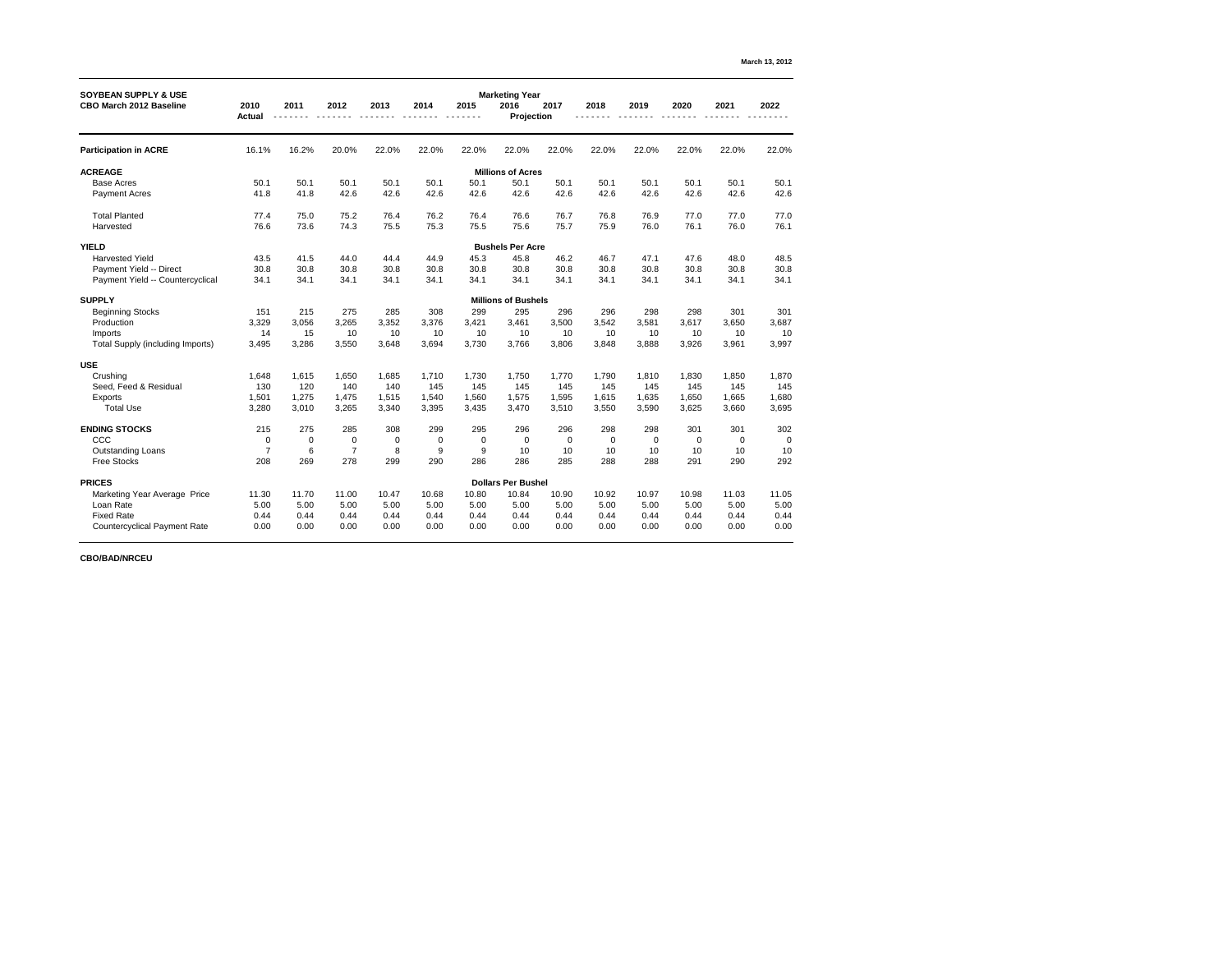| <b>SOYBEAN SUPPLY &amp; USE</b>         |                       |                  |                |       |       |                | <b>Marketing Year</b>      |             |                |                |                  |       |                |
|-----------------------------------------|-----------------------|------------------|----------------|-------|-------|----------------|----------------------------|-------------|----------------|----------------|------------------|-------|----------------|
| <b>CBO March 2012 Baseline</b>          | 2010<br><b>Actual</b> | 2011             | 2012           | 2013  | 2014  | 2015           | 2016<br><b>Projection</b>  | 2017        | 2018           | 2019           | 2020             | 2021  | 2022           |
| <b>Participation in ACRE</b>            | 16.1%                 | 16.2%            | 20.0%          | 22.0% | 22.0% | 22.0%          | 22.0%                      | 22.0%       | 22.0%          | 22.0%          | 22.0%            | 22.0% | 22.0%          |
| <b>ACREAGE</b>                          |                       |                  |                |       |       |                | <b>Millions of Acres</b>   |             |                |                |                  |       |                |
| <b>Base Acres</b>                       | 50.1                  | 50.1             | 50.1           | 50.1  | 50.1  | 50.1           | 50.1                       | 50.1        | 50.1           | 50.1           | 50.1             | 50.1  | 50.1           |
| <b>Payment Acres</b>                    | 41.8                  | 41.8             | 42.6           | 42.6  | 42.6  | 42.6           | 42.6                       | 42.6        | 42.6           | 42.6           | 42.6             | 42.6  | 42.6           |
| <b>Total Planted</b>                    | 77.4                  | 75.0             | 75.2           | 76.4  | 76.2  | 76.4           | 76.6                       | 76.7        | 76.8           | 76.9           | 77.0             | 77.0  | 77.0           |
| Harvested                               | 76.6                  | 73.6             | 74.3           | 75.5  | 75.3  | 75.5           | 75.6                       | 75.7        | 75.9           | 76.0           | 76.1             | 76.0  | 76.1           |
| <b>YIELD</b>                            |                       |                  |                |       |       |                | <b>Bushels Per Acre</b>    |             |                |                |                  |       |                |
| <b>Harvested Yield</b>                  | 43.5                  | 41.5             | 44.0           | 44.4  | 44.9  | 45.3           | 45.8                       | 46.2        | 46.7           | 47.1           | 47.6             | 48.0  | 48.5           |
| Payment Yield -- Direct                 | 30.8                  | 30.8             | 30.8           | 30.8  | 30.8  | 30.8           | 30.8                       | 30.8        | 30.8           | 30.8           | 30.8             | 30.8  | 30.8           |
| Payment Yield -- Countercyclical        | 34.1                  | 34.1             | 34.1           | 34.1  | 34.1  | 34.1           | 34.1                       | 34.1        | 34.1           | 34.1           | 34.1             | 34.1  | 34.1           |
| <b>SUPPLY</b>                           |                       |                  |                |       |       |                | <b>Millions of Bushels</b> |             |                |                |                  |       |                |
| <b>Beginning Stocks</b>                 | 151                   | 215              | 275            | 285   | 308   | 299            | 295                        | 296         | 296            | 298            | 298              | 301   | 301            |
| Production                              | 3,329                 | 3,056            | 3,265          | 3,352 | 3,376 | 3,421          | 3,461                      | 3,500       | 3,542          | 3,581          | 3,617            | 3,650 | 3,687          |
| <b>Imports</b>                          | 14                    | 15               | 10             | 10    | 10    | 10             | 10                         | 10          | 10             | 10             | 10               | 10    | 10             |
| <b>Total Supply (including Imports)</b> | 3,495                 | 3,286            | 3,550          | 3,648 | 3,694 | 3,730          | 3,766                      | 3,806       | 3,848          | 3,888          | 3,926            | 3,961 | 3,997          |
| <b>USE</b>                              |                       |                  |                |       |       |                |                            |             |                |                |                  |       |                |
| Crushing                                | 1,648                 | 1,615            | 1,650          | 1,685 | 1,710 | 1,730          | 1,750                      | 1,770       | 1,790          | 1,810          | 1,830            | 1,850 | 1,870          |
| Seed, Feed & Residual                   | 130                   | 120              | 140            | 140   | 145   | 145            | 145                        | 145         | 145            | 145            | 145              | 145   | 145            |
| Exports                                 | 1,501                 | 1,275            | 1,475          | 1,515 | 1,540 | 1,560          | 1,575                      | 1,595       | 1,615          | 1,635          | 1,650            | 1,665 | 1,680          |
| <b>Total Use</b>                        | 3,280                 | 3,010            | 3,265          | 3,340 | 3,395 | 3,435          | 3,470                      | 3,510       | 3,550          | 3,590          | 3,625            | 3,660 | 3,695          |
| <b>ENDING STOCKS</b>                    | 215                   | 275              | 285            | 308   | 299   | 295            | 296                        | 296         | 298            | 298            | 301              | 301   | 302            |
| CCC                                     | $\overline{0}$        | $\boldsymbol{0}$ | $\mathbf 0$    | 0     | 0     | $\overline{0}$ | $\boldsymbol{0}$           | $\mathbf 0$ | $\overline{0}$ | $\overline{0}$ | $\boldsymbol{0}$ | -0    | $\overline{0}$ |
| <b>Outstanding Loans</b>                |                       | $6\phantom{1}6$  | $\overline{7}$ | 8     | 9     | 9              | 10                         | 10          | 10             | 10             | 10               | 10    | 10             |
| <b>Free Stocks</b>                      | 208                   | 269              | 278            | 299   | 290   | 286            | 286                        | 285         | 288            | 288            | 291              | 290   | 292            |
| <b>PRICES</b>                           |                       |                  |                |       |       |                | <b>Dollars Per Bushel</b>  |             |                |                |                  |       |                |
| Marketing Year Average Price            | 11.30                 | 11.70            | 11.00          | 10.47 | 10.68 | 10.80          | 10.84                      | 10.90       | 10.92          | 10.97          | 10.98            | 11.03 | 11.05          |
| Loan Rate                               | 5.00                  | 5.00             | 5.00           | 5.00  | 5.00  | 5.00           | 5.00                       | 5.00        | 5.00           | 5.00           | 5.00             | 5.00  | 5.00           |
| <b>Fixed Rate</b>                       | 0.44                  | 0.44             | 0.44           | 0.44  | 0.44  | 0.44           | 0.44                       | 0.44        | 0.44           | 0.44           | 0.44             | 0.44  | 0.44           |
| <b>Countercyclical Payment Rate</b>     | 0.00                  | 0.00             | 0.00           | 0.00  | 0.00  | 0.00           | 0.00                       | 0.00        | 0.00           | 0.00           | 0.00             | 0.00  | 0.00           |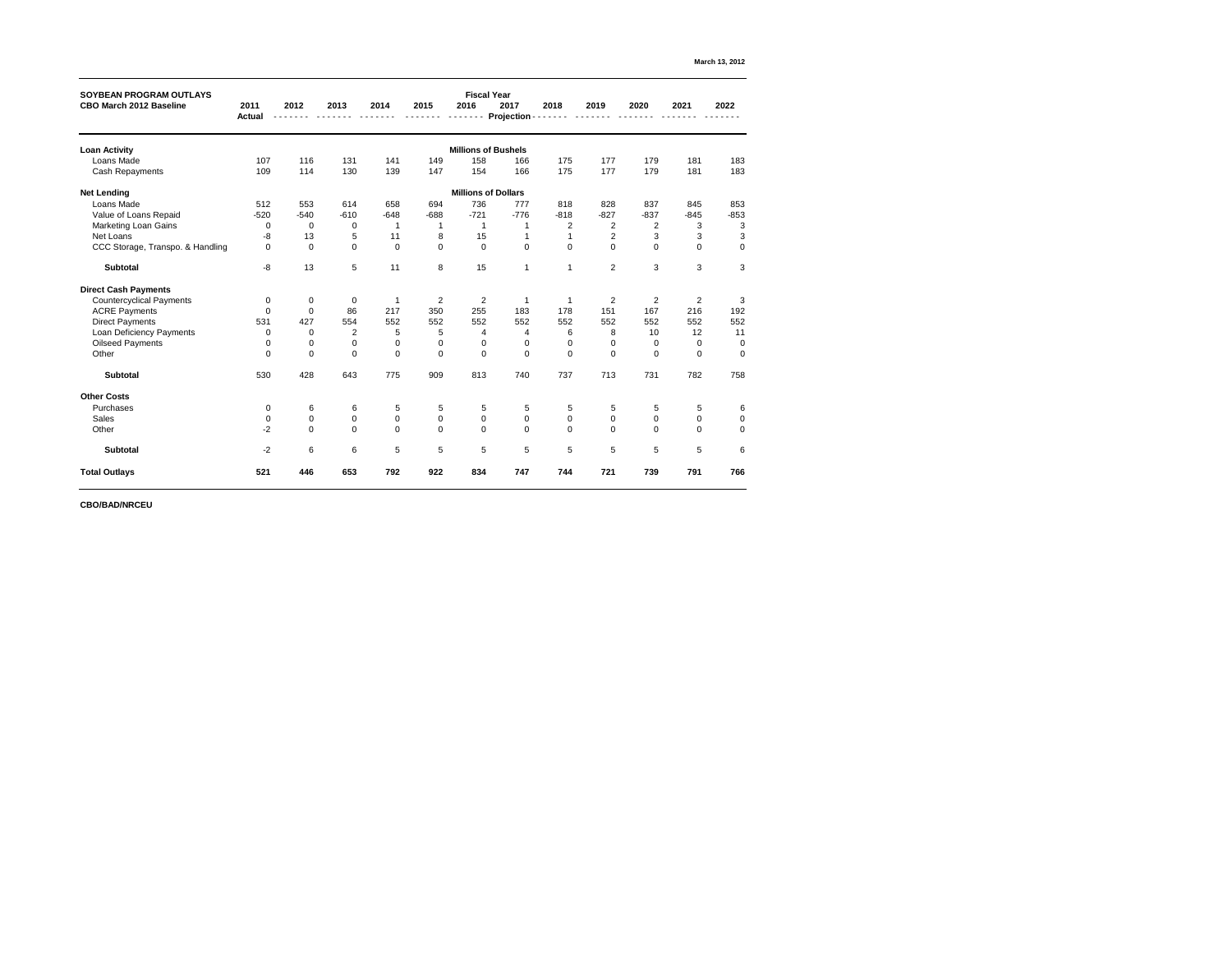| <b>SOYBEAN PROGRAM OUTLAYS</b>   |               |                |                 |                |                  | <b>Fiscal Year</b>         |              |                |                |                |                  |                |
|----------------------------------|---------------|----------------|-----------------|----------------|------------------|----------------------------|--------------|----------------|----------------|----------------|------------------|----------------|
| <b>CBO March 2012 Baseline</b>   | 2011          | 2012           | 2013            | 2014           | 2015             | 2016                       | 2017         | 2018           | 2019           | 2020           | 2021             | 2022           |
|                                  | <b>Actual</b> |                |                 |                |                  |                            | Projection - |                |                |                |                  |                |
| <b>Loan Activity</b>             |               |                |                 |                |                  | <b>Millions of Bushels</b> |              |                |                |                |                  |                |
| Loans Made                       | 107           | 116            | 131             | 141            | 149              | 158                        | 166          | 175            | 177            | 179            | 181              | 183            |
| <b>Cash Repayments</b>           | 109           | 114            | 130             | 139            | 147              | 154                        | 166          | 175            | 177            | 179            | 181              | 183            |
| <b>Net Lending</b>               |               |                |                 |                |                  | <b>Millions of Dollars</b> |              |                |                |                |                  |                |
| Loans Made                       | 512           | 553            | 614             | 658            | 694              | 736                        | 777          | 818            | 828            | 837            | 845              | 853            |
| Value of Loans Repaid            | $-520$        | $-540$         | $-610$          | $-648$         | $-688$           | $-721$                     | $-776$       | $-818$         | $-827$         | $-837$         | $-845$           | $-853$         |
| <b>Marketing Loan Gains</b>      | $\mathbf 0$   | $\overline{0}$ | $\mathbf 0$     |                |                  |                            |              | $\overline{2}$ | $\overline{2}$ | $\overline{2}$ | 3                | $\mathfrak{B}$ |
| <b>Net Loans</b>                 | -8            | 13             | 5               | 11             | 8                | 15                         |              |                | $\overline{2}$ | 3              | 3                | 3              |
| CCC Storage, Transpo. & Handling | $\pmb{0}$     | $\mathbf 0$    | $\mathbf 0$     | $\mathbf 0$    | $\pmb{0}$        | $\mathbf 0$                | $\mathbf 0$  | $\mathbf 0$    | $\mathbf 0$    | $\pmb{0}$      | $\boldsymbol{0}$ | $\pmb{0}$      |
| <b>Subtotal</b>                  | $-8$          | 13             | $5\phantom{.0}$ | 11             | 8                | 15                         | 1            | 1              | 2              | 3              | 3                | 3              |
| <b>Direct Cash Payments</b>      |               |                |                 |                |                  |                            |              |                |                |                |                  |                |
| <b>Countercyclical Payments</b>  | $\mathbf 0$   | 0              | $\overline{0}$  | -1             | $\overline{2}$   | $\overline{2}$             | 1            |                | $\overline{2}$ | $\overline{2}$ | $\overline{2}$   | 3              |
| <b>ACRE Payments</b>             | $\mathbf 0$   | $\overline{0}$ | 86              | 217            | 350              | 255                        | 183          | 178            | 151            | 167            | 216              | 192            |
| <b>Direct Payments</b>           | 531           | 427            | 554             | 552            | 552              | 552                        | 552          | 552            | 552            | 552            | 552              | 552            |
| Loan Deficiency Payments         | $\mathbf 0$   | $\mathbf 0$    | $\overline{2}$  | 5              | 5                | 4                          | 4            | 6              | 8              | 10             | 12               | 11             |
| <b>Oilseed Payments</b>          | $\mathbf 0$   | $\mathbf 0$    | $\mathbf 0$     | $\mathbf 0$    | $\pmb{0}$        | $\mathbf 0$                | 0            | $\overline{0}$ | 0              | $\mathbf 0$    | $\overline{0}$   | $\pmb{0}$      |
| Other                            | $\mathbf 0$   | 0              | $\overline{0}$  | $\mathbf 0$    | $\boldsymbol{0}$ | $\Omega$                   | 0            | $\Omega$       | $\mathbf 0$    | $\mathbf 0$    | $\Omega$         | 0              |
| <b>Subtotal</b>                  | 530           | 428            | 643             | 775            | 909              | 813                        | 740          | 737            | 713            | 731            | 782              | 758            |
| <b>Other Costs</b>               |               |                |                 |                |                  |                            |              |                |                |                |                  |                |
| Purchases                        | $\mathbf 0$   | 6              | 6               | 5              | 5                | 5                          | 5            | 5              | 5              | 5              | 5                | 6              |
| <b>Sales</b>                     | $\pmb{0}$     | 0              | $\pmb{0}$       | $\pmb{0}$      | $\pmb{0}$        | $\pmb{0}$                  | 0            | $\pmb{0}$      | 0              | 0              | $\pmb{0}$        | 0              |
| Other                            | $-2$          | $\mathbf 0$    | $\overline{0}$  | $\overline{0}$ | $\boldsymbol{0}$ | $\overline{0}$             | $\mathbf 0$  | $\mathbf{0}$   | $\mathbf 0$    | $\overline{0}$ | $\overline{0}$   | 0              |
| <b>Subtotal</b>                  | $-2$          | 6              | 6               | $\sqrt{5}$     | 5                | 5                          | 5            | 5              | 5              | $\overline{5}$ | 5                | 6              |
| <b>Total Outlays</b>             | 521           | 446            | 653             | 792            | 922              | 834                        | 747          | 744            | 721            | 739            | 791              | 766            |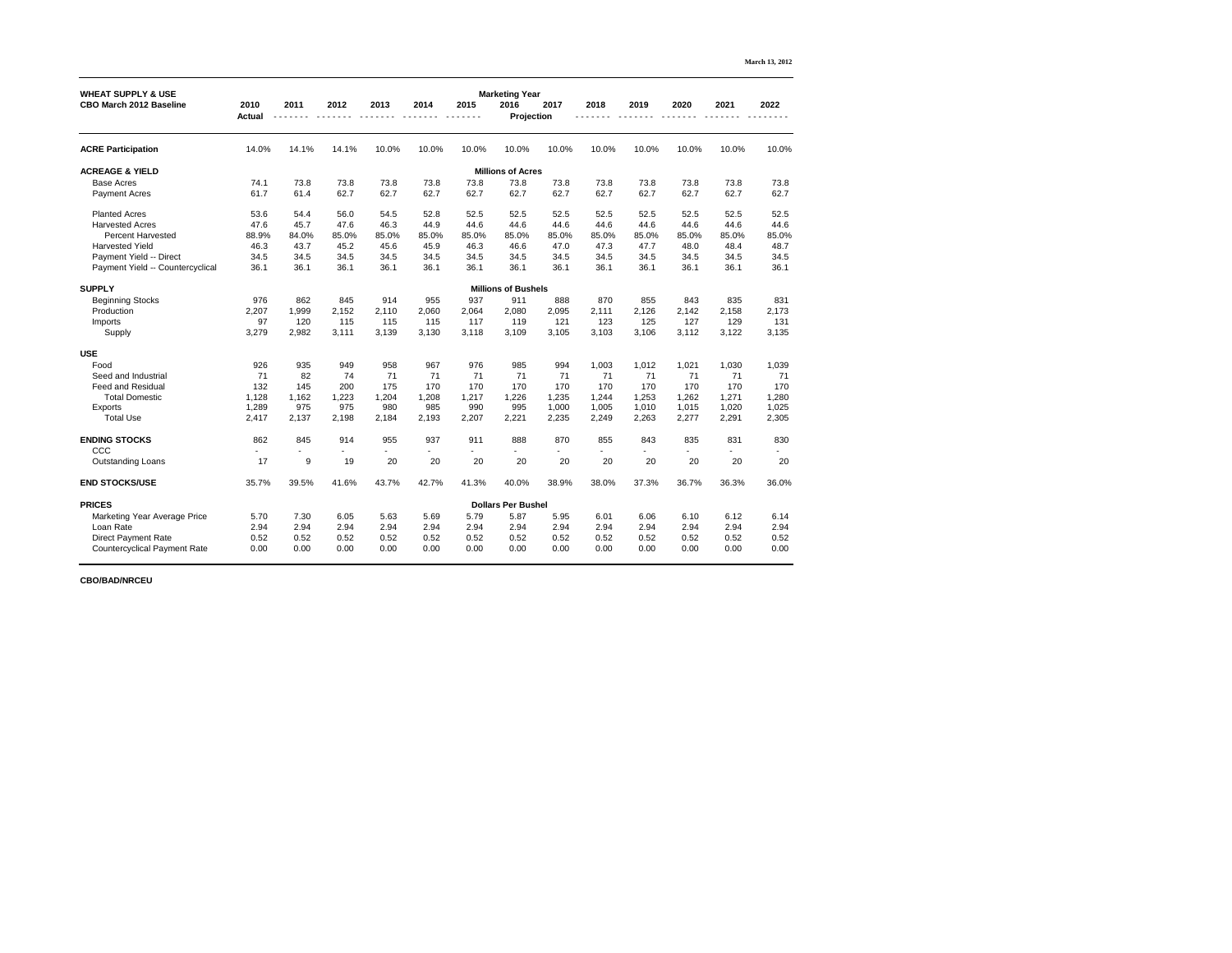|                                                                 |                       |       |       |       |       |       |                                                    |       |       |       |       |       | March 13, 2012 |
|-----------------------------------------------------------------|-----------------------|-------|-------|-------|-------|-------|----------------------------------------------------|-------|-------|-------|-------|-------|----------------|
| <b>WHEAT SUPPLY &amp; USE</b><br><b>CBO March 2012 Baseline</b> | 2010<br><b>Actual</b> | 2011  | 2012  | 2013  | 2014  | 2015  | <b>Marketing Year</b><br>2016<br><b>Projection</b> | 2017  | 2018  | 2019  | 2020  | 2021  | 2022           |
|                                                                 |                       |       |       |       |       |       |                                                    |       |       |       |       |       |                |
| <b>ACRE Participation</b>                                       | 14.0%                 | 14.1% | 14.1% | 10.0% | 10.0% | 10.0% | 10.0%                                              | 10.0% | 10.0% | 10.0% | 10.0% | 10.0% | 10.0%          |
| <b>ACREAGE &amp; YIELD</b>                                      |                       |       |       |       |       |       | <b>Millions of Acres</b>                           |       |       |       |       |       |                |
| <b>Base Acres</b>                                               | 74.1                  | 73.8  | 73.8  | 73.8  | 73.8  | 73.8  | 73.8                                               | 73.8  | 73.8  | 73.8  | 73.8  | 73.8  | 73.8           |
| <b>Payment Acres</b>                                            | 61.7                  | 61.4  | 62.7  | 62.7  | 62.7  | 62.7  | 62.7                                               | 62.7  | 62.7  | 62.7  | 62.7  | 62.7  | 62.7           |
| <b>Planted Acres</b>                                            | 53.6                  | 54.4  | 56.0  | 54.5  | 52.8  | 52.5  | 52.5                                               | 52.5  | 52.5  | 52.5  | 52.5  | 52.5  | 52.5           |
| <b>Harvested Acres</b>                                          | 47.6                  | 45.7  | 47.6  | 46.3  | 44.9  | 44.6  | 44.6                                               | 44.6  | 44.6  | 44.6  | 44.6  | 44.6  | 44.6           |
| <b>Percent Harvested</b>                                        | 88.9%                 | 84.0% | 85.0% | 85.0% | 85.0% | 85.0% | 85.0%                                              | 85.0% | 85.0% | 85.0% | 85.0% | 85.0% | 85.0%          |
| <b>Harvested Yield</b>                                          | 46.3                  | 43.7  | 45.2  | 45.6  | 45.9  | 46.3  | 46.6                                               | 47.0  | 47.3  | 47.7  | 48.0  | 48.4  | 48.7           |
| Payment Yield -- Direct                                         | 34.5                  | 34.5  | 34.5  | 34.5  | 34.5  | 34.5  | 34.5                                               | 34.5  | 34.5  | 34.5  | 34.5  | 34.5  | 34.5           |
| Payment Yield -- Countercyclical                                | 36.1                  | 36.1  | 36.1  | 36.1  | 36.1  | 36.1  | 36.1                                               | 36.1  | 36.1  | 36.1  | 36.1  | 36.1  | 36.1           |
| <b>SUPPLY</b>                                                   |                       |       |       |       |       |       | <b>Millions of Bushels</b>                         |       |       |       |       |       |                |
| <b>Beginning Stocks</b>                                         | 976                   | 862   | 845   | 914   | 955   | 937   | 911                                                | 888   | 870   | 855   | 843   | 835   | 831            |
| Production                                                      | 2,207                 | 1,999 | 2,152 | 2,110 | 2,060 | 2,064 | 2,080                                              | 2,095 | 2,111 | 2,126 | 2,142 | 2,158 | 2,173          |
| Imports                                                         | 97                    | 120   | 115   | 115   | 115   | 117   | 119                                                | 121   | 123   | 125   | 127   | 129   | 131            |
| Supply                                                          | 3,279                 | 2,982 | 3,111 | 3,139 | 3,130 | 3,118 | 3,109                                              | 3,105 | 3,103 | 3,106 | 3,112 | 3,122 | 3,135          |
| <b>USE</b>                                                      |                       |       |       |       |       |       |                                                    |       |       |       |       |       |                |
| Food                                                            | 926                   | 935   | 949   | 958   | 967   | 976   | 985                                                | 994   | 1,003 | 1,012 | 1,021 | 1,030 | 1,039          |
| Seed and Industrial                                             | 71                    | 82    | 74    | 71    | 71    | 71    | 71                                                 | 71    | 71    | 71    | 71    | 71    | 71             |
| <b>Feed and Residual</b>                                        | 132                   | 145   | 200   | 175   | 170   | 170   | 170                                                | 170   | 170   | 170   | 170   | 170   | 170            |
| <b>Total Domestic</b>                                           | 1,128                 | 1,162 | 1,223 | 1,204 | 1,208 | 1,217 | 1,226                                              | 1,235 | 1,244 | 1,253 | 1,262 | 1,271 | 1,280          |
| Exports                                                         | 1,289                 | 975   | 975   | 980   | 985   | 990   | 995                                                | 1,000 | 1,005 | 1,010 | 1,015 | 1,020 | 1,025          |
| <b>Total Use</b>                                                | 2,417                 | 2,137 | 2,198 | 2,184 | 2,193 | 2,207 | 2,221                                              | 2,235 | 2,249 | 2,263 | 2,277 | 2,291 | 2,305          |
| <b>ENDING STOCKS</b>                                            | 862                   | 845   | 914   | 955   | 937   | 911   | 888                                                | 870   | 855   | 843   | 835   | 831   | 830            |
| CCC                                                             |                       |       |       |       |       |       |                                                    |       |       |       |       |       |                |
| <b>Outstanding Loans</b>                                        | 17                    | $9\,$ | 19    | 20    | 20    | 20    | 20                                                 | 20    | 20    | 20    | 20    | 20    | 20             |
| <b>END STOCKS/USE</b>                                           | 35.7%                 | 39.5% | 41.6% | 43.7% | 42.7% | 41.3% | 40.0%                                              | 38.9% | 38.0% | 37.3% | 36.7% | 36.3% | 36.0%          |
| <b>PRICES</b>                                                   |                       |       |       |       |       |       | <b>Dollars Per Bushel</b>                          |       |       |       |       |       |                |
| <b>Marketing Year Average Price</b>                             | 5.70                  | 7.30  | 6.05  | 5.63  | 5.69  | 5.79  | 5.87                                               | 5.95  | 6.01  | 6.06  | 6.10  | 6.12  | 6.14           |
| Loan Rate                                                       | 2.94                  | 2.94  | 2.94  | 2.94  | 2.94  | 2.94  | 2.94                                               | 2.94  | 2.94  | 2.94  | 2.94  | 2.94  | 2.94           |
| <b>Direct Payment Rate</b>                                      | 0.52                  | 0.52  | 0.52  | 0.52  | 0.52  | 0.52  | 0.52                                               | 0.52  | 0.52  | 0.52  | 0.52  | 0.52  | 0.52           |
| <b>Countercyclical Payment Rate</b>                             | 0.00                  | 0.00  | 0.00  | 0.00  | 0.00  | 0.00  | 0.00                                               | 0.00  | 0.00  | 0.00  | 0.00  | 0.00  | 0.00           |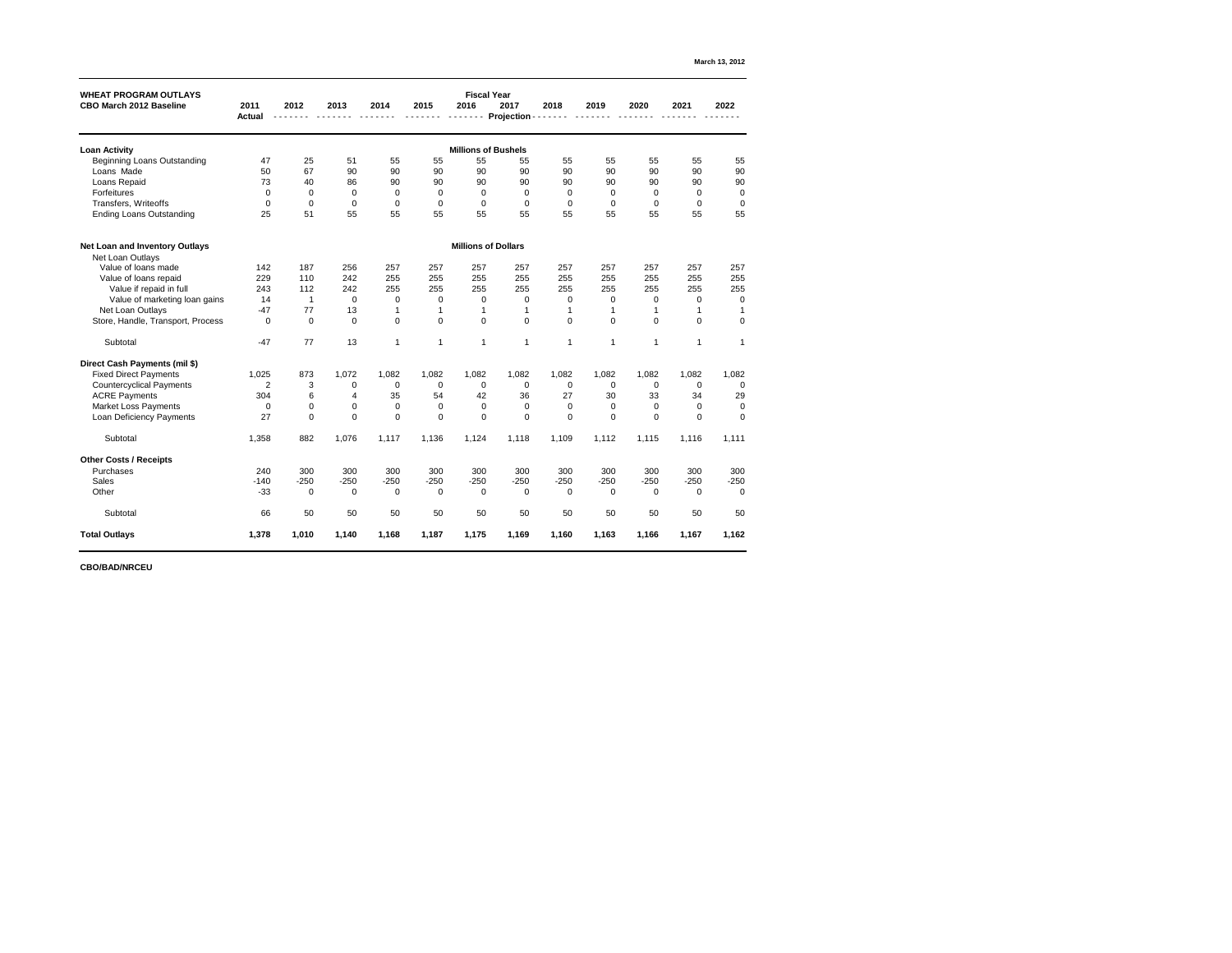| <b>WHEAT PROGRAM OUTLAYS</b>          |                       |                |                |             |                  |                | <b>Fiscal Year</b>         |                |                |                |                |                |
|---------------------------------------|-----------------------|----------------|----------------|-------------|------------------|----------------|----------------------------|----------------|----------------|----------------|----------------|----------------|
| <b>CBO March 2012 Baseline</b>        | 2011<br><b>Actual</b> | 2012           | 2013           | 2014        | 2015             | 2016           | 2017<br><b>Projection</b>  | 2018           | 2019           | 2020           | 2021           | 2022           |
|                                       |                       |                |                |             |                  |                |                            |                |                |                |                |                |
| <b>Loan Activity</b>                  |                       |                |                |             |                  |                | <b>Millions of Bushels</b> |                |                |                |                |                |
| <b>Beginning Loans Outstanding</b>    | 47                    | 25             | 51             | 55          | 55               | 55             | 55                         | 55             | 55             | 55             | 55             | 55             |
| Loans Made                            | 50                    | 67             | 90             | 90          | 90               | 90             | 90                         | 90             | 90             | 90             | 90             | 90             |
| Loans Repaid                          | 73                    | 40             | 86             | 90          | 90               | 90             | 90                         | 90             | 90             | 90             | 90             | 90             |
| <b>Forfeitures</b>                    | $\mathbf 0$           | $\mathbf 0$    | $\mathbf 0$    | $\mathbf 0$ | $\mathbf 0$      | $\overline{0}$ | 0                          | 0              | $\overline{0}$ | $\mathbf 0$    | $\overline{0}$ | $\mathbf 0$    |
| Transfers, Writeoffs                  | $\mathbf 0$           | $\mathbf 0$    | $\overline{0}$ | $\mathbf 0$ | $\mathbf 0$      | $\mathbf 0$    | 0                          | $\overline{0}$ | $\mathbf 0$    | 0              | $\mathbf 0$    | $\mathbf 0$    |
| <b>Ending Loans Outstanding</b>       | 25                    | 51             | 55             | 55          | 55               | 55             | 55                         | 55             | 55             | 55             | 55             | 55             |
| <b>Net Loan and Inventory Outlays</b> |                       |                |                |             |                  |                | <b>Millions of Dollars</b> |                |                |                |                |                |
| Net Loan Outlays                      |                       |                |                |             |                  |                |                            |                |                |                |                |                |
| Value of loans made                   | 142                   | 187            | 256            | 257         | 257              | 257            | 257                        | 257            | 257            | 257            | 257            | 257            |
| Value of loans repaid                 | 229                   | 110            | 242            | 255         | 255              | 255            | 255                        | 255            | 255            | 255            | 255            | 255            |
| Value if repaid in full               | 243                   | 112            | 242            | 255         | 255              | 255            | 255                        | 255            | 255            | 255            | 255            | 255            |
| Value of marketing loan gains         | 14                    | $\mathbf 1$    | $\mathbf 0$    | $\mathbf 0$ | 0                | 0              | 0                          | 0              | 0              | 0              | $\mathbf 0$    | $\overline{0}$ |
| Net Loan Outlays                      | $-47$                 | 77             | 13             |             |                  |                |                            |                |                |                |                |                |
| Store, Handle, Transport, Process     | $\mathbf 0$           | $\overline{0}$ | $\mathbf 0$    | $\mathbf 0$ | $\boldsymbol{0}$ | $\mathbf 0$    | $\overline{0}$             | $\overline{0}$ | $\overline{0}$ | $\mathbf 0$    | $\mathbf 0$    | $\mathbf 0$    |
| Subtotal                              | $-47$                 | 77             | 13             | 1           | $\mathbf{1}$     | 1              | 1                          | 1              | -1             | 1              |                |                |
| <b>Direct Cash Payments (mil \$)</b>  |                       |                |                |             |                  |                |                            |                |                |                |                |                |
| <b>Fixed Direct Payments</b>          | 1,025                 | 873            | 1,072          | 1,082       | 1,082            | 1,082          | 1,082                      | 1,082          | 1,082          | 1,082          | 1,082          | 1,082          |
| <b>Countercyclical Payments</b>       | $\overline{2}$        | 3              | 0              | $\mathbf 0$ | $\overline{0}$   | $\mathbf 0$    | 0                          | $\mathbf 0$    | $\mathbf 0$    | $\mathbf 0$    | $\overline{0}$ | $\mathbf 0$    |
| <b>ACRE Payments</b>                  | 304                   | 6              | 4              | 35          | 54               | 42             | 36                         | 27             | 30             | 33             | 34             | 29             |
| <b>Market Loss Payments</b>           | $\mathbf 0$           | 0              | $\mathbf 0$    | $\pmb{0}$   | $\mathbf 0$      | $\mathbf 0$    | 0                          | $\mathbf 0$    | $\mathbf 0$    | $\mathbf 0$    | $\overline{0}$ | 0              |
| <b>Loan Deficiency Payments</b>       | 27                    | $\mathbf 0$    | $\mathbf 0$    | $\mathbf 0$ | $\mathbf 0$      | $\overline{0}$ | $\mathbf 0$                | $\overline{0}$ | $\mathbf 0$    | $\overline{0}$ | $\mathbf 0$    | $\pmb{0}$      |
| Subtotal                              | 1,358                 | 882            | 1,076          | 1,117       | 1,136            | 1,124          | 1,118                      | 1,109          | 1,112          | 1,115          | 1,116          | 1,111          |
| <b>Other Costs / Receipts</b>         |                       |                |                |             |                  |                |                            |                |                |                |                |                |
| Purchases                             | 240                   | 300            | 300            | 300         | 300              | 300            | 300                        | 300            | 300            | 300            | 300            | 300            |
| <b>Sales</b>                          | $-140$                | $-250$         | $-250$         | $-250$      | $-250$           | $-250$         | $-250$                     | $-250$         | $-250$         | $-250$         | $-250$         | $-250$         |
| Other                                 | $-33$                 | $\overline{0}$ | $\mathbf 0$    | $\mathbf 0$ | $\overline{0}$   | $\mathbf 0$    | $\boldsymbol{0}$           | $\overline{0}$ | $\overline{0}$ | $\mathbf 0$    | $\mathbf 0$    | $\mathbf 0$    |
| Subtotal                              | 66                    | 50             | 50             | 50          | 50               | 50             | 50                         | 50             | 50             | 50             | 50             | 50             |
| <b>Total Outlays</b>                  | 1,378                 | 1,010          | 1,140          | 1,168       | 1,187            | 1,175          | 1,169                      | 1,160          | 1,163          | 1,166          | 1,167          | 1,162          |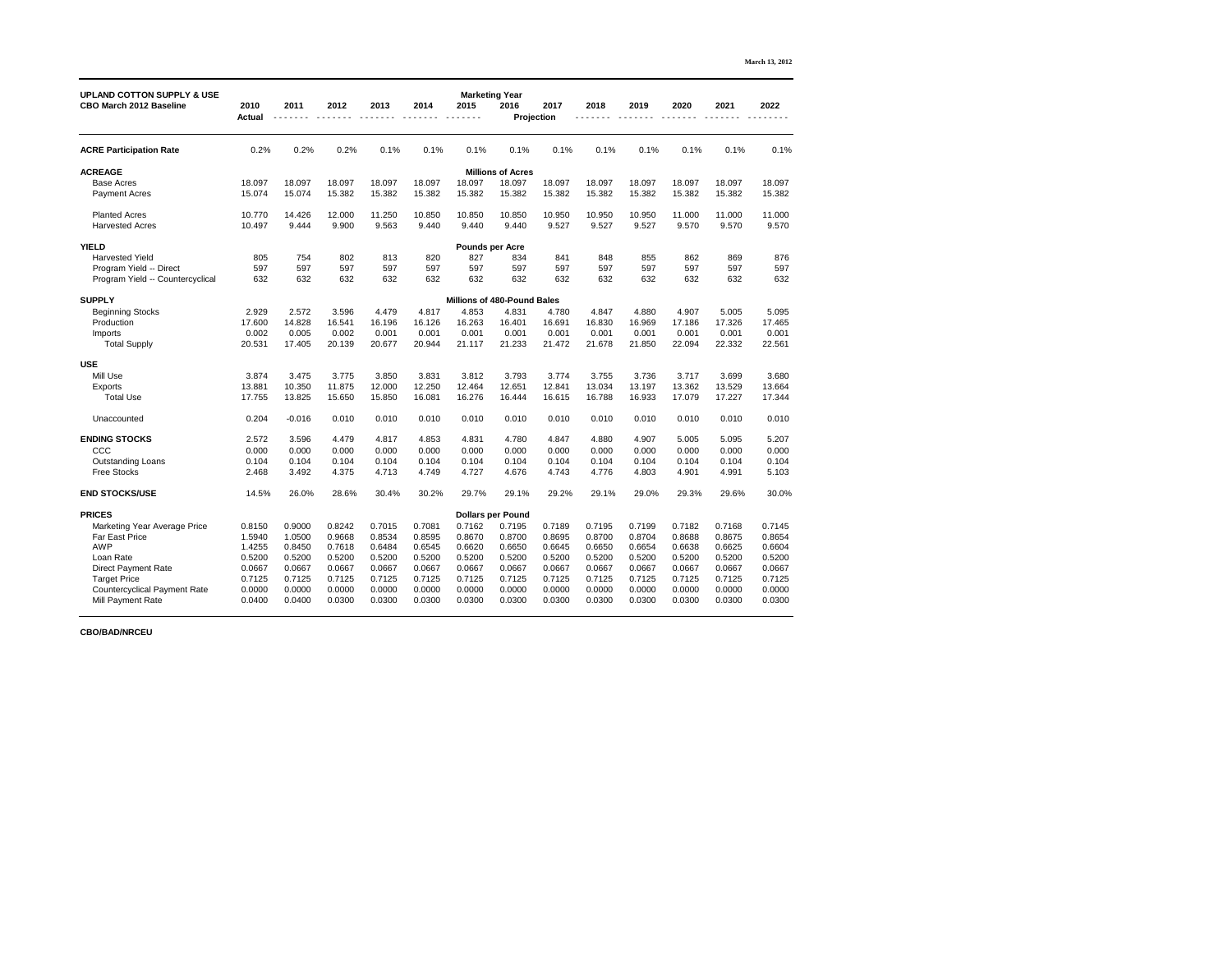|                                                                         |                       |          |        |        |        |                        |                                                    |        |        |        |        |        | <b>March 13, 2012</b> |
|-------------------------------------------------------------------------|-----------------------|----------|--------|--------|--------|------------------------|----------------------------------------------------|--------|--------|--------|--------|--------|-----------------------|
| <b>UPLAND COTTON SUPPLY &amp; USE</b><br><b>CBO March 2012 Baseline</b> | 2010<br><b>Actual</b> | 2011     | 2012   | 2013   | 2014   | 2015                   | <b>Marketing Year</b><br>2016<br><b>Projection</b> | 2017   | 2018   | 2019   | 2020   | 2021   | 2022                  |
| <b>ACRE Participation Rate</b>                                          | 0.2%                  | 0.2%     | 0.2%   | 0.1%   | 0.1%   | 0.1%                   | 0.1%                                               | 0.1%   | 0.1%   | 0.1%   | 0.1%   | 0.1%   | 0.1%                  |
| <b>ACREAGE</b>                                                          |                       |          |        |        |        |                        | <b>Millions of Acres</b>                           |        |        |        |        |        |                       |
| <b>Base Acres</b>                                                       | 18.097                | 18.097   | 18.097 | 18.097 | 18.097 | 18.097                 | 18.097                                             | 18.097 | 18.097 | 18.097 | 18.097 | 18.097 | 18.097                |
| <b>Payment Acres</b>                                                    | 15.074                | 15.074   | 15.382 | 15.382 | 15.382 | 15.382                 | 15.382                                             | 15.382 | 15.382 | 15.382 | 15.382 | 15.382 | 15.382                |
| <b>Planted Acres</b>                                                    | 10.770                | 14.426   | 12.000 | 11.250 | 10.850 | 10.850                 | 10.850                                             | 10.950 | 10.950 | 10.950 | 11.000 | 11.000 | 11.000                |
| <b>Harvested Acres</b>                                                  | 10.497                | 9.444    | 9.900  | 9.563  | 9.440  | 9.440                  | 9.440                                              | 9.527  | 9.527  | 9.527  | 9.570  | 9.570  | 9.570                 |
| <b>YIELD</b>                                                            |                       |          |        |        |        | <b>Pounds per Acre</b> |                                                    |        |        |        |        |        |                       |
| <b>Harvested Yield</b>                                                  | 805                   | 754      | 802    | 813    | 820    | 827                    | 834                                                | 841    | 848    | 855    | 862    | 869    | 876                   |
| Program Yield -- Direct                                                 | 597                   | 597      | 597    | 597    | 597    | 597                    | 597                                                | 597    | 597    | 597    | 597    | 597    | 597                   |
| Program Yield -- Countercyclical                                        | 632                   | 632      | 632    | 632    | 632    | 632                    | 632                                                | 632    | 632    | 632    | 632    | 632    | 632                   |
| <b>SUPPLY</b>                                                           |                       |          |        |        |        |                        | <b>Millions of 480-Pound Bales</b>                 |        |        |        |        |        |                       |
| <b>Beginning Stocks</b>                                                 | 2.929                 | 2.572    | 3.596  | 4.479  | 4.817  | 4.853                  | 4.831                                              | 4.780  | 4.847  | 4.880  | 4.907  | 5.005  | 5.095                 |
| Production                                                              | 17.600                | 14.828   | 16.541 | 16.196 | 16.126 | 16.263                 | 16.401                                             | 16.691 | 16.830 | 16.969 | 17.186 | 17.326 | 17.465                |
| Imports                                                                 | 0.002                 | 0.005    | 0.002  | 0.001  | 0.001  | 0.001                  | 0.001                                              | 0.001  | 0.001  | 0.001  | 0.001  | 0.001  | 0.001                 |
| <b>Total Supply</b>                                                     | 20.531                | 17.405   | 20.139 | 20.677 | 20.944 | 21.117                 | 21.233                                             | 21.472 | 21.678 | 21.850 | 22.094 | 22.332 | 22.561                |
| <b>USE</b>                                                              |                       |          |        |        |        |                        |                                                    |        |        |        |        |        |                       |
| Mill Use                                                                | 3.874                 | 3.475    | 3.775  | 3.850  | 3.831  | 3.812                  | 3.793                                              | 3.774  | 3.755  | 3.736  | 3.717  | 3.699  | 3.680                 |
| Exports                                                                 | 13.881                | 10.350   | 11.875 | 12.000 | 12.250 | 12.464                 | 12.651                                             | 12.841 | 13.034 | 13.197 | 13.362 | 13.529 | 13.664                |
| <b>Total Use</b>                                                        | 17.755                | 13.825   | 15.650 | 15.850 | 16.081 | 16.276                 | 16.444                                             | 16.615 | 16.788 | 16.933 | 17.079 | 17.227 | 17.344                |
| Unaccounted                                                             | 0.204                 | $-0.016$ | 0.010  | 0.010  | 0.010  | 0.010                  | 0.010                                              | 0.010  | 0.010  | 0.010  | 0.010  | 0.010  | 0.010                 |
| <b>ENDING STOCKS</b>                                                    | 2.572                 | 3.596    | 4.479  | 4.817  | 4.853  | 4.831                  | 4.780                                              | 4.847  | 4.880  | 4.907  | 5.005  | 5.095  | 5.207                 |
| CCC                                                                     | 0.000                 | 0.000    | 0.000  | 0.000  | 0.000  | 0.000                  | 0.000                                              | 0.000  | 0.000  | 0.000  | 0.000  | 0.000  | 0.000                 |
| <b>Outstanding Loans</b>                                                | 0.104                 | 0.104    | 0.104  | 0.104  | 0.104  | 0.104                  | 0.104                                              | 0.104  | 0.104  | 0.104  | 0.104  | 0.104  | 0.104                 |
| <b>Free Stocks</b>                                                      | 2.468                 | 3.492    | 4.375  | 4.713  | 4.749  | 4.727                  | 4.676                                              | 4.743  | 4.776  | 4.803  | 4.901  | 4.991  | 5.103                 |
| <b>END STOCKS/USE</b>                                                   | 14.5%                 | 26.0%    | 28.6%  | 30.4%  | 30.2%  | 29.7%                  | 29.1%                                              | 29.2%  | 29.1%  | 29.0%  | 29.3%  | 29.6%  | 30.0%                 |
| <b>PRICES</b>                                                           |                       |          |        |        |        |                        | <b>Dollars per Pound</b>                           |        |        |        |        |        |                       |
| <b>Marketing Year Average Price</b>                                     | 0.8150                | 0.9000   | 0.8242 | 0.7015 | 0.7081 | 0.7162                 | 0.7195                                             | 0.7189 | 0.7195 | 0.7199 | 0.7182 | 0.7168 | 0.7145                |
| <b>Far East Price</b>                                                   | 1.5940                | 1.0500   | 0.9668 | 0.8534 | 0.8595 | 0.8670                 | 0.8700                                             | 0.8695 | 0.8700 | 0.8704 | 0.8688 | 0.8675 | 0.8654                |
| <b>AWP</b>                                                              | 1.4255                | 0.8450   | 0.7618 | 0.6484 | 0.6545 | 0.6620                 | 0.6650                                             | 0.6645 | 0.6650 | 0.6654 | 0.6638 | 0.6625 | 0.6604                |
| Loan Rate                                                               | 0.5200                | 0.5200   | 0.5200 | 0.5200 | 0.5200 | 0.5200                 | 0.5200                                             | 0.5200 | 0.5200 | 0.5200 | 0.5200 | 0.5200 | 0.5200                |
| <b>Direct Payment Rate</b>                                              | 0.0667                | 0.0667   | 0.0667 | 0.0667 | 0.0667 | 0.0667                 | 0.0667                                             | 0.0667 | 0.0667 | 0.0667 | 0.0667 | 0.0667 | 0.0667                |
| <b>Target Price</b>                                                     | 0.7125                | 0.7125   | 0.7125 | 0.7125 | 0.7125 | 0.7125                 | 0.7125                                             | 0.7125 | 0.7125 | 0.7125 | 0.7125 | 0.7125 | 0.7125                |
| <b>Countercyclical Payment Rate</b>                                     | 0.0000                | 0.0000   | 0.0000 | 0.0000 | 0.0000 | 0.0000                 | 0.0000                                             | 0.0000 | 0.0000 | 0.0000 | 0.0000 | 0.0000 | 0.0000                |
| <b>Mill Payment Rate</b>                                                | 0.0400                | 0.0400   | 0.0300 | 0.0300 | 0.0300 | 0.0300                 | 0.0300                                             | 0.0300 | 0.0300 | 0.0300 | 0.0300 | 0.0300 | 0.0300                |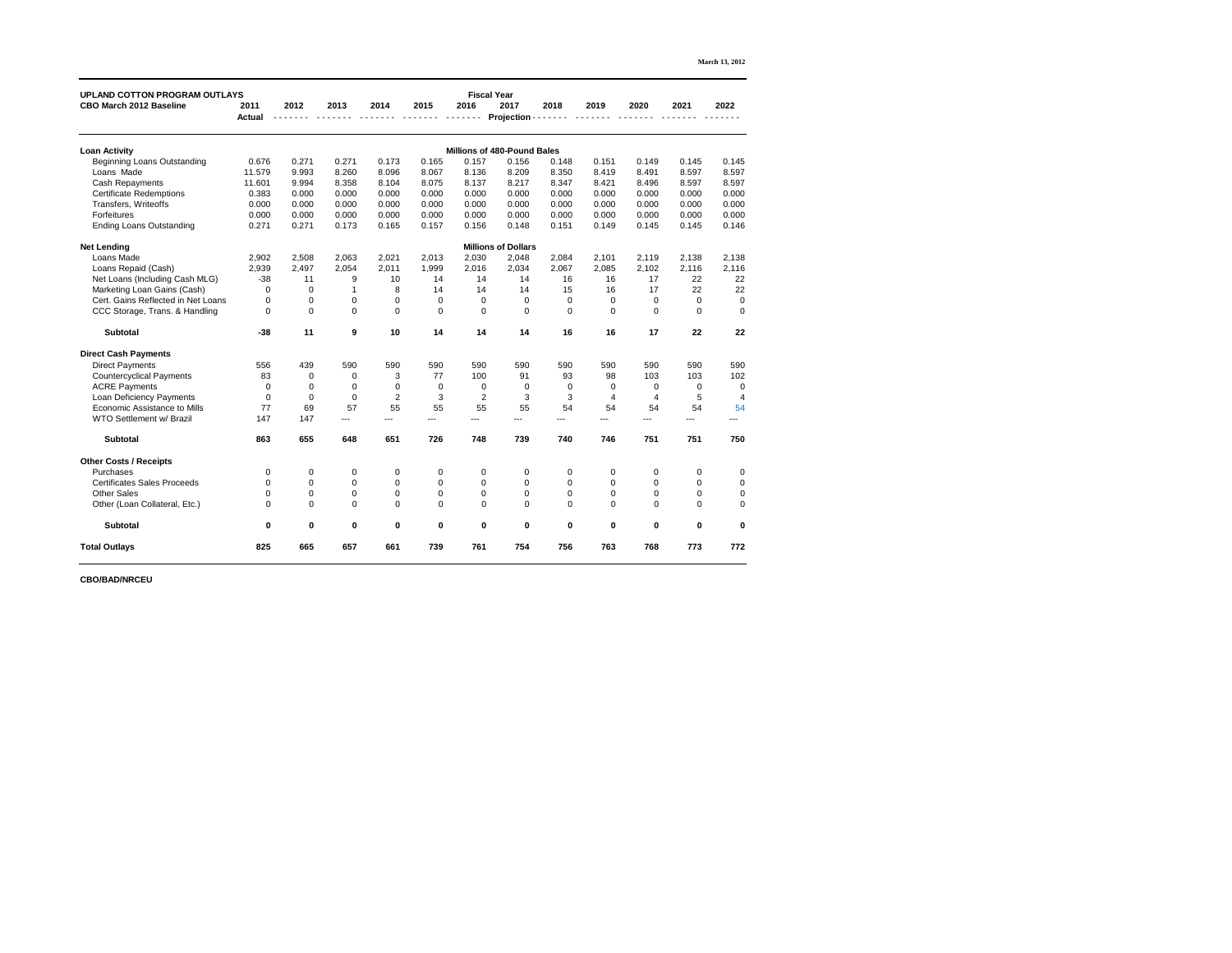| <b>March 13, 2012</b> |  |  |
|-----------------------|--|--|
|-----------------------|--|--|

| <b>UPLAND COTTON PROGRAM OUTLAYS</b> |                       |                |                  |                  |                  | <b>Fiscal Year</b> |                                    |                |                  |                  |                |                  |
|--------------------------------------|-----------------------|----------------|------------------|------------------|------------------|--------------------|------------------------------------|----------------|------------------|------------------|----------------|------------------|
| <b>CBO March 2012 Baseline</b>       | 2011<br><b>Actual</b> | 2012           | 2013             | 2014             | 2015             | 2016               | 2017<br>Projection                 | 2018           | 2019             | 2020             | 2021           | 2022             |
| <b>Loan Activity</b>                 |                       |                |                  |                  |                  |                    | <b>Millions of 480-Pound Bales</b> |                |                  |                  |                |                  |
| <b>Beginning Loans Outstanding</b>   | 0.676                 | 0.271          | 0.271            | 0.173            | 0.165            | 0.157              | 0.156                              | 0.148          | 0.151            | 0.149            | 0.145          | 0.145            |
| Loans Made                           | 11.579                | 9.993          | 8.260            | 8.096            | 8.067            | 8.136              | 8.209                              | 8.350          | 8.419            | 8.491            | 8.597          | 8.597            |
| <b>Cash Repayments</b>               | 11.601                | 9.994          | 8.358            | 8.104            | 8.075            | 8.137              | 8.217                              | 8.347          | 8.421            | 8.496            | 8.597          | 8.597            |
| <b>Certificate Redemptions</b>       | 0.383                 | 0.000          | 0.000            | 0.000            | 0.000            | 0.000              | 0.000                              | 0.000          | 0.000            | 0.000            | 0.000          | 0.000            |
| Transfers, Writeoffs                 | 0.000                 | 0.000          | 0.000            | 0.000            | 0.000            | 0.000              | 0.000                              | 0.000          | 0.000            | 0.000            | 0.000          | 0.000            |
| <b>Forfeitures</b>                   | 0.000                 | 0.000          | 0.000            | 0.000            | 0.000            | 0.000              | 0.000                              | 0.000          | 0.000            | 0.000            | 0.000          | 0.000            |
| <b>Ending Loans Outstanding</b>      | 0.271                 | 0.271          | 0.173            | 0.165            | 0.157            | 0.156              | 0.148                              | 0.151          | 0.149            | 0.145            | 0.145          | 0.146            |
| <b>Net Lending</b>                   |                       |                |                  |                  |                  |                    | <b>Millions of Dollars</b>         |                |                  |                  |                |                  |
| Loans Made                           | 2,902                 | 2,508          | 2,063            | 2,021            | 2,013            | 2,030              | 2,048                              | 2,084          | 2,101            | 2,119            | 2,138          | 2,138            |
| Loans Repaid (Cash)                  | 2,939                 | 2,497          | 2,054            | 2,011            | 1,999            | 2,016              | 2,034                              | 2,067          | 2,085            | 2,102            | 2,116          | 2,116            |
| Net Loans (Including Cash MLG)       | $-38$                 | 11             | 9                | 10               | 14               | 14                 | 14                                 | 16             | 16               | 17               | 22             | 22               |
| Marketing Loan Gains (Cash)          | $\mathbf 0$           | $\mathbf 0$    |                  | 8                | 14               | 14                 | 14                                 | 15             | 16               | 17               | 22             | 22               |
| Cert. Gains Reflected in Net Loans   | $\boldsymbol{0}$      | $\mathbf 0$    | $\boldsymbol{0}$ | $\pmb{0}$        | $\pmb{0}$        | $\mathbf 0$        | $\mathbf 0$                        | $\mathbf 0$    | $\mathbf 0$      | $\boldsymbol{0}$ | $\overline{0}$ | $\mathbf 0$      |
| CCC Storage, Trans. & Handling       | $\mathbf 0$           | $\overline{0}$ | $\mathbf 0$      | $\Omega$         | $\mathbf 0$      | $\overline{0}$     | $\Omega$                           | $\mathbf 0$    | $\mathbf 0$      | $\mathbf 0$      | $\overline{0}$ | $\overline{0}$   |
| <b>Subtotal</b>                      | $-38$                 | 11             | 9                | 10               | 14               | 14                 | 14                                 | 16             | 16               | 17               | 22             | 22               |
| <b>Direct Cash Payments</b>          |                       |                |                  |                  |                  |                    |                                    |                |                  |                  |                |                  |
| <b>Direct Payments</b>               | 556                   | 439            | 590              | 590              | 590              | 590                | 590                                | 590            | 590              | 590              | 590            | 590              |
| <b>Countercyclical Payments</b>      | 83                    | $\mathbf 0$    | $\mathbf 0$      | 3                | 77               | 100                | 91                                 | 93             | 98               | 103              | 103            | 102              |
| <b>ACRE Payments</b>                 | 0                     | $\mathbf 0$    | 0                | 0                | $\boldsymbol{0}$ | $\mathbf 0$        | $\mathbf 0$                        | 0              | $\mathbf 0$      | $\mathbf 0$      | 0              | $\mathbf 0$      |
| Loan Deficiency Payments             | $\mathbf 0$           | $\overline{0}$ | $\mathbf 0$      | $\overline{2}$   | 3                | $\overline{2}$     | 3                                  | 3              | $\overline{4}$   | 4                | 5              | $\overline{4}$   |
| <b>Economic Assistance to Mills</b>  | 77                    | 69             | 57               | 55               | 55               | 55                 | 55                                 | 54             | 54               | 54               | 54             | 54               |
| WTO Settlement w/ Brazil             | 147                   | 147            | ---              | ---              | ---              | ---                | ---                                | ---            | ---              |                  |                |                  |
| <b>Subtotal</b>                      | 863                   | 655            | 648              | 651              | 726              | 748                | 739                                | 740            | 746              | 751              | 751            | 750              |
| <b>Other Costs / Receipts</b>        |                       |                |                  |                  |                  |                    |                                    |                |                  |                  |                |                  |
| Purchases                            | 0                     | 0              | $\boldsymbol{0}$ | $\boldsymbol{0}$ | $\boldsymbol{0}$ | $\mathbf 0$        | $\mathbf 0$                        | $\mathbf 0$    | $\boldsymbol{0}$ | $\boldsymbol{0}$ | $\mathbf 0$    | 0                |
| <b>Certificates Sales Proceeds</b>   | $\mathbf 0$           | $\mathbf 0$    | $\mathbf 0$      | $\mathbf 0$      | $\mathbf 0$      | $\mathbf 0$        | $\mathbf 0$                        | $\mathbf 0$    | $\mathbf 0$      | $\mathbf 0$      | $\mathbf 0$    | 0                |
| <b>Other Sales</b>                   | $\Omega$              | 0              | $\pmb{0}$        | 0                | $\boldsymbol{0}$ | $\mathbf 0$        | $\mathbf 0$                        | $\pmb{0}$      | 0                | $\mathbf 0$      |                | 0                |
| Other (Loan Collateral, Etc.)        | $\overline{0}$        | $\Omega$       | $\mathbf 0$      | $\overline{0}$   | $\mathbf 0$      | $\Omega$           | $\Omega$                           | $\overline{0}$ | $\overline{0}$   | $\overline{0}$   | $\Omega$       | $\overline{0}$   |
| <b>Subtotal</b>                      | $\boldsymbol{0}$      | $\mathbf 0$    | $\mathbf 0$      | $\pmb{0}$        | $\pmb{0}$        | $\mathbf 0$        | $\mathbf 0$                        | $\mathbf 0$    | $\mathbf 0$      | $\boldsymbol{0}$ | $\mathbf 0$    | $\boldsymbol{0}$ |
| <b>Total Outlays</b>                 | 825                   | 665            | 657              | 661              | 739              | 761                | 754                                | 756            | 763              | 768              | 773            | 772              |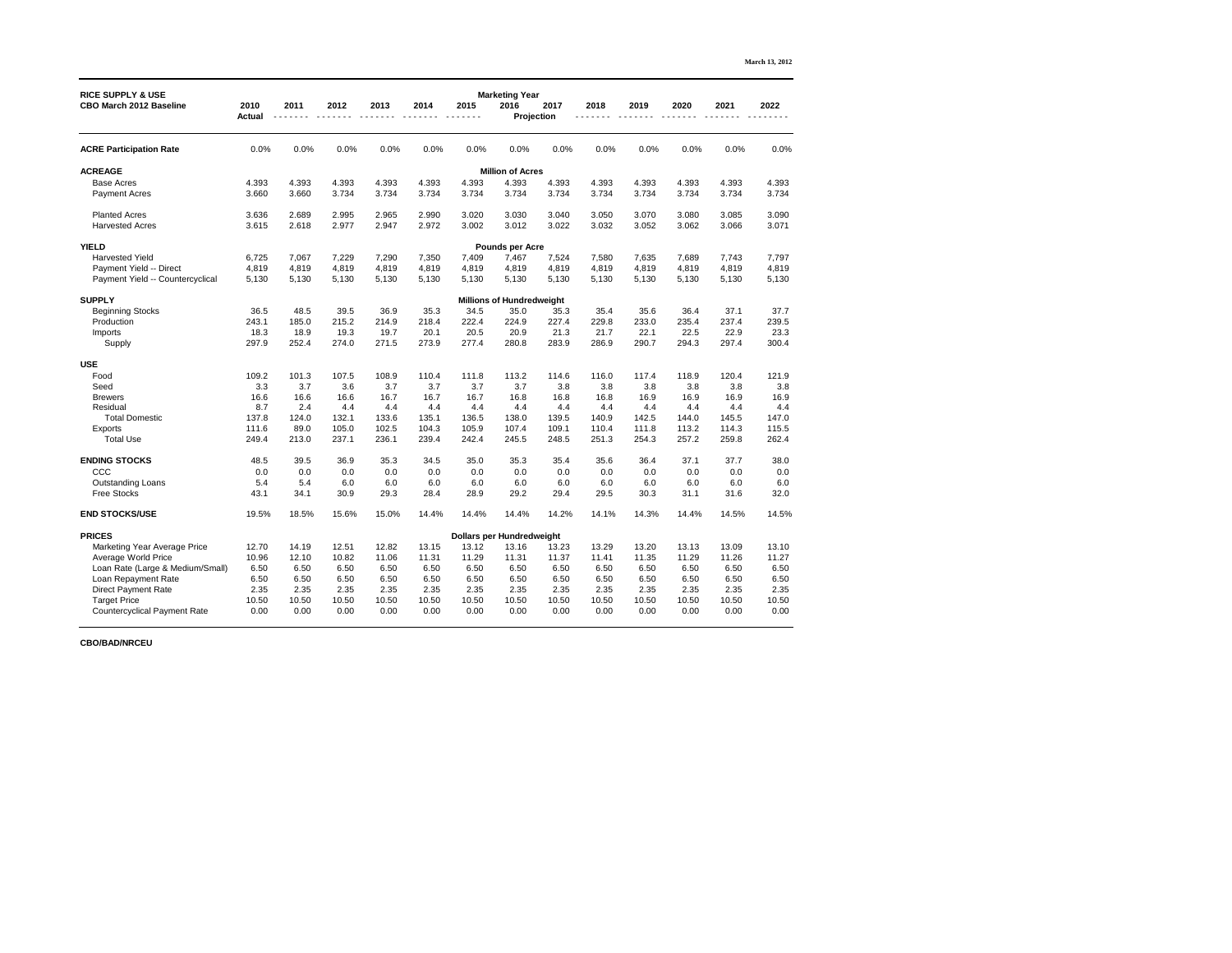|                                                                |                       |       |       |       |       |       |                                                    |       |       |       |       |       | <b>March 13, 2012</b> |
|----------------------------------------------------------------|-----------------------|-------|-------|-------|-------|-------|----------------------------------------------------|-------|-------|-------|-------|-------|-----------------------|
| <b>RICE SUPPLY &amp; USE</b><br><b>CBO March 2012 Baseline</b> | 2010<br><b>Actual</b> | 2011  | 2012  | 2013  | 2014  | 2015  | <b>Marketing Year</b><br>2016<br><b>Projection</b> | 2017  | 2018  | 2019  | 2020  | 2021  | 2022                  |
|                                                                |                       |       |       |       |       |       |                                                    |       |       |       |       |       |                       |
| <b>ACRE Participation Rate</b>                                 | 0.0%                  | 0.0%  | 0.0%  | 0.0%  | 0.0%  | 0.0%  | 0.0%                                               | 0.0%  | 0.0%  | 0.0%  | 0.0%  | 0.0%  | 0.0%                  |
| <b>ACREAGE</b>                                                 |                       |       |       |       |       |       | <b>Million of Acres</b>                            |       |       |       |       |       |                       |
| <b>Base Acres</b>                                              | 4.393                 | 4.393 | 4.393 | 4.393 | 4.393 | 4.393 | 4.393                                              | 4.393 | 4.393 | 4.393 | 4.393 | 4.393 | 4.393                 |
| <b>Payment Acres</b>                                           | 3.660                 | 3.660 | 3.734 | 3.734 | 3.734 | 3.734 | 3.734                                              | 3.734 | 3.734 | 3.734 | 3.734 | 3.734 | 3.734                 |
| <b>Planted Acres</b>                                           | 3.636                 | 2.689 | 2.995 | 2.965 | 2.990 | 3.020 | 3.030                                              | 3.040 | 3.050 | 3.070 | 3.080 | 3.085 | 3.090                 |
| <b>Harvested Acres</b>                                         | 3.615                 | 2.618 | 2.977 | 2.947 | 2.972 | 3.002 | 3.012                                              | 3.022 | 3.032 | 3.052 | 3.062 | 3.066 | 3.071                 |
| <b>YIELD</b>                                                   |                       |       |       |       |       |       | <b>Pounds per Acre</b>                             |       |       |       |       |       |                       |
| <b>Harvested Yield</b>                                         | 6,725                 | 7,067 | 7,229 | 7,290 | 7,350 | 7,409 | 7,467                                              | 7,524 | 7,580 | 7,635 | 7,689 | 7,743 | 7,797                 |
| Payment Yield -- Direct                                        | 4,819                 | 4,819 | 4,819 | 4,819 | 4,819 | 4,819 | 4,819                                              | 4,819 | 4,819 | 4,819 | 4,819 | 4,819 | 4,819                 |
| Payment Yield -- Countercyclical                               | 5,130                 | 5,130 | 5,130 | 5,130 | 5,130 | 5,130 | 5,130                                              | 5,130 | 5,130 | 5,130 | 5,130 | 5,130 | 5,130                 |
| <b>SUPPLY</b>                                                  |                       |       |       |       |       |       | <b>Millions of Hundredweight</b>                   |       |       |       |       |       |                       |
| <b>Beginning Stocks</b>                                        | 36.5                  | 48.5  | 39.5  | 36.9  | 35.3  | 34.5  | 35.0                                               | 35.3  | 35.4  | 35.6  | 36.4  | 37.1  | 37.7                  |
| Production                                                     | 243.1                 | 185.0 | 215.2 | 214.9 | 218.4 | 222.4 | 224.9                                              | 227.4 | 229.8 | 233.0 | 235.4 | 237.4 | 239.5                 |
| Imports                                                        | 18.3                  | 18.9  | 19.3  | 19.7  | 20.1  | 20.5  | 20.9                                               | 21.3  | 21.7  | 22.1  | 22.5  | 22.9  | 23.3                  |
| Supply                                                         | 297.9                 | 252.4 | 274.0 | 271.5 | 273.9 | 277.4 | 280.8                                              | 283.9 | 286.9 | 290.7 | 294.3 | 297.4 | 300.4                 |
| <b>USE</b>                                                     |                       |       |       |       |       |       |                                                    |       |       |       |       |       |                       |
| Food                                                           | 109.2                 | 101.3 | 107.5 | 108.9 | 110.4 | 111.8 | 113.2                                              | 114.6 | 116.0 | 117.4 | 118.9 | 120.4 | 121.9                 |
| Seed                                                           | 3.3                   | 3.7   | 3.6   | 3.7   | 3.7   | 3.7   | 3.7                                                | 3.8   | 3.8   | 3.8   | 3.8   | 3.8   | 3.8                   |
| <b>Brewers</b>                                                 | 16.6                  | 16.6  | 16.6  | 16.7  | 16.7  | 16.7  | 16.8                                               | 16.8  | 16.8  | 16.9  | 16.9  | 16.9  | 16.9                  |
| Residual                                                       | 8.7                   | 2.4   | 4.4   | 4.4   | 4.4   | 4.4   | 4.4                                                | 4.4   | 4.4   | 4.4   | 4.4   | 4.4   | 4.4                   |
| <b>Total Domestic</b>                                          | 137.8                 | 124.0 | 132.1 | 133.6 | 135.1 | 136.5 | 138.0                                              | 139.5 | 140.9 | 142.5 | 144.0 | 145.5 | 147.0                 |
| <b>Exports</b>                                                 | 111.6                 | 89.0  | 105.0 | 102.5 | 104.3 | 105.9 | 107.4                                              | 109.1 | 110.4 | 111.8 | 113.2 | 114.3 | 115.5                 |
| <b>Total Use</b>                                               | 249.4                 | 213.0 | 237.1 | 236.1 | 239.4 | 242.4 | 245.5                                              | 248.5 | 251.3 | 254.3 | 257.2 | 259.8 | 262.4                 |
| <b>ENDING STOCKS</b>                                           | 48.5                  | 39.5  | 36.9  | 35.3  | 34.5  | 35.0  | 35.3                                               | 35.4  | 35.6  | 36.4  | 37.1  | 37.7  | 38.0                  |
| CCC                                                            | 0.0                   | 0.0   | 0.0   | 0.0   | 0.0   | 0.0   | 0.0                                                | 0.0   | 0.0   | 0.0   | 0.0   | 0.0   | 0.0                   |
| <b>Outstanding Loans</b>                                       | 5.4                   | 5.4   | 6.0   | 6.0   | 6.0   | 6.0   | 6.0                                                | 6.0   | 6.0   | 6.0   | 6.0   | 6.0   | 6.0                   |
| <b>Free Stocks</b>                                             | 43.1                  | 34.1  | 30.9  | 29.3  | 28.4  | 28.9  | 29.2                                               | 29.4  | 29.5  | 30.3  | 31.1  | 31.6  | 32.0                  |
| <b>END STOCKS/USE</b>                                          | 19.5%                 | 18.5% | 15.6% | 15.0% | 14.4% | 14.4% | 14.4%                                              | 14.2% | 14.1% | 14.3% | 14.4% | 14.5% | 14.5%                 |
| <b>PRICES</b>                                                  |                       |       |       |       |       |       | <b>Dollars per Hundredweight</b>                   |       |       |       |       |       |                       |
| <b>Marketing Year Average Price</b>                            | 12.70                 | 14.19 | 12.51 | 12.82 | 13.15 | 13.12 | 13.16                                              | 13.23 | 13.29 | 13.20 | 13.13 | 13.09 | 13.10                 |
| <b>Average World Price</b>                                     | 10.96                 | 12.10 | 10.82 | 11.06 | 11.31 | 11.29 | 11.31                                              | 11.37 | 11.41 | 11.35 | 11.29 | 11.26 | 11.27                 |
| Loan Rate (Large & Medium/Small)                               | 6.50                  | 6.50  | 6.50  | 6.50  | 6.50  | 6.50  | 6.50                                               | 6.50  | 6.50  | 6.50  | 6.50  | 6.50  | 6.50                  |
| Loan Repayment Rate                                            | 6.50                  | 6.50  | 6.50  | 6.50  | 6.50  | 6.50  | 6.50                                               | 6.50  | 6.50  | 6.50  | 6.50  | 6.50  | 6.50                  |
| <b>Direct Payment Rate</b>                                     | 2.35                  | 2.35  | 2.35  | 2.35  | 2.35  | 2.35  | 2.35                                               | 2.35  | 2.35  | 2.35  | 2.35  | 2.35  | 2.35                  |
| <b>Target Price</b>                                            | 10.50                 | 10.50 | 10.50 | 10.50 | 10.50 | 10.50 | 10.50                                              | 10.50 | 10.50 | 10.50 | 10.50 | 10.50 | 10.50                 |
| <b>Countercyclical Payment Rate</b>                            | 0.00                  | 0.00  | 0.00  | 0.00  | 0.00  | 0.00  | 0.00                                               | 0.00  | 0.00  | 0.00  | 0.00  | 0.00  | 0.00                  |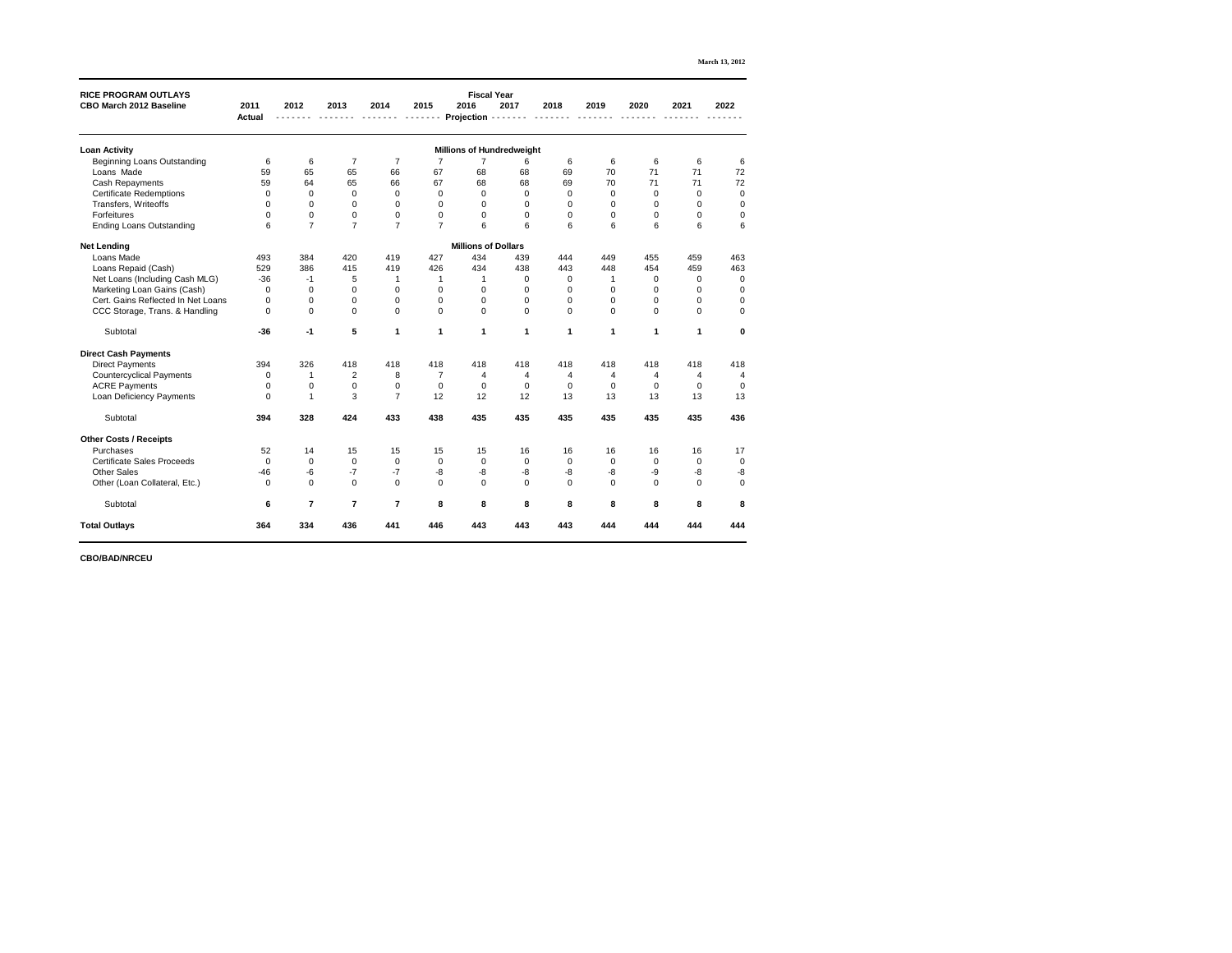| <b>RICE PROGRAM OUTLAYS</b>        |                       |                |                 |                |                  | <b>Fiscal Year</b>               |             |                |                |                  |                 |                |
|------------------------------------|-----------------------|----------------|-----------------|----------------|------------------|----------------------------------|-------------|----------------|----------------|------------------|-----------------|----------------|
| <b>CBO March 2012 Baseline</b>     | 2011<br><b>Actual</b> | 2012           | 2013            | 2014           | 2015             | 2016<br><b>Projection</b>        | 2017        | 2018           | 2019           | 2020             | 2021            | 2022           |
| <b>Loan Activity</b>               |                       |                |                 |                |                  | <b>Millions of Hundredweight</b> |             |                |                |                  |                 |                |
| <b>Beginning Loans Outstanding</b> | $6\phantom{1}6$       | 6              | $\overline{7}$  | $\overline{7}$ |                  | 7                                | 6           | 6              | 6              | 6                | 6               | 6              |
| Loans Made                         | 59                    | 65             | 65              | 66             | 67               | 68                               | 68          | 69             | 70             | 71               | 71              | 72             |
| <b>Cash Repayments</b>             | 59                    | 64             | 65              | 66             | 67               | 68                               | 68          | 69             | 70             | 71               | 71              | 72             |
| <b>Certificate Redemptions</b>     | $\mathbf 0$           | 0              | $\mathbf 0$     | $\mathbf 0$    | $\mathbf 0$      | $\mathbf 0$                      | $\mathbf 0$ | $\mathbf 0$    | 0              | $\mathbf 0$      | $\mathbf 0$     | $\mathbf 0$    |
| Transfers, Writeoffs               | $\overline{0}$        | $\mathbf 0$    | 0               | $\overline{0}$ | 0                | $\mathbf 0$                      | $\mathbf 0$ | 0              | 0              | 0                | $\mathbf 0$     | $\mathbf 0$    |
| Forfeitures                        | $\mathbf 0$           | $\pmb{0}$      | $\pmb{0}$       | $\pmb{0}$      | $\pmb{0}$        | $\pmb{0}$                        | $\mathbf 0$ | $\mathbf 0$    | $\mathbf 0$    | 0                | $\mathbf 0$     | $\mathbf 0$    |
| <b>Ending Loans Outstanding</b>    | $6\phantom{1}6$       | $\overline{7}$ | $\overline{7}$  | $\overline{7}$ | $\overline{7}$   | 6                                | 6           | 6              | 6              | 6                | $6\phantom{1}6$ | $6\phantom{1}$ |
| <b>Net Lending</b>                 |                       |                |                 |                |                  | <b>Millions of Dollars</b>       |             |                |                |                  |                 |                |
| Loans Made                         | 493                   | 384            | 420             | 419            | 427              | 434                              | 439         | 444            | 449            | 455              | 459             | 463            |
| Loans Repaid (Cash)                | 529                   | 386            | 415             | 419            | 426              | 434                              | 438         | 443            | 448            | 454              | 459             | 463            |
| Net Loans (Including Cash MLG)     | $-36$                 | $-1$           | 5               |                |                  |                                  | $\mathbf 0$ | $\mathbf 0$    |                | $\mathbf 0$      | $\mathbf 0$     | $\mathbf 0$    |
| Marketing Loan Gains (Cash)        | $\mathbf 0$           | $\mathbf 0$    | 0               | 0              | 0                | $\boldsymbol{0}$                 | $\mathbf 0$ | $\overline{0}$ | 0              | 0                | $\mathbf 0$     | $\mathbf 0$    |
| Cert. Gains Reflected In Net Loans | $\mathbf 0$           | $\mathbf 0$    | $\mathbf 0$     | $\mathbf 0$    | $\mathbf 0$      | $\mathbf 0$                      | $\mathbf 0$ | $\mathbf 0$    | $\mathbf 0$    | $\boldsymbol{0}$ | $\mathbf 0$     | $\mathbf 0$    |
| CCC Storage, Trans. & Handling     | $\overline{0}$        | $\mathbf 0$    | $\overline{0}$  | $\overline{0}$ | $\mathbf 0$      | $\overline{0}$                   | $\Omega$    | $\overline{0}$ | $\overline{0}$ | $\Omega$         | $\overline{0}$  | $\mathbf 0$    |
| Subtotal                           | $-36$                 | $-1$           | $5\phantom{.0}$ | 1              | 1                | $\mathbf 1$                      | 1           | 1              | $\mathbf 1$    | 1                | 1               | $\mathbf 0$    |
| <b>Direct Cash Payments</b>        |                       |                |                 |                |                  |                                  |             |                |                |                  |                 |                |
| <b>Direct Payments</b>             | 394                   | 326            | 418             | 418            | 418              | 418                              | 418         | 418            | 418            | 418              | 418             | 418            |
| <b>Countercyclical Payments</b>    | 0                     |                | $\overline{2}$  | 8              |                  | 4                                | 4           | 4              | 4              |                  | 4               | 4              |
| <b>ACRE Payments</b>               | $\overline{0}$        | 0              | 0               | $\mathbf 0$    | $\mathbf 0$      | $\mathbf 0$                      | $\mathbf 0$ | $\mathbf 0$    | 0              | 0                | $\mathbf 0$     | $\overline{0}$ |
| <b>Loan Deficiency Payments</b>    | $\mathbf 0$           |                | 3               | $\overline{7}$ | 12               | 12                               | 12          | 13             | 13             | 13               | 13              | 13             |
| Subtotal                           | 394                   | 328            | 424             | 433            | 438              | 435                              | 435         | 435            | 435            | 435              | 435             | 436            |
| <b>Other Costs / Receipts</b>      |                       |                |                 |                |                  |                                  |             |                |                |                  |                 |                |
| Purchases                          | 52                    | 14             | 15              | 15             | 15               | 15                               | 16          | 16             | 16             | 16               | 16              | 17             |
| <b>Certificate Sales Proceeds</b>  | $\mathbf 0$           | $\mathbf 0$    | $\mathbf 0$     | $\mathbf 0$    | $\mathbf 0$      | $\pmb{0}$                        | $\mathbf 0$ | $\mathbf 0$    | $\mathbf 0$    | $\overline{0}$   | $\mathbf 0$     | $\mathbf 0$    |
| <b>Other Sales</b>                 | $-46$                 | -6             | $-7$            | $-7$           | -8               | $-8-$                            | $-8$        | $-8$           | -8             | -9               | -8              | $-8$           |
| Other (Loan Collateral, Etc.)      | $\mathbf 0$           | $\overline{0}$ | $\overline{0}$  | $\mathbf 0$    | $\boldsymbol{0}$ | $\mathbf 0$                      | $\mathbf 0$ | $\overline{0}$ | $\mathbf 0$    | $\mathbf 0$      | $\overline{0}$  | $\pmb{0}$      |
| Subtotal                           | $6\phantom{1}$        | $\overline{7}$ | $\overline{7}$  | $\overline{7}$ | 8                | 8                                | 8           | 8              | 8              | 8                | 8               | ${\bf 8}$      |
| <b>Total Outlays</b>               | 364                   | 334            | 436             | 441            | 446              | 443                              | 443         | 443            | 444            | 444              | 444             | 444            |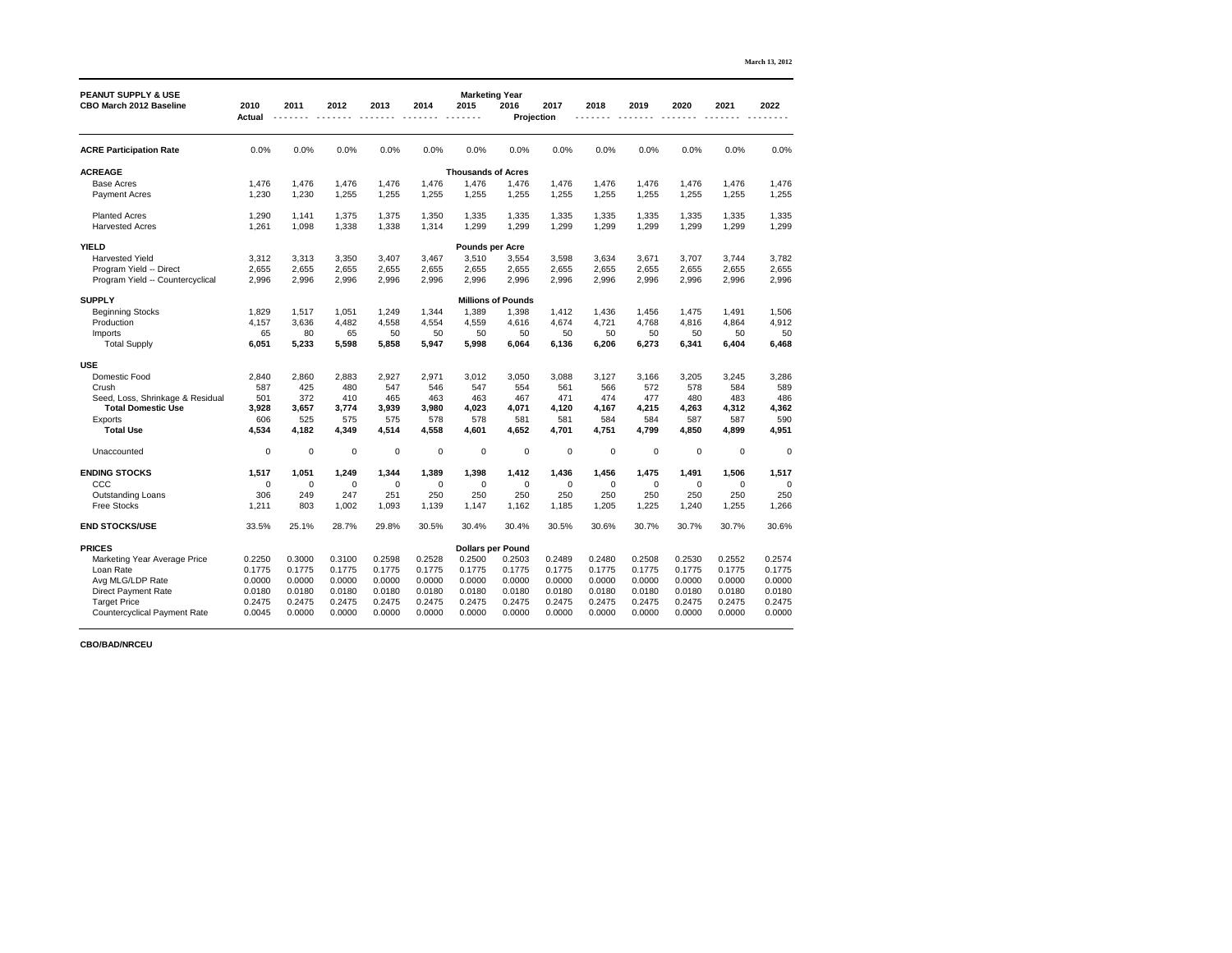| <b>PEANUT SUPPLY &amp; USE</b>                                |                       |                  |                  |                  |                  | <b>Marketing Year</b>     |                           |                  |                  |                  |                  |                  |                  |
|---------------------------------------------------------------|-----------------------|------------------|------------------|------------------|------------------|---------------------------|---------------------------|------------------|------------------|------------------|------------------|------------------|------------------|
| <b>CBO March 2012 Baseline</b>                                | 2010<br><b>Actual</b> | 2011             | 2012             | 2013             | 2014             | 2015                      | 2016<br><b>Projection</b> | 2017             | 2018             | 2019             | 2020             | 2021             | 2022             |
|                                                               |                       |                  |                  |                  |                  |                           |                           |                  |                  |                  |                  |                  |                  |
| <b>ACRE Participation Rate</b>                                | 0.0%                  | 0.0%             | 0.0%             | 0.0%             | 0.0%             | 0.0%                      | 0.0%                      | 0.0%             | 0.0%             | 0.0%             | 0.0%             | 0.0%             | 0.0%             |
| <b>ACREAGE</b>                                                |                       |                  |                  |                  |                  | <b>Thousands of Acres</b> |                           |                  |                  |                  |                  |                  |                  |
| <b>Base Acres</b>                                             | 1,476                 | 1,476            | 1,476            | 1,476            | 1,476            | 1,476                     | 1,476                     | 1,476            | 1,476            | 1,476            | 1,476            | 1,476            | 1,476            |
| <b>Payment Acres</b>                                          | 1,230                 | 1,230            | 1,255            | 1,255            | 1,255            | 1,255                     | 1,255                     | 1,255            | 1,255            | 1,255            | 1,255            | 1,255            | 1,255            |
| <b>Planted Acres</b>                                          | 1,290                 | 1,141            | 1,375            | 1,375            | 1,350            | 1,335                     | 1,335                     | 1,335            | 1,335            | 1,335            | 1,335            | 1,335            | 1,335            |
| <b>Harvested Acres</b>                                        | 1,261                 | 1,098            | 1,338            | 1,338            | 1,314            | 1,299                     | 1,299                     | 1,299            | 1,299            | 1,299            | 1,299            | 1,299            | 1,299            |
| <b>YIELD</b>                                                  |                       |                  |                  |                  |                  | <b>Pounds per Acre</b>    |                           |                  |                  |                  |                  |                  |                  |
| <b>Harvested Yield</b>                                        | 3,312                 | 3,313            | 3,350            | 3,407            | 3,467            | 3,510                     | 3,554                     | 3,598            | 3,634            | 3,671            | 3,707            | 3,744            | 3,782            |
| Program Yield -- Direct                                       | 2,655                 | 2,655            | 2,655            | 2,655            | 2,655            | 2,655                     | 2,655                     | 2,655            | 2,655            | 2,655            | 2,655            | 2,655            | 2,655            |
| Program Yield -- Countercyclical                              | 2,996                 | 2,996            | 2,996            | 2,996            | 2,996            | 2,996                     | 2,996                     | 2,996            | 2,996            | 2,996            | 2,996            | 2,996            | 2,996            |
| <b>SUPPLY</b>                                                 |                       |                  |                  |                  |                  |                           | <b>Millions of Pounds</b> |                  |                  |                  |                  |                  |                  |
| <b>Beginning Stocks</b>                                       | 1,829                 | 1,517            | 1,051            | 1,249            | 1,344            | 1,389                     | 1,398                     | 1,412            | 1,436            | 1,456            | 1,475            | 1,491            | 1,506            |
| Production                                                    | 4,157                 | 3,636            | 4,482            | 4,558            | 4,554            | 4,559                     | 4,616                     | 4,674            | 4,721            | 4,768            | 4,816            | 4,864            | 4,912            |
| Imports                                                       | 65                    | 80               | 65               | 50               | 50               | 50                        | 50                        | 50               | 50               | 50               | 50               | 50               | 50               |
| <b>Total Supply</b>                                           | 6,051                 | 5,233            | 5,598            | 5,858            | 5,947            | 5,998                     | 6,064                     | 6,136            | 6,206            | 6,273            | 6,341            | 6,404            | 6,468            |
| <b>USE</b>                                                    |                       |                  |                  |                  |                  |                           |                           |                  |                  |                  |                  |                  |                  |
| Domestic Food                                                 | 2,840                 | 2,860            | 2,883            | 2,927            | 2,971            | 3,012                     | 3,050                     | 3,088            | 3,127            | 3,166            | 3,205            | 3,245            | 3,286            |
| Crush                                                         | 587                   | 425              | 480              | 547              | 546              | 547                       | 554                       | 561              | 566              | 572              | 578              | 584              | 589              |
| Seed, Loss, Shrinkage & Residual<br><b>Total Domestic Use</b> | 501<br>3,928          | 372<br>3,657     | 410<br>3,774     | 465<br>3,939     | 463<br>3,980     | 463<br>4,023              | 467<br>4,071              | 471<br>4,120     | 474<br>4,167     | 477<br>4,215     | 480<br>4,263     | 483<br>4,312     | 486<br>4,362     |
| Exports                                                       | 606                   | 525              | 575              | 575              | 578              | 578                       | 581                       | 581              | 584              | 584              | 587              | 587              | 590              |
| <b>Total Use</b>                                              | 4,534                 | 4,182            | 4,349            | 4,514            | 4,558            | 4,601                     | 4,652                     | 4,701            | 4,751            | 4,799            | 4,850            | 4,899            | 4,951            |
| Unaccounted                                                   | $\mathbf 0$           | $\mathbf 0$      | $\mathbf 0$      | $\mathbf 0$      | $\overline{0}$   | $\mathbf 0$               | $\mathbf 0$               | $\mathbf 0$      | $\overline{0}$   | $\mathbf 0$      | $\mathbf 0$      | $\mathbf 0$      | $\mathbf 0$      |
| <b>ENDING STOCKS</b>                                          | 1,517                 | 1,051            | 1,249            | 1,344            | 1,389            | 1,398                     | 1,412                     | 1,436            | 1,456            | 1,475            | 1,491            | 1,506            | 1,517            |
| CCC                                                           | $\overline{0}$        | $\mathbf 0$      | 0                | $\mathbf 0$      | $\overline{0}$   | $\mathbf 0$               | $\mathbf 0$               | $\mathbf 0$      | $\overline{0}$   | $\mathbf 0$      | 0                | 0                | $\bf{0}$         |
| <b>Outstanding Loans</b>                                      | 306                   | 249              | 247              | 251              | 250              | 250                       | 250                       | 250              | 250              | 250              | 250              | 250              | 250              |
| <b>Free Stocks</b>                                            | 1,211                 | 803              | 1,002            | 1,093            | 1,139            | 1,147                     | 1,162                     | 1,185            | 1,205            | 1,225            | 1,240            | 1,255            | 1,266            |
| <b>END STOCKS/USE</b>                                         | 33.5%                 | 25.1%            | 28.7%            | 29.8%            | 30.5%            | 30.4%                     | 30.4%                     | 30.5%            | 30.6%            | 30.7%            | 30.7%            | 30.7%            | 30.6%            |
| <b>PRICES</b>                                                 |                       |                  |                  |                  |                  | <b>Dollars per Pound</b>  |                           |                  |                  |                  |                  |                  |                  |
| <b>Marketing Year Average Price</b>                           | 0.2250                | 0.3000           | 0.3100           | 0.2598           | 0.2528           | 0.2500                    | 0.2503                    | 0.2489           | 0.2480           | 0.2508           | 0.2530           | 0.2552           | 0.2574           |
| Loan Rate                                                     | 0.1775                | 0.1775           | 0.1775           | 0.1775           | 0.1775           | 0.1775                    | 0.1775                    | 0.1775           | 0.1775           | 0.1775           | 0.1775           | 0.1775           | 0.1775           |
| Avg MLG/LDP Rate                                              | 0.0000                | 0.0000           | 0.0000           | 0.0000           | 0.0000           | 0.0000                    | 0.0000                    | 0.0000           | 0.0000           | 0.0000           | 0.0000           | 0.0000           | 0.0000           |
| <b>Direct Payment Rate</b><br><b>Target Price</b>             | 0.0180<br>0.2475      | 0.0180<br>0.2475 | 0.0180<br>0.2475 | 0.0180<br>0.2475 | 0.0180<br>0.2475 | 0.0180<br>0.2475          | 0.0180<br>0.2475          | 0.0180<br>0.2475 | 0.0180<br>0.2475 | 0.0180<br>0.2475 | 0.0180<br>0.2475 | 0.0180<br>0.2475 | 0.0180<br>0.2475 |
| <b>Countercyclical Payment Rate</b>                           | 0.0045                | 0.0000           | 0.0000           | 0.0000           | 0.0000           | 0.0000                    | 0.0000                    | 0.0000           | 0.0000           | 0.0000           | 0.0000           | 0.0000           | 0.0000           |
|                                                               |                       |                  |                  |                  |                  |                           |                           |                  |                  |                  |                  |                  |                  |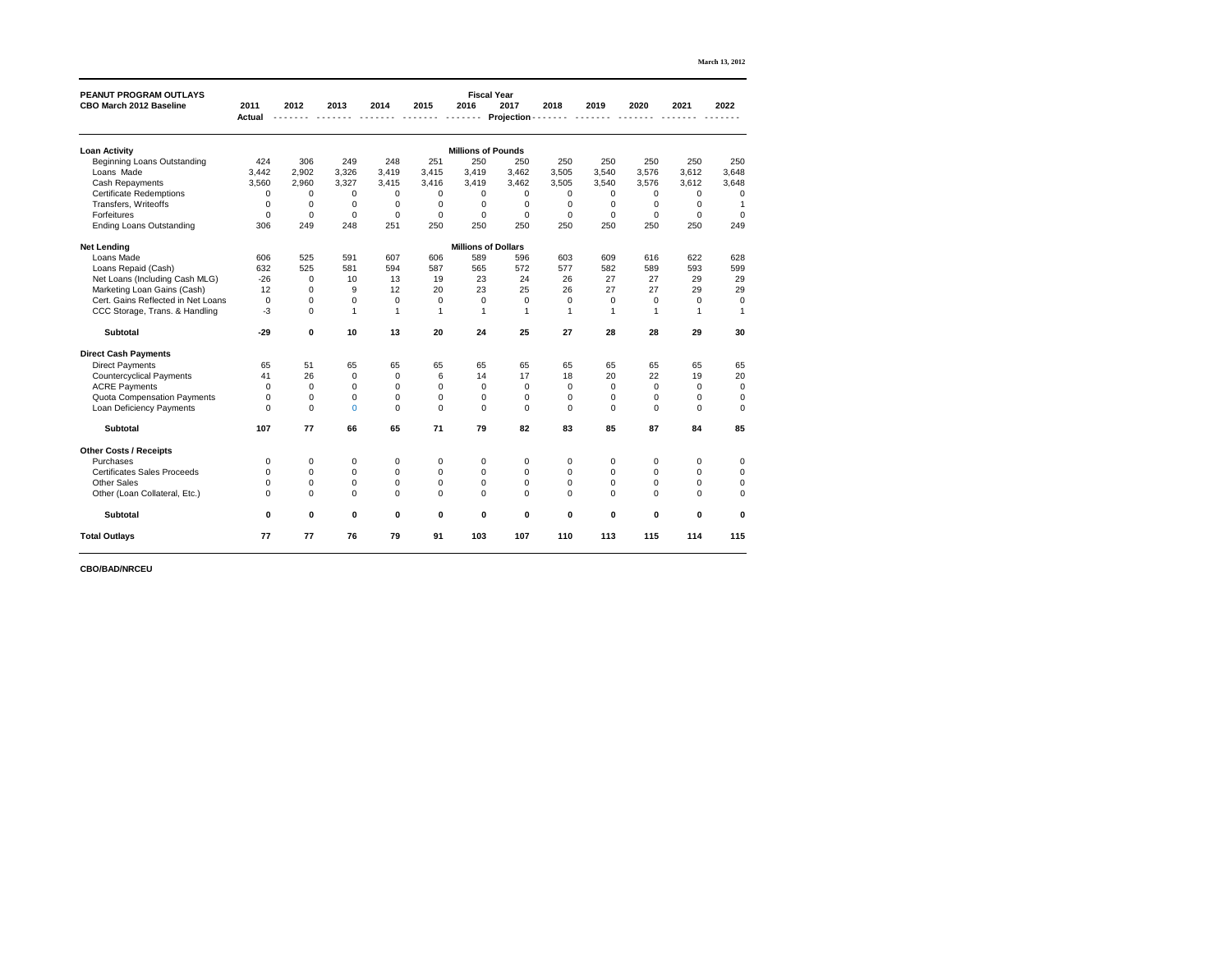| <b>March 13, 2012</b> |  |  |
|-----------------------|--|--|
|-----------------------|--|--|

| <b>PEANUT PROGRAM OUTLAYS</b>      |                |                |                |                  |                  | <b>Fiscal Year</b>         |                  |                  |                |                  |                  |                  |
|------------------------------------|----------------|----------------|----------------|------------------|------------------|----------------------------|------------------|------------------|----------------|------------------|------------------|------------------|
| <b>CBO March 2012 Baseline</b>     | 2011           | 2012           | 2013           | 2014             | 2015             | 2016                       | 2017             | 2018             | 2019           | 2020             | 2021             | 2022             |
|                                    | <b>Actual</b>  |                |                |                  |                  |                            | Projection -     |                  |                |                  |                  |                  |
| <b>Loan Activity</b>               |                |                |                |                  |                  | <b>Millions of Pounds</b>  |                  |                  |                |                  |                  |                  |
| <b>Beginning Loans Outstanding</b> | 424            | 306            | 249            | 248              | 251              | 250                        | 250              | 250              | 250            | 250              | 250              | 250              |
| Loans Made                         | 3,442          | 2,902          | 3,326          | 3,419            | 3,415            | 3,419                      | 3,462            | 3,505            | 3,540          | 3,576            | 3,612            | 3,648            |
| <b>Cash Repayments</b>             | 3,560          | 2,960          | 3,327          | 3,415            | 3,416            | 3,419                      | 3,462            | 3,505            | 3,540          | 3,576            | 3,612            | 3,648            |
| <b>Certificate Redemptions</b>     | $\mathbf 0$    | $\mathbf 0$    | 0              | 0                | 0                | 0                          | 0                | $\mathbf 0$      | $\mathbf 0$    | $\mathbf 0$      | 0                | $\overline{0}$   |
| Transfers, Writeoffs               | $\mathbf 0$    | $\mathbf 0$    | 0              | 0                | 0                | $\mathbf 0$                | $\mathbf 0$      | $\mathbf 0$      | 0              | 0                | 0                |                  |
| Forfeitures                        | $\mathbf 0$    | $\mathbf 0$    | $\mathbf 0$    | $\mathbf 0$      | $\mathbf 0$      | $\overline{0}$             | $\mathbf 0$      | $\mathbf 0$      | $\mathbf 0$    | $\overline{0}$   | $\mathbf 0$      | $\overline{0}$   |
| <b>Ending Loans Outstanding</b>    | 306            | 249            | 248            | 251              | 250              | 250                        | 250              | 250              | 250            | 250              | 250              | 249              |
| <b>Net Lending</b>                 |                |                |                |                  |                  | <b>Millions of Dollars</b> |                  |                  |                |                  |                  |                  |
| Loans Made                         | 606            | 525            | 591            | 607              | 606              | 589                        | 596              | 603              | 609            | 616              | 622              | 628              |
| Loans Repaid (Cash)                | 632            | 525            | 581            | 594              | 587              | 565                        | 572              | 577              | 582            | 589              | 593              | 599              |
| Net Loans (Including Cash MLG)     | $-26$          | $\mathbf 0$    | 10             | 13               | 19               | 23                         | 24               | 26               | 27             | 27               | 29               | 29               |
| Marketing Loan Gains (Cash)        | 12             | $\mathbf 0$    | 9              | 12               | 20               | 23                         | 25               | 26               | 27             | 27               | 29               | 29               |
| Cert. Gains Reflected in Net Loans | $\pmb{0}$      | $\mathbf 0$    | $\mathbf 0$    | $\mathbf 0$      | $\mathbf 0$      | $\overline{0}$             | $\mathbf 0$      | $\mathbf 0$      | $\mathbf 0$    | $\boldsymbol{0}$ | $\mathbf 0$      | $\mathbf 0$      |
| CCC Storage, Trans. & Handling     | $-3$           | $\pmb{0}$      | 1              |                  |                  |                            |                  |                  |                |                  |                  |                  |
| <b>Subtotal</b>                    | $-29$          | $\mathbf 0$    | 10             | 13               | 20               | 24                         | 25               | 27               | 28             | 28               | 29               | 30               |
| <b>Direct Cash Payments</b>        |                |                |                |                  |                  |                            |                  |                  |                |                  |                  |                  |
| <b>Direct Payments</b>             | 65             | 51             | 65             | 65               | 65               | 65                         | 65               | 65               | 65             | 65               | 65               | 65               |
| <b>Countercyclical Payments</b>    | 41             | 26             | $\mathbf 0$    | $\mathbf 0$      | 6                | 14                         | 17               | 18               | 20             | 22               | 19               | 20               |
| <b>ACRE Payments</b>               | $\mathbf 0$    | $\mathbf 0$    | $\mathbf 0$    | $\mathbf 0$      | 0                | $\mathbf 0$                | 0                | $\mathbf 0$      | $\mathbf 0$    | $\mathbf 0$      | 0                | $\mathbf 0$      |
| <b>Quota Compensation Payments</b> | $\mathbf 0$    | 0              | 0              | $\overline{0}$   | 0                | $\mathbf 0$                | $\mathbf 0$      | $\mathbf 0$      | $\overline{0}$ | $\mathbf 0$      | $\overline{0}$   | $\boldsymbol{0}$ |
| <b>Loan Deficiency Payments</b>    | $\mathbf 0$    | 0              | $\overline{0}$ | $\mathbf 0$      | $\pmb{0}$        | $\mathbf 0$                | $\mathbf 0$      | $\mathbf 0$      | 0              | $\mathbf 0$      | $\mathbf 0$      | $\mathbf 0$      |
| <b>Subtotal</b>                    | 107            | 77             | 66             | 65               | $71$             | 79                         | 82               | 83               | 85             | 87               | 84               | 85               |
| <b>Other Costs / Receipts</b>      |                |                |                |                  |                  |                            |                  |                  |                |                  |                  |                  |
| Purchases                          | $\mathbf 0$    | $\mathbf 0$    | $\mathbf 0$    | $\boldsymbol{0}$ | $\overline{0}$   | 0                          | 0                | $\overline{0}$   | $\mathbf 0$    | 0                | $\mathbf 0$      | $\overline{0}$   |
| <b>Certificates Sales Proceeds</b> | $\mathbf 0$    | $\mathbf 0$    | $\pmb{0}$      | $\pmb{0}$        | $\pmb{0}$        | $\boldsymbol{0}$           | $\pmb{0}$        | $\overline{0}$   | $\mathbf 0$    | 0                | $\mathbf 0$      | $\overline{0}$   |
| <b>Other Sales</b>                 | $\Omega$       | $\overline{0}$ | $\mathbf 0$    | $\overline{0}$   | $\boldsymbol{0}$ | $\mathbf 0$                | $\boldsymbol{0}$ | $\boldsymbol{0}$ | $\overline{0}$ | 0                | $\Omega$         | $\mathbf 0$      |
| Other (Loan Collateral, Etc.)      | $\overline{0}$ | 0              | $\mathbf 0$    | $\overline{0}$   | $\boldsymbol{0}$ | $\mathbf 0$                | $\overline{0}$   | $\mathbf 0$      | $\overline{0}$ | 0                | $\Omega$         | $\mathbf 0$      |
| <b>Subtotal</b>                    | $\mathbf 0$    | $\mathbf 0$    | $\mathbf 0$    | $\mathbf 0$      | $\boldsymbol{0}$ | $\mathbf 0$                | $\mathbf 0$      | $\mathbf 0$      | $\mathbf 0$    | $\boldsymbol{0}$ | $\boldsymbol{0}$ | $\bf{0}$         |
| <b>Total Outlays</b>               | 77             | 77             | 76             | 79               | 91               | 103                        | 107              | 110              | 113            | 115              | 114              | 115              |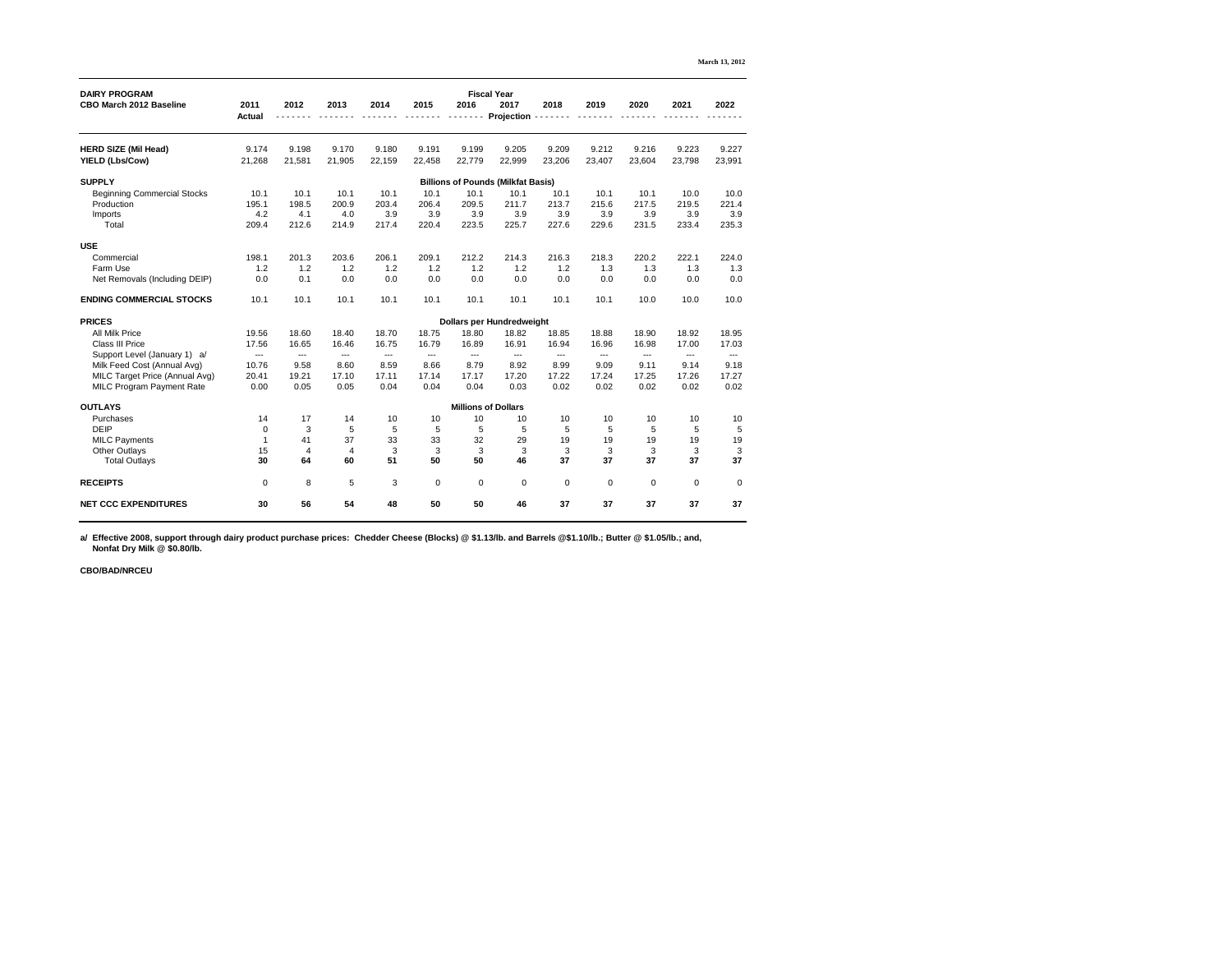| <b>DAIRY PROGRAM</b><br><b>CBO March 2012 Baseline</b> | 2011<br><b>Actual</b> | 2012   | 2013           | 2014           | 2015   | 2016                       | <b>Fiscal Year</b><br>2017<br><b>Projection</b> | 2018         | 2019           | 2020      | 2021           | 2022           |
|--------------------------------------------------------|-----------------------|--------|----------------|----------------|--------|----------------------------|-------------------------------------------------|--------------|----------------|-----------|----------------|----------------|
|                                                        |                       |        |                |                |        |                            |                                                 |              |                |           |                |                |
| <b>HERD SIZE (Mil Head)</b>                            | 9.174                 | 9.198  | 9.170          | 9.180          | 9.191  | 9.199                      | 9.205                                           | 9.209        | 9.212          | 9.216     | 9.223          | 9.227          |
| <b>YIELD (Lbs/Cow)</b>                                 | 21,268                | 21,581 | 21,905         | 22,159         | 22,458 | 22,779                     | 22,999                                          | 23,206       | 23,407         | 23,604    | 23,798         | 23,991         |
| <b>SUPPLY</b>                                          |                       |        |                |                |        |                            | <b>Billions of Pounds (Milkfat Basis)</b>       |              |                |           |                |                |
| <b>Beginning Commercial Stocks</b>                     | 10.1                  | 10.1   | 10.1           | 10.1           | 10.1   | 10.1                       | 10.1                                            | 10.1         | 10.1           | 10.1      | 10.0           | 10.0           |
| Production                                             | 195.1                 | 198.5  | 200.9          | 203.4          | 206.4  | 209.5                      | 211.7                                           | 213.7        | 215.6          | 217.5     | 219.5          | 221.4          |
| Imports                                                | 4.2                   | 4.1    | 4.0            | 3.9            | 3.9    | 3.9                        | 3.9                                             | 3.9          | 3.9            | 3.9       | 3.9            | 3.9            |
| Total                                                  | 209.4                 | 212.6  | 214.9          | 217.4          | 220.4  | 223.5                      | 225.7                                           | 227.6        | 229.6          | 231.5     | 233.4          | 235.3          |
| <b>USE</b>                                             |                       |        |                |                |        |                            |                                                 |              |                |           |                |                |
| Commercial                                             | 198.1                 | 201.3  | 203.6          | 206.1          | 209.1  | 212.2                      | 214.3                                           | 216.3        | 218.3          | 220.2     | 222.1          | 224.0          |
| <b>Farm Use</b>                                        | 1.2                   | 1.2    | 1.2            | 1.2            | 1.2    | 1.2                        | 1.2                                             | 1.2          | 1.3            | 1.3       | 1.3            | 1.3            |
| Net Removals (Including DEIP)                          | 0.0                   | 0.1    | 0.0            | 0.0            | 0.0    | 0.0                        | 0.0                                             | 0.0          | 0.0            | 0.0       | 0.0            | 0.0            |
| <b>ENDING COMMERCIAL STOCKS</b>                        | 10.1                  | 10.1   | 10.1           | 10.1           | 10.1   | 10.1                       | 10.1                                            | 10.1         | 10.1           | 10.0      | 10.0           | 10.0           |
| <b>PRICES</b>                                          |                       |        |                |                |        |                            | <b>Dollars per Hundredweight</b>                |              |                |           |                |                |
| <b>All Milk Price</b>                                  | 19.56                 | 18.60  | 18.40          | 18.70          | 18.75  | 18.80                      | 18.82                                           | 18.85        | 18.88          | 18.90     | 18.92          | 18.95          |
| <b>Class III Price</b>                                 | 17.56                 | 16.65  | 16.46          | 16.75          | 16.79  | 16.89                      | 16.91                                           | 16.94        | 16.96          | 16.98     | 17.00          | 17.03          |
| Support Level (January 1) a/                           | $---$                 | $---$  | ---            | $---$          | $---$  | $---$                      | $\qquad \qquad - -$                             | ---          | $---$          | $---$     | $---$          | $---$          |
| Milk Feed Cost (Annual Avg)                            | 10.76                 | 9.58   | 8.60           | 8.59           | 8.66   | 8.79                       | 8.92                                            | 8.99         | 9.09           | 9.11      | 9.14           | 9.18           |
| MILC Target Price (Annual Avg)                         | 20.41                 | 19.21  | 17.10          | 17.11          | 17.14  | 17.17                      | 17.20                                           | 17.22        | 17.24          | 17.25     | 17.26          | 17.27          |
| <b>MILC Program Payment Rate</b>                       | 0.00                  | 0.05   | 0.05           | 0.04           | 0.04   | 0.04                       | 0.03                                            | 0.02         | 0.02           | 0.02      | 0.02           | 0.02           |
| <b>OUTLAYS</b>                                         |                       |        |                |                |        | <b>Millions of Dollars</b> |                                                 |              |                |           |                |                |
| Purchases                                              | 14                    | 17     | 14             | 10             | 10     | 10                         | 10                                              | 10           | 10             | 10        | 10             | 10             |
| <b>DEIP</b>                                            |                       | 3      | 5              | $\overline{5}$ | 5      | 5                          | 5                                               | 5            | $5\phantom{1}$ | 5         | 5              | 5              |
| <b>MILC Payments</b>                                   |                       | 41     | 37             | 33             | 33     | 32                         | 29                                              | 19           | 19             | 19        | 19             | 19             |
| <b>Other Outlays</b>                                   | 15                    |        | $\overline{4}$ | 3              | 3      | 3                          | 3                                               | $\mathbf{3}$ | 3              | 3         | 3              | 3              |
| <b>Total Outlays</b>                                   | 30                    | 64     | 60             | 51             | 50     | 50                         | 46                                              | 37           | 37             | 37        | 37             | 37             |
| <b>RECEIPTS</b>                                        | $\overline{0}$        | 8      | $\overline{5}$ | $\mathfrak{S}$ | 0      | $\overline{0}$             | $\mathbf 0$                                     | $\pmb{0}$    | $\mathbf{0}$   | $\pmb{0}$ | $\overline{0}$ | $\overline{0}$ |
| <b>NET CCC EXPENDITURES</b>                            | 30                    | 56     | 54             | 48             | 50     | 50                         | 46                                              | 37           | 37             | 37        | 37             | 37             |

**a/ Effective 2008, support through dairy product purchase prices: Chedder Cheese (Blocks) @ \$1.13/lb. and Barrels @\$1.10/lb.; Butter @ \$1.05/lb.; and, Nonfat Dry Milk @ \$0.80/lb.**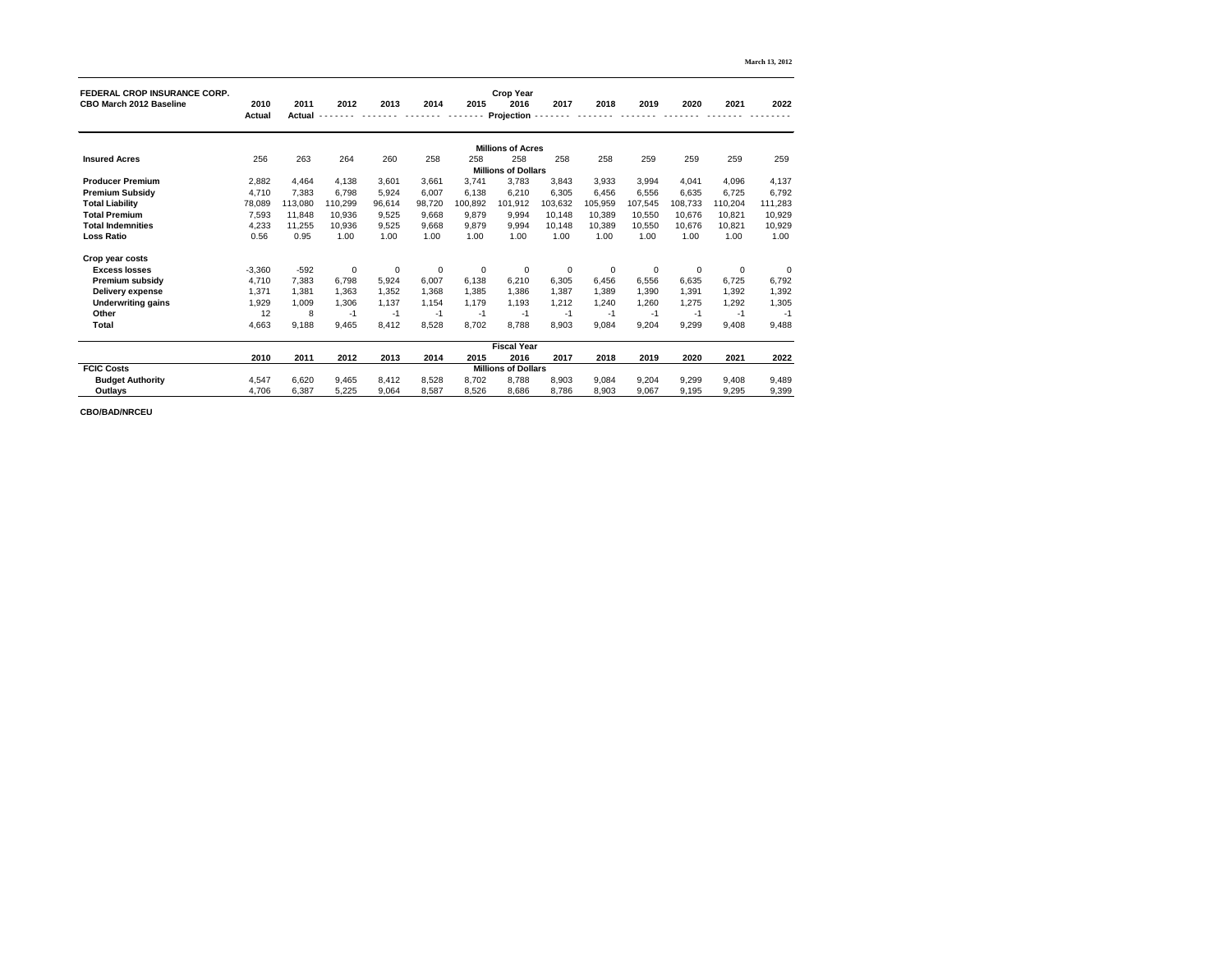|                                                                       |               |               |                |             |                |                |                            |             |                |             |                |             | <b>March 13, 2012</b> |
|-----------------------------------------------------------------------|---------------|---------------|----------------|-------------|----------------|----------------|----------------------------|-------------|----------------|-------------|----------------|-------------|-----------------------|
| <b>FEDERAL CROP INSURANCE CORP.</b><br><b>CBO March 2012 Baseline</b> | 2010          | 2011          | 2012           | 2013        | 2014           | 2015           | <b>Crop Year</b><br>2016   | 2017        | 2018           | 2019        | 2020           | 2021        | 2022                  |
|                                                                       | <b>Actual</b> | <b>Actual</b> |                |             |                |                | <b>Projection</b>          |             |                |             |                |             |                       |
|                                                                       |               |               |                |             |                |                | <b>Millions of Acres</b>   |             |                |             |                |             |                       |
| <b>Insured Acres</b>                                                  | 256           | 263           | 264            | 260         | 258            | 258            | 258                        | 258         | 258            | 259         | 259            | 259         | 259                   |
|                                                                       |               |               |                |             |                |                | <b>Millions of Dollars</b> |             |                |             |                |             |                       |
| <b>Producer Premium</b>                                               | 2,882         | 4,464         | 4,138          | 3,601       | 3,661          | 3,741          | 3,783                      | 3,843       | 3,933          | 3,994       | 4,041          | 4,096       | 4,137                 |
| <b>Premium Subsidy</b>                                                | 4,710         | 7,383         | 6,798          | 5,924       | 6,007          | 6,138          | 6,210                      | 6,305       | 6,456          | 6,556       | 6,635          | 6,725       | 6,792                 |
| <b>Total Liability</b>                                                | 78,089        | 113,080       | 110,299        | 96,614      | 98,720         | 100,892        | 101,912                    | 103,632     | 105,959        | 107,545     | 108,733        | 110,204     | 111,283               |
| <b>Total Premium</b>                                                  | 7,593         | 11,848        | 10,936         | 9,525       | 9,668          | 9,879          | 9,994                      | 10,148      | 10,389         | 10,550      | 10,676         | 10,821      | 10,929                |
| <b>Total Indemnities</b>                                              | 4,233         | 11,255        | 10,936         | 9,525       | 9,668          | 9,879          | 9,994                      | 10,148      | 10,389         | 10,550      | 10,676         | 10,821      | 10,929                |
| <b>Loss Ratio</b>                                                     | 0.56          | 0.95          | 1.00           | 1.00        | 1.00           | 1.00           | 1.00                       | 1.00        | 1.00           | 1.00        | 1.00           | 1.00        | 1.00                  |
| Crop year costs                                                       |               |               |                |             |                |                |                            |             |                |             |                |             |                       |
| <b>Excess losses</b>                                                  | $-3,360$      | $-592$        | $\overline{0}$ | $\mathbf 0$ | $\overline{0}$ | $\overline{0}$ | $\overline{0}$             | $\mathbf 0$ | $\overline{0}$ | $\mathbf 0$ | $\overline{0}$ | $\mathbf 0$ | $\overline{0}$        |
| <b>Premium subsidy</b>                                                | 4,710         | 7,383         | 6,798          | 5,924       | 6,007          | 6,138          | 6,210                      | 6,305       | 6,456          | 6,556       | 6,635          | 6,725       | 6,792                 |
| <b>Delivery expense</b>                                               | 1,371         | 1,381         | 1,363          | 1,352       | 1,368          | 1,385          | 1,386                      | 1,387       | 1,389          | 1,390       | 1,391          | 1,392       | 1,392                 |
| <b>Underwriting gains</b>                                             | 1,929         | 1,009         | 1,306          | 1,137       | 1,154          | 1,179          | 1,193                      | 1,212       | 1,240          | 1,260       | 1,275          | 1,292       | 1,305                 |
| <b>Other</b>                                                          | 12            | 8             | $-1$           | $-1$        | $-1$           | $-1$           | $-1$                       | $-1$        | $-1$           | $-1$        | -1             | -1          | $-1$                  |
| <b>Total</b>                                                          | 4,663         | 9,188         | 9,465          | 8,412       | 8,528          | 8,702          | 8,788                      | 8,903       | 9,084          | 9,204       | 9,299          | 9,408       | 9,488                 |
|                                                                       |               |               |                |             |                |                | <b>Fiscal Year</b>         |             |                |             |                |             |                       |
|                                                                       | 2010          | 2011          | 2012           | 2013        | 2014           | 2015           | 2016                       | 2017        | 2018           | 2019        | 2020           | 2021        | 2022                  |
| <b>FCIC Costs</b>                                                     |               |               |                |             |                |                | <b>Millions of Dollars</b> |             |                |             |                |             |                       |
| <b>Budget Authority</b>                                               | 4,547         | 6,620         | 9,465          | 8,412       | 8,528          | 8,702          | 8,788                      | 8,903       | 9,084          | 9,204       | 9,299          | 9,408       | 9,489                 |
| <b>Outlays</b>                                                        | 4,706         | 6,387         | 5,225          | 9,064       | 8,587          | 8,526          | 8,686                      | 8,786       | 8,903          | 9,067       | 9,195          | 9,295       | 9,399                 |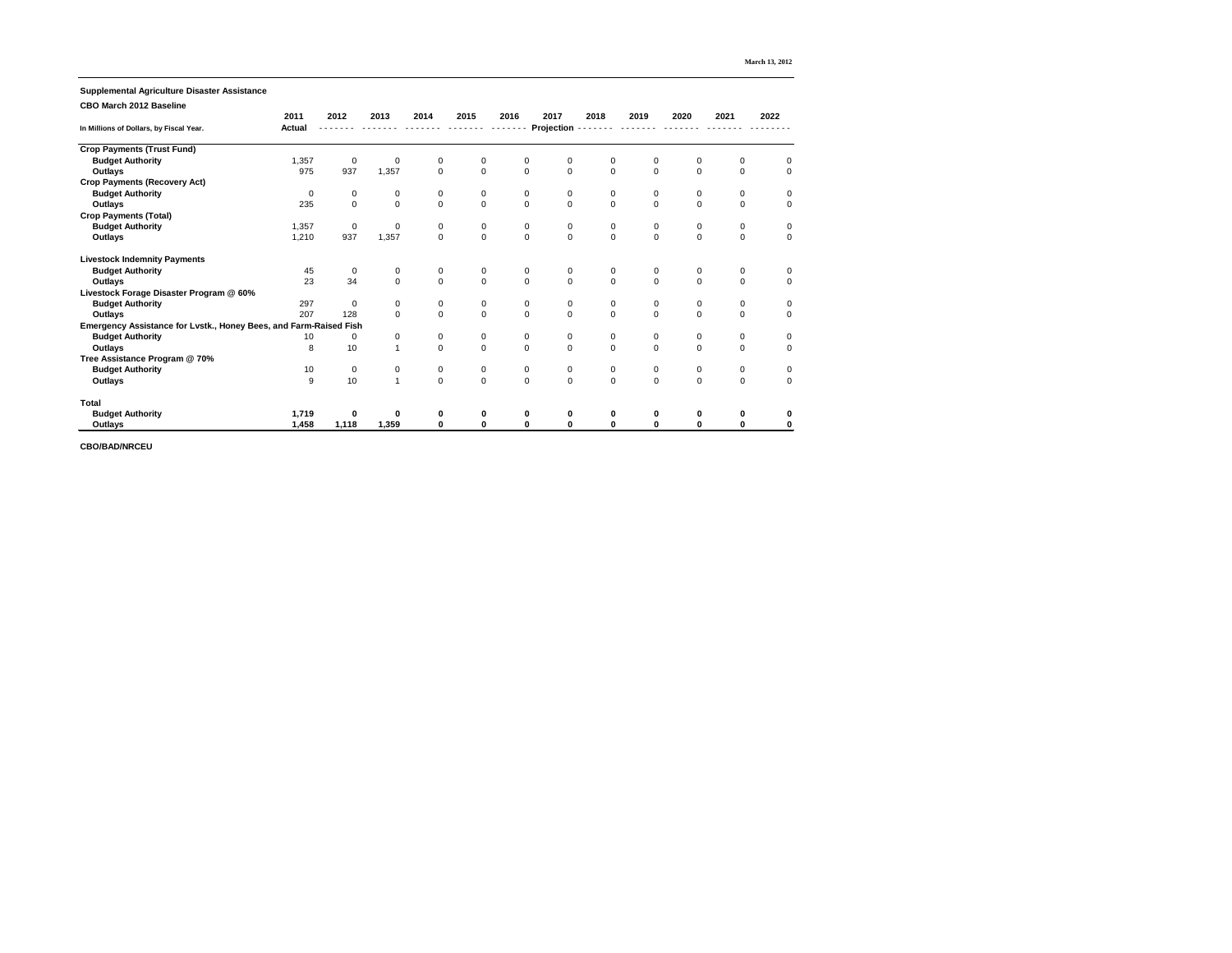|                                                                   |               |                  |                |                |                  |                     |                   |                  |                  |                  |                  | <b>March 13, 2012</b> |
|-------------------------------------------------------------------|---------------|------------------|----------------|----------------|------------------|---------------------|-------------------|------------------|------------------|------------------|------------------|-----------------------|
| <b>Supplemental Agriculture Disaster Assistance</b>               |               |                  |                |                |                  |                     |                   |                  |                  |                  |                  |                       |
| <b>CBO March 2012 Baseline</b>                                    |               |                  |                |                |                  |                     |                   |                  |                  |                  |                  |                       |
|                                                                   | 2011          | 2012             | 2013           | 2014           | 2015             | 2016                | 2017              | 2018             | 2019             | 2020             | 2021             | 2022                  |
| In Millions of Dollars, by Fiscal Year.                           | <b>Actual</b> |                  |                |                |                  |                     | <b>Projection</b> |                  |                  |                  |                  |                       |
| <b>Crop Payments (Trust Fund)</b>                                 |               |                  |                |                |                  |                     |                   |                  |                  |                  |                  |                       |
| <b>Budget Authority</b>                                           | 1,357         | $\mathbf 0$      | 0              | $\mathbf 0$    | 0                | $\overline{0}$      | 0                 | $\mathbf 0$      | 0                | $\mathbf 0$      | $\overline{0}$   | $\mathbf 0$           |
| <b>Outlays</b>                                                    | 975           | 937              | 1,357          | $\mathbf 0$    | $\overline{0}$   | $\mathbf 0$         | $\mathbf 0$       | $\mathbf 0$      | $\overline{0}$   | $\mathbf 0$      | $\overline{0}$   | $\overline{0}$        |
| <b>Crop Payments (Recovery Act)</b>                               |               |                  |                |                |                  |                     |                   |                  |                  |                  |                  |                       |
| <b>Budget Authority</b>                                           | $\mathbf 0$   | $\pmb{0}$        | 0              | $\mathbf 0$    | 0                | $\mathbf 0$         | $\mathbf 0$       | $\mathbf 0$      | $\boldsymbol{0}$ | $\mathbf 0$      | $\mathbf 0$      | $\overline{0}$        |
| <b>Outlays</b>                                                    | 235           | $\mathsf 0$      | $\overline{0}$ | $\overline{0}$ | $\overline{0}$   | $\mathbf 0$         | $\mathbf 0$       | $\overline{0}$   | $\overline{0}$   | $\mathbf 0$      | $\mathbf 0$      | $\mathbf 0$           |
| <b>Crop Payments (Total)</b>                                      |               |                  |                |                |                  |                     |                   |                  |                  |                  |                  |                       |
| <b>Budget Authority</b>                                           | 1,357         | $\pmb{0}$        | 0              | 0              | $\pmb{0}$        | $\pmb{0}$           | $\boldsymbol{0}$  | $\pmb{0}$        | $\pmb{0}$        | 0                | $\pmb{0}$        | $\boldsymbol{0}$      |
| <b>Outlays</b>                                                    | 1,210         | 937              | 1,357          | $\overline{0}$ | $\overline{0}$   | $\mathsf{O}\xspace$ | $\mathbf 0$       | $\mathbf 0$      | $\mathbf 0$      | $\mathbf 0$      | $\overline{0}$   | $\overline{0}$        |
| <b>Livestock Indemnity Payments</b>                               |               |                  |                |                |                  |                     |                   |                  |                  |                  |                  |                       |
| <b>Budget Authority</b>                                           | 45            | $\pmb{0}$        | $\pmb{0}$      | 0              | $\pmb{0}$        | $\pmb{0}$           | $\pmb{0}$         | $\pmb{0}$        | $\pmb{0}$        | $\boldsymbol{0}$ | $\boldsymbol{0}$ | $\boldsymbol{0}$      |
| <b>Outlays</b>                                                    | 23            | 34               | $\overline{0}$ | $\overline{0}$ | $\overline{0}$   | $\mathbf 0$         | $\mathbf 0$       | $\mathbf 0$      | $\mathbf 0$      | $\boldsymbol{0}$ | $\overline{0}$   | $\mathbf 0$           |
| Livestock Forage Disaster Program @ 60%                           |               |                  |                |                |                  |                     |                   |                  |                  |                  |                  |                       |
| <b>Budget Authority</b>                                           | 297           | $\mathbf 0$      | $\overline{0}$ | 0              | 0                | 0                   | $\boldsymbol{0}$  | $\mathbf 0$      | 0                | 0                | $\mathbf 0$      | $\boldsymbol{0}$      |
| <b>Outlays</b>                                                    | 207           | 128              | $\overline{0}$ | $\overline{0}$ | $\overline{0}$   | $\mathbf 0$         | $\mathbf 0$       | $\overline{0}$   | $\overline{0}$   | $\mathbf 0$      | $\mathbf 0$      | $\mathbf 0$           |
| Emergency Assistance for Lvstk., Honey Bees, and Farm-Raised Fish |               |                  |                |                |                  |                     |                   |                  |                  |                  |                  |                       |
| <b>Budget Authority</b>                                           | 10            | $\mathbf 0$      | 0              | 0              | 0                | $\mathbf 0$         | $\pmb{0}$         | $\pmb{0}$        | 0                | $\mathbf 0$      | $\mathbf 0$      | $\mathbf 0$           |
| <b>Outlays</b>                                                    | 8             | 10               | $\mathbf{1}$   | $\overline{0}$ | $\overline{0}$   | $\mathbf 0$         | $\overline{0}$    | $\mathbf{0}$     | $\mathbf 0$      | $\overline{0}$   | $\Omega$         | $\mathbf 0$           |
| Tree Assistance Program @ 70%                                     |               |                  |                |                |                  |                     |                   |                  |                  |                  |                  |                       |
| <b>Budget Authority</b>                                           | 10            | $\overline{0}$   | 0              | 0              | 0                | $\pmb{0}$           | $\pmb{0}$         | $\pmb{0}$        | $\mathbf 0$      | $\boldsymbol{0}$ | 0                | $\boldsymbol{0}$      |
| <b>Outlays</b>                                                    | 9             | 10               | $\mathbf{1}$   | $\overline{0}$ | $\overline{0}$   | $\mathbf 0$         | $\mathbf 0$       | $\overline{0}$   | $\overline{0}$   | $\mathbf 0$      | $\mathbf 0$      | $\overline{0}$        |
| <b>Total</b>                                                      |               |                  |                |                |                  |                     |                   |                  |                  |                  |                  |                       |
| <b>Budget Authority</b>                                           | 1,719         | $\boldsymbol{0}$ | $\mathbf 0$    | $\bf{0}$       | $\boldsymbol{0}$ | $\boldsymbol{0}$    | $\boldsymbol{0}$  | $\boldsymbol{0}$ | $\boldsymbol{0}$ | $\boldsymbol{0}$ | $\boldsymbol{0}$ | $\bf{0}$              |
| <b>Outlays</b>                                                    | 1,458         | 1,118            | 1,359          | $\mathbf 0$    | $\mathbf 0$      | $\mathbf 0$         | $\mathbf 0$       | $\boldsymbol{0}$ | $\bf{0}$         | $\mathbf 0$      | $\mathbf 0$      | $\boldsymbol{0}$      |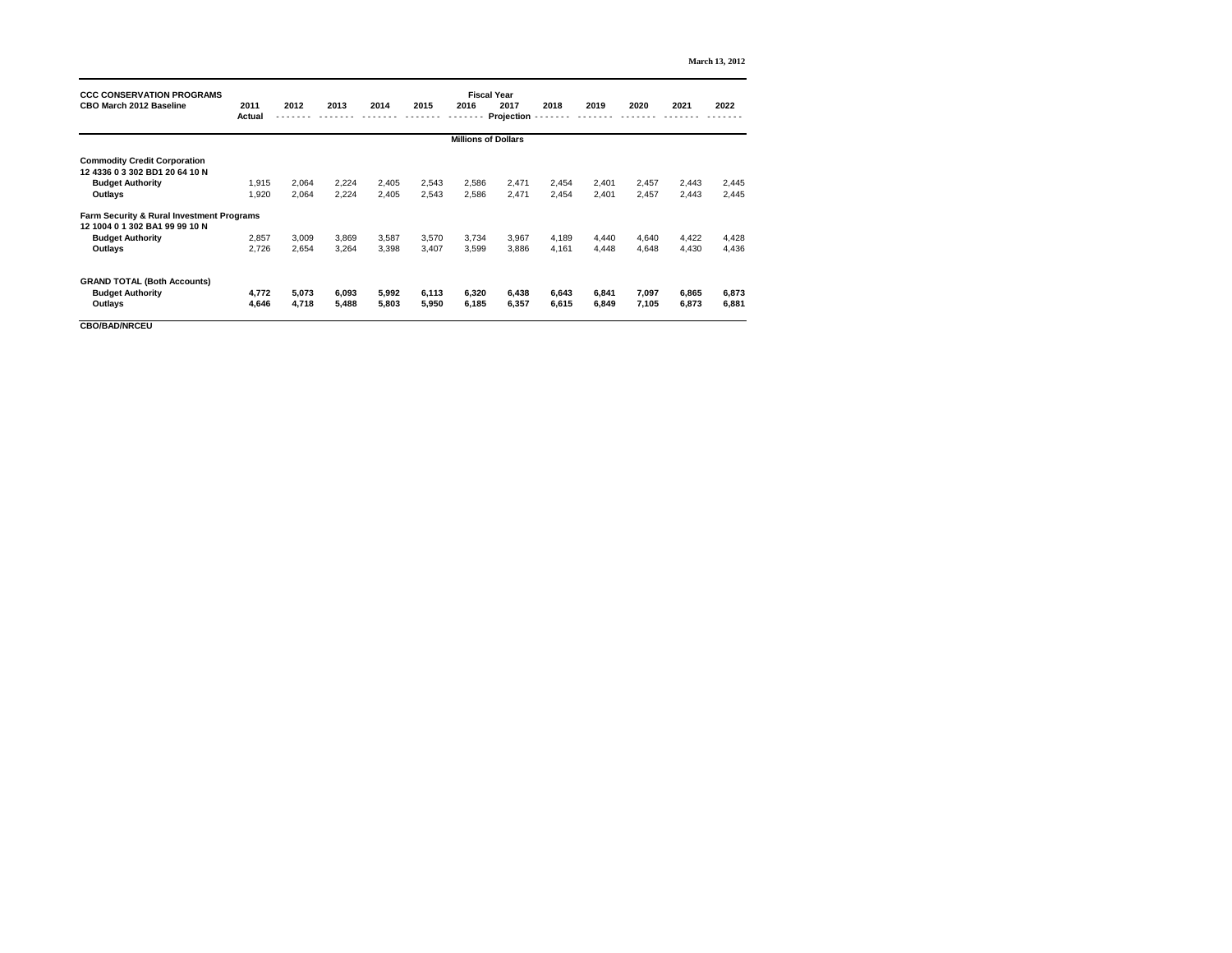| <b>CCC CONSERVATION PROGRAMS</b>                     |                            | <b>Fiscal Year</b> |       |       |       |       |                    |       |       |       |       |       |  |
|------------------------------------------------------|----------------------------|--------------------|-------|-------|-------|-------|--------------------|-------|-------|-------|-------|-------|--|
| <b>CBO March 2012 Baseline</b>                       | 2011<br><b>Actual</b>      | 2012               | 2013  | 2014  | 2015  | 2016  | 2017<br>Projection | 2018  | 2019  | 2020  | 2021  | 2022  |  |
|                                                      | <b>Millions of Dollars</b> |                    |       |       |       |       |                    |       |       |       |       |       |  |
| <b>Commodity Credit Corporation</b>                  |                            |                    |       |       |       |       |                    |       |       |       |       |       |  |
| 12 4336 0 3 302 BD1 20 64 10 N                       |                            |                    |       |       |       |       |                    |       |       |       |       |       |  |
| <b>Budget Authority</b>                              | 1,915                      | 2,064              | 2,224 | 2,405 | 2,543 | 2,586 | 2,471              | 2,454 | 2,401 | 2,457 | 2,443 | 2,445 |  |
| <b>Outlays</b>                                       | 1,920                      | 2,064              | 2,224 | 2,405 | 2,543 | 2,586 | 2,471              | 2,454 | 2,401 | 2,457 | 2,443 | 2,445 |  |
| <b>Farm Security &amp; Rural Investment Programs</b> |                            |                    |       |       |       |       |                    |       |       |       |       |       |  |
| 12 1004 0 1 302 BA1 99 99 10 N                       |                            |                    |       |       |       |       |                    |       |       |       |       |       |  |
| <b>Budget Authority</b>                              | 2,857                      | 3,009              | 3,869 | 3,587 | 3,570 | 3,734 | 3,967              | 4,189 | 4,440 | 4,640 | 4,422 | 4,428 |  |
| <b>Outlays</b>                                       | 2,726                      | 2,654              | 3,264 | 3,398 | 3,407 | 3,599 | 3,886              | 4,161 | 4,448 | 4,648 | 4,430 | 4,436 |  |
| <b>GRAND TOTAL (Both Accounts)</b>                   |                            |                    |       |       |       |       |                    |       |       |       |       |       |  |
| <b>Budget Authority</b>                              | 4,772                      | 5,073              | 6,093 | 5,992 | 6,113 | 6,320 | 6,438              | 6,643 | 6,841 | 7,097 | 6,865 | 6,873 |  |
| <b>Outlays</b>                                       | 4,646                      | 4,718              | 5,488 | 5,803 | 5,950 | 6,185 | 6,357              | 6,615 | 6,849 | 7,105 | 6,873 | 6,881 |  |
|                                                      |                            |                    |       |       |       |       |                    |       |       |       |       |       |  |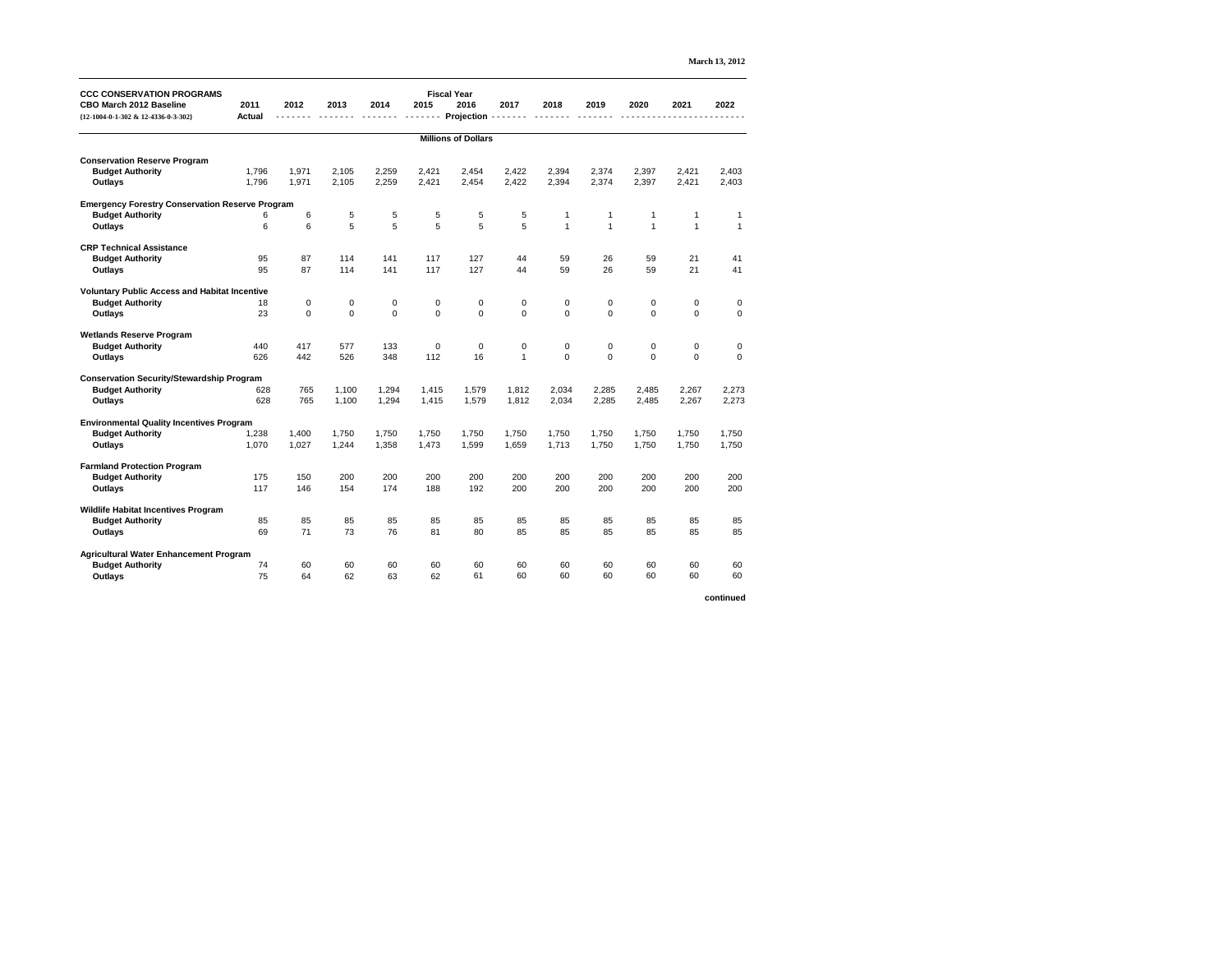| <b>March 13, 2012</b> |  |
|-----------------------|--|
|-----------------------|--|

| <b>CCC CONSERVATION PROGRAMS</b><br><b>CBO March 2012 Baseline</b><br>{12-1004-0-1-302 & 12-4336-0-3-302} | 2011<br><b>Actual</b>      | 2012           | 2013           | 2014           | 2015             | <b>Fiscal Year</b><br>2016<br>Projection | 2017           | 2018             | 2019             | 2020             | 2021           | 2022             |
|-----------------------------------------------------------------------------------------------------------|----------------------------|----------------|----------------|----------------|------------------|------------------------------------------|----------------|------------------|------------------|------------------|----------------|------------------|
|                                                                                                           | <b>Millions of Dollars</b> |                |                |                |                  |                                          |                |                  |                  |                  |                |                  |
|                                                                                                           |                            |                |                |                |                  |                                          |                |                  |                  |                  |                |                  |
| <b>Conservation Reserve Program</b><br><b>Budget Authority</b>                                            | 1,796                      | 1,971          | 2,105          | 2,259          | 2,421            | 2,454                                    | 2,422          | 2,394            | 2,374            | 2,397            | 2,421          | 2,403            |
| <b>Outlays</b>                                                                                            | 1,796                      | 1,971          | 2,105          | 2,259          | 2,421            | 2,454                                    | 2,422          | 2,394            | 2,374            | 2,397            | 2,421          | 2,403            |
| <b>Emergency Forestry Conservation Reserve Program</b>                                                    |                            |                |                |                |                  |                                          |                |                  |                  |                  |                |                  |
| <b>Budget Authority</b>                                                                                   | 6                          | 6              | 5              | 5              | 5                | $\sqrt{5}$                               | 5              |                  |                  |                  |                |                  |
| <b>Outlays</b>                                                                                            | $\,6$                      | 6              | 5              | 5              | $\overline{5}$   | 5                                        | $\overline{5}$ | $\overline{1}$   | $\overline{1}$   | $\overline{1}$   |                | $\mathbf{1}$     |
| <b>CRP Technical Assistance</b>                                                                           |                            |                |                |                |                  |                                          |                |                  |                  |                  |                |                  |
| <b>Budget Authority</b>                                                                                   | 95                         | 87             | 114            | 141            | 117              | 127                                      | 44             | 59               | 26               | 59               | 21             | 41               |
| <b>Outlays</b>                                                                                            | 95                         | 87             | 114            | 141            | 117              | 127                                      | 44             | 59               | 26               | 59               | 21             | 41               |
| <b>Voluntary Public Access and Habitat Incentive</b>                                                      |                            |                |                |                |                  |                                          |                |                  |                  |                  |                |                  |
| <b>Budget Authority</b>                                                                                   | 18                         | $\mathbf 0$    | 0              | 0              | $\boldsymbol{0}$ | $\mathbf 0$                              | 0              | $\boldsymbol{0}$ | $\boldsymbol{0}$ | $\boldsymbol{0}$ | $\mathbf 0$    | $\boldsymbol{0}$ |
| <b>Outlays</b>                                                                                            | 23                         | $\overline{0}$ | $\overline{0}$ | $\overline{0}$ | $\overline{0}$   | $\mathbf 0$                              | $\overline{0}$ | $\overline{0}$   | $\overline{0}$   | $\overline{0}$   | $\overline{0}$ | $\boldsymbol{0}$ |
| <b>Wetlands Reserve Program</b>                                                                           |                            |                |                |                |                  |                                          |                |                  |                  |                  |                |                  |
| <b>Budget Authority</b>                                                                                   | 440                        | 417            | 577            | 133            | $\pmb{0}$        | $\pmb{0}$                                | 0              | $\boldsymbol{0}$ | $\boldsymbol{0}$ | $\pmb{0}$        | $\mathbf 0$    | $\boldsymbol{0}$ |
| <b>Outlays</b>                                                                                            | 626                        | 442            | 526            | 348            | 112              | 16                                       | $\overline{1}$ | $\overline{0}$   | $\overline{0}$   | $\overline{0}$   | $\overline{0}$ | $\overline{0}$   |
| <b>Conservation Security/Stewardship Program</b>                                                          |                            |                |                |                |                  |                                          |                |                  |                  |                  |                |                  |
| <b>Budget Authority</b>                                                                                   | 628                        | 765            | 1,100          | 1,294          | 1,415            | 1,579                                    | 1,812          | 2,034            | 2,285            | 2,485            | 2,267          | 2,273            |
| <b>Outlays</b>                                                                                            | 628                        | 765            | 1,100          | 1,294          | 1,415            | 1,579                                    | 1,812          | 2,034            | 2,285            | 2,485            | 2,267          | 2,273            |
| <b>Environmental Quality Incentives Program</b>                                                           |                            |                |                |                |                  |                                          |                |                  |                  |                  |                |                  |
| <b>Budget Authority</b>                                                                                   | 1,238                      | 1,400          | 1,750          | 1,750          | 1,750            | 1,750                                    | 1,750          | 1,750            | 1,750            | 1,750            | 1,750          | 1,750            |
| <b>Outlays</b>                                                                                            | 1,070                      | 1,027          | 1,244          | 1,358          | 1,473            | 1,599                                    | 1,659          | 1,713            | 1,750            | 1,750            | 1,750          | 1,750            |
| <b>Farmland Protection Program</b>                                                                        |                            |                |                |                |                  |                                          |                |                  |                  |                  |                |                  |
| <b>Budget Authority</b>                                                                                   | 175                        | 150            | 200            | 200            | 200              | 200                                      | 200            | 200              | 200              | 200              | 200            | 200              |
| <b>Outlays</b>                                                                                            | 117                        | 146            | 154            | 174            | 188              | 192                                      | 200            | 200              | 200              | 200              | 200            | 200              |
| <b>Wildlife Habitat Incentives Program</b>                                                                |                            |                |                |                |                  |                                          |                |                  |                  |                  |                |                  |
| <b>Budget Authority</b>                                                                                   | 85                         | 85             | 85             | 85             | 85               | 85                                       | 85             | 85               | 85               | 85               | 85             | 85               |
| <b>Outlays</b>                                                                                            | 69                         | 71             | 73             | 76             | 81               | 80                                       | 85             | 85               | 85               | 85               | 85             | 85               |
| <b>Agricultural Water Enhancement Program</b>                                                             |                            |                |                |                |                  |                                          |                |                  |                  |                  |                |                  |
| <b>Budget Authority</b>                                                                                   | 74                         | 60             | 60             | 60             | 60               | 60                                       | 60             | 60               | 60               | 60               | 60             | 60               |
| <b>Outlays</b>                                                                                            | 75                         | 64             | 62             | 63             | 62               | 61                                       | 60             | 60               | 60               | 60               | 60             | 60               |
|                                                                                                           |                            |                |                |                |                  |                                          |                |                  |                  |                  |                | continued        |